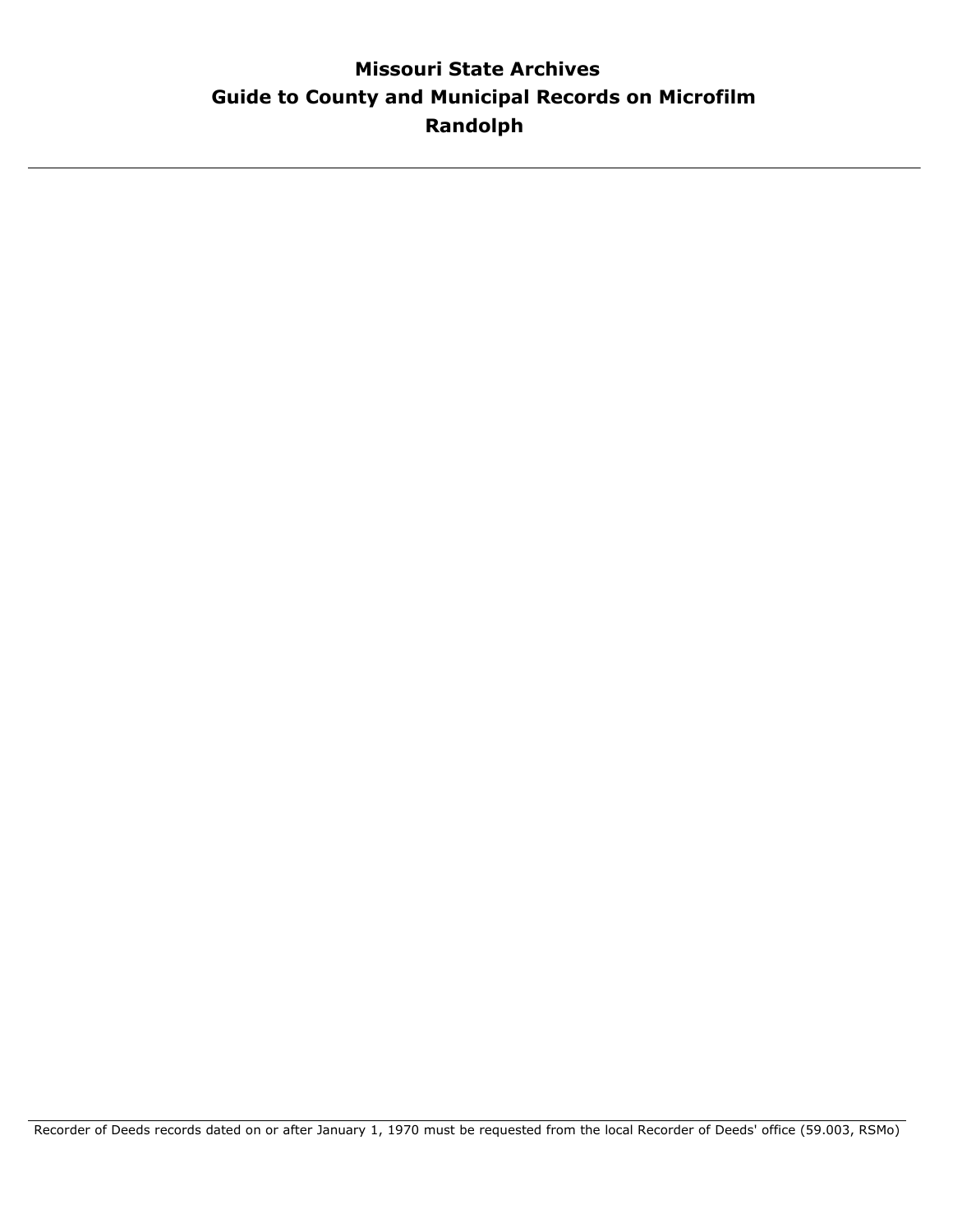### **Guide to County and Municipal Records on Microfilm Missouri State Archives Randolph**

Recorder of Deeds records dated on or after January 1, 1970 must be requested from the local Recorder of Deeds' office (59.003, RSMo)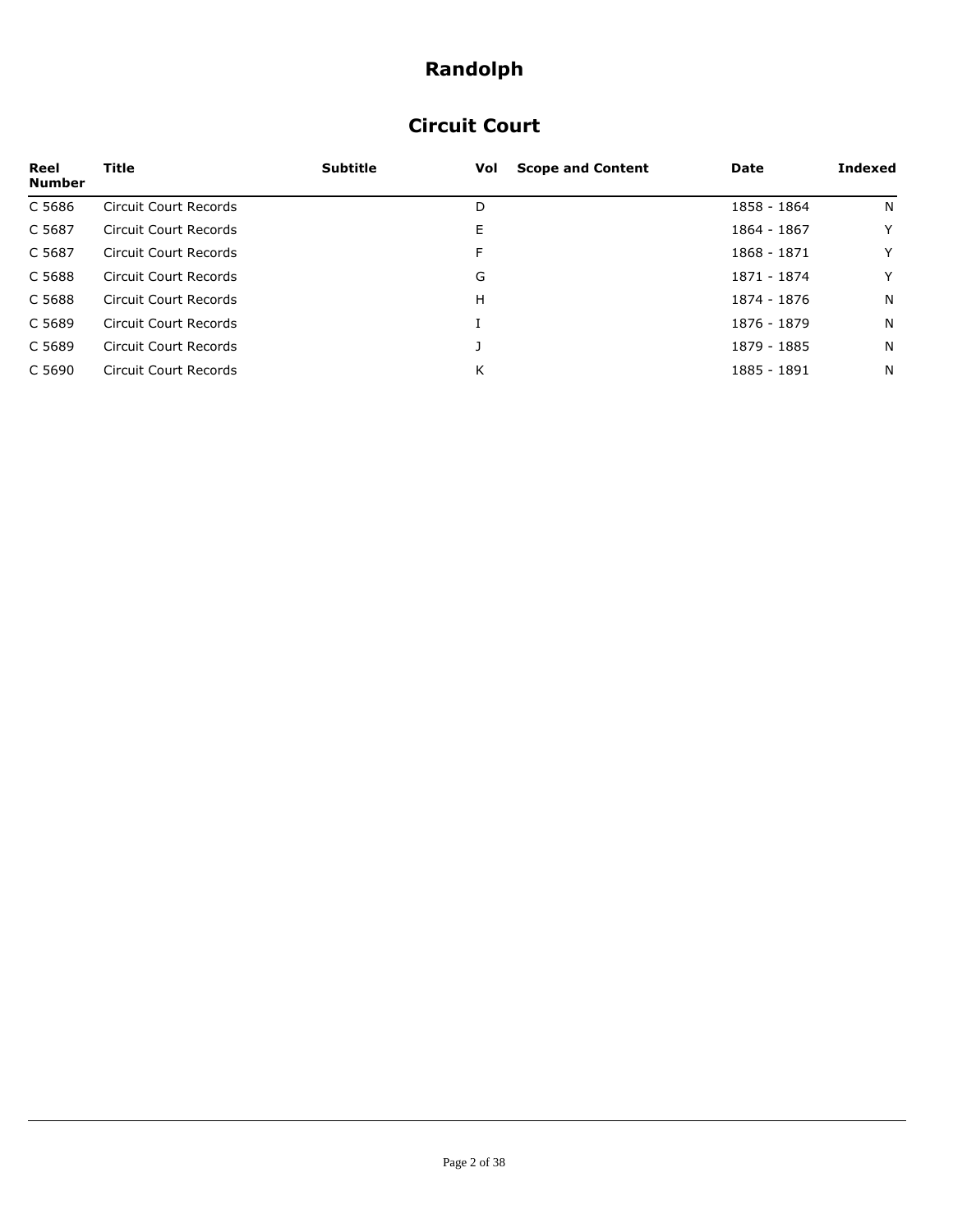### **Circuit Court**

| Reel<br><b>Number</b> | Title                 | <b>Subtitle</b> | <b>Scope and Content</b><br>Vol | Date        | <b>Indexed</b> |
|-----------------------|-----------------------|-----------------|---------------------------------|-------------|----------------|
| C 5686                | Circuit Court Records |                 | D                               | 1858 - 1864 | N              |
| C 5687                | Circuit Court Records |                 | E                               | 1864 - 1867 | Y              |
| C 5687                | Circuit Court Records |                 | F                               | 1868 - 1871 | Y              |
| C 5688                | Circuit Court Records |                 | G                               | 1871 - 1874 | Y              |
| C 5688                | Circuit Court Records |                 | H                               | 1874 - 1876 | N              |
| C 5689                | Circuit Court Records |                 |                                 | 1876 - 1879 | N              |
| C 5689                | Circuit Court Records |                 |                                 | 1879 - 1885 | N              |
| C 5690                | Circuit Court Records |                 | Κ                               | 1885 - 1891 | N              |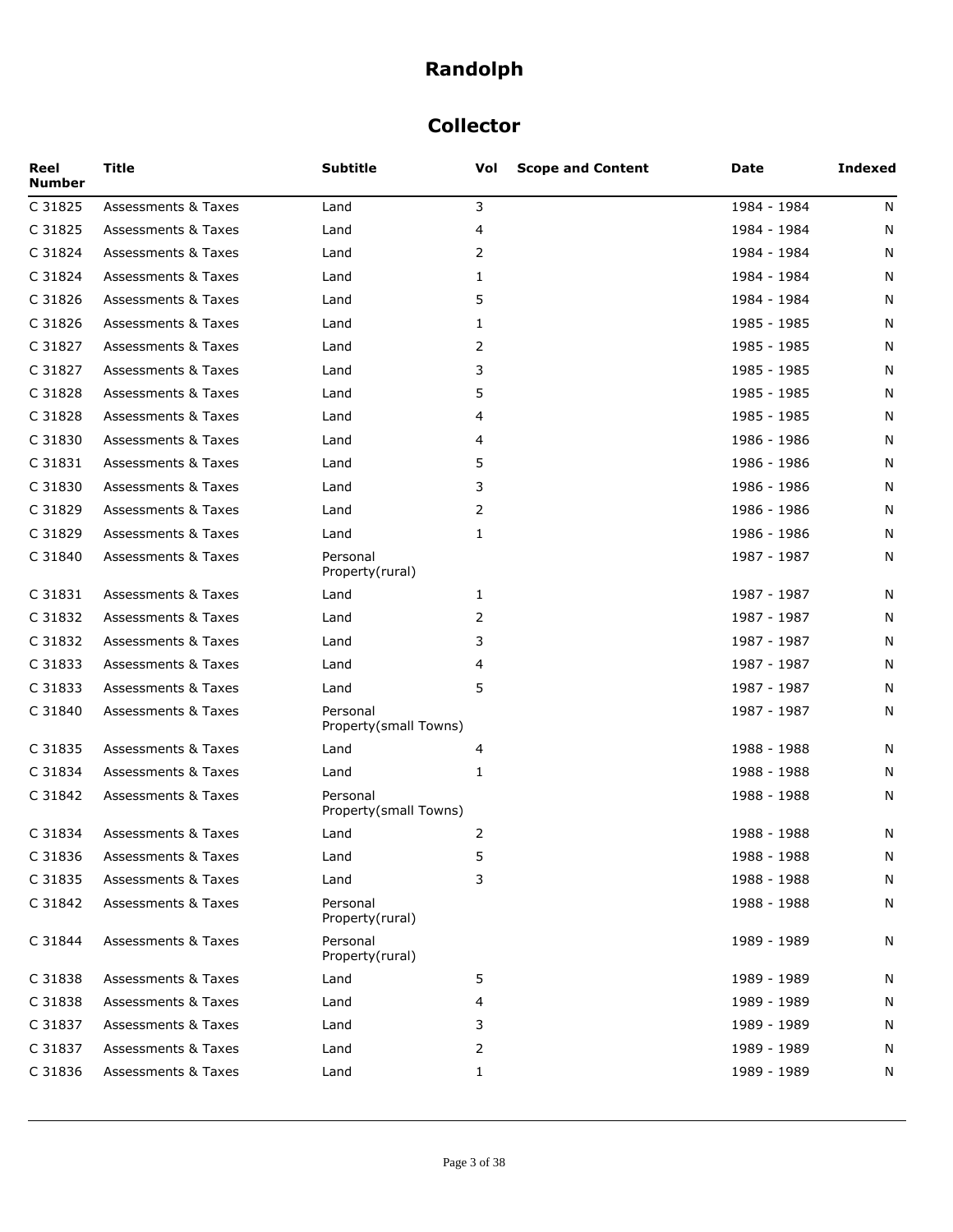### **Collector**

| Reel<br><b>Number</b> | <b>Title</b>                   | <b>Subtitle</b>                   | Vol          | <b>Scope and Content</b> | Date        | <b>Indexed</b> |
|-----------------------|--------------------------------|-----------------------------------|--------------|--------------------------|-------------|----------------|
| C 31825               | <b>Assessments &amp; Taxes</b> | Land                              | 3            |                          | 1984 - 1984 | N              |
| C 31825               | <b>Assessments &amp; Taxes</b> | Land                              | 4            |                          | 1984 - 1984 | N              |
| C 31824               | <b>Assessments &amp; Taxes</b> | Land                              | 2            |                          | 1984 - 1984 | N              |
| C 31824               | Assessments & Taxes            | Land                              | 1            |                          | 1984 - 1984 | N              |
| C 31826               | <b>Assessments &amp; Taxes</b> | Land                              | 5            |                          | 1984 - 1984 | N              |
| C 31826               | <b>Assessments &amp; Taxes</b> | Land                              | 1            |                          | 1985 - 1985 | N              |
| C 31827               | <b>Assessments &amp; Taxes</b> | Land                              | 2            |                          | 1985 - 1985 | N              |
| C 31827               | <b>Assessments &amp; Taxes</b> | Land                              | 3            |                          | 1985 - 1985 | N              |
| C 31828               | <b>Assessments &amp; Taxes</b> | Land                              | 5            |                          | 1985 - 1985 | N              |
| C 31828               | <b>Assessments &amp; Taxes</b> | Land                              | 4            |                          | 1985 - 1985 | N              |
| C 31830               | <b>Assessments &amp; Taxes</b> | Land                              | 4            |                          | 1986 - 1986 | N              |
| C 31831               | <b>Assessments &amp; Taxes</b> | Land                              | 5            |                          | 1986 - 1986 | N              |
| C 31830               | <b>Assessments &amp; Taxes</b> | Land                              | 3            |                          | 1986 - 1986 | N              |
| C 31829               | <b>Assessments &amp; Taxes</b> | Land                              | 2            |                          | 1986 - 1986 | N              |
| C 31829               | <b>Assessments &amp; Taxes</b> | Land                              | 1            |                          | 1986 - 1986 | N              |
| C 31840               | Assessments & Taxes            | Personal<br>Property(rural)       |              |                          | 1987 - 1987 | N              |
| C 31831               | <b>Assessments &amp; Taxes</b> | Land                              | 1            |                          | 1987 - 1987 | N              |
| C 31832               | <b>Assessments &amp; Taxes</b> | Land                              | 2            |                          | 1987 - 1987 | N              |
| C 31832               | <b>Assessments &amp; Taxes</b> | Land                              | 3            |                          | 1987 - 1987 | N              |
| C 31833               | <b>Assessments &amp; Taxes</b> | Land                              | 4            |                          | 1987 - 1987 | N              |
| C 31833               | <b>Assessments &amp; Taxes</b> | Land                              | 5            |                          | 1987 - 1987 | N              |
| C 31840               | <b>Assessments &amp; Taxes</b> | Personal<br>Property(small Towns) |              |                          | 1987 - 1987 | N              |
| C 31835               | <b>Assessments &amp; Taxes</b> | Land                              | 4            |                          | 1988 - 1988 | N              |
| C 31834               | <b>Assessments &amp; Taxes</b> | Land                              | 1            |                          | 1988 - 1988 | N              |
| C 31842               | <b>Assessments &amp; Taxes</b> | Personal<br>Property(small Towns) |              |                          | 1988 - 1988 | N              |
| C 31834               | <b>Assessments &amp; Taxes</b> | Land                              | 2            |                          | 1988 - 1988 | N              |
|                       | C 31836 Assessments & Taxes    | Land                              | 5            |                          | 1988 - 1988 | N              |
| C 31835               | <b>Assessments &amp; Taxes</b> | Land                              | 3            |                          | 1988 - 1988 | N              |
| C 31842               | <b>Assessments &amp; Taxes</b> | Personal<br>Property(rural)       |              |                          | 1988 - 1988 | N              |
| C 31844               | <b>Assessments &amp; Taxes</b> | Personal<br>Property(rural)       |              |                          | 1989 - 1989 | N              |
| C 31838               | <b>Assessments &amp; Taxes</b> | Land                              | 5            |                          | 1989 - 1989 | N              |
| C 31838               | <b>Assessments &amp; Taxes</b> | Land                              | 4            |                          | 1989 - 1989 | N              |
| C 31837               | <b>Assessments &amp; Taxes</b> | Land                              | 3            |                          | 1989 - 1989 | N              |
| C 31837               | <b>Assessments &amp; Taxes</b> | Land                              | 2            |                          | 1989 - 1989 | N              |
| C 31836               | Assessments & Taxes            | Land                              | $\mathbf{1}$ |                          | 1989 - 1989 | N              |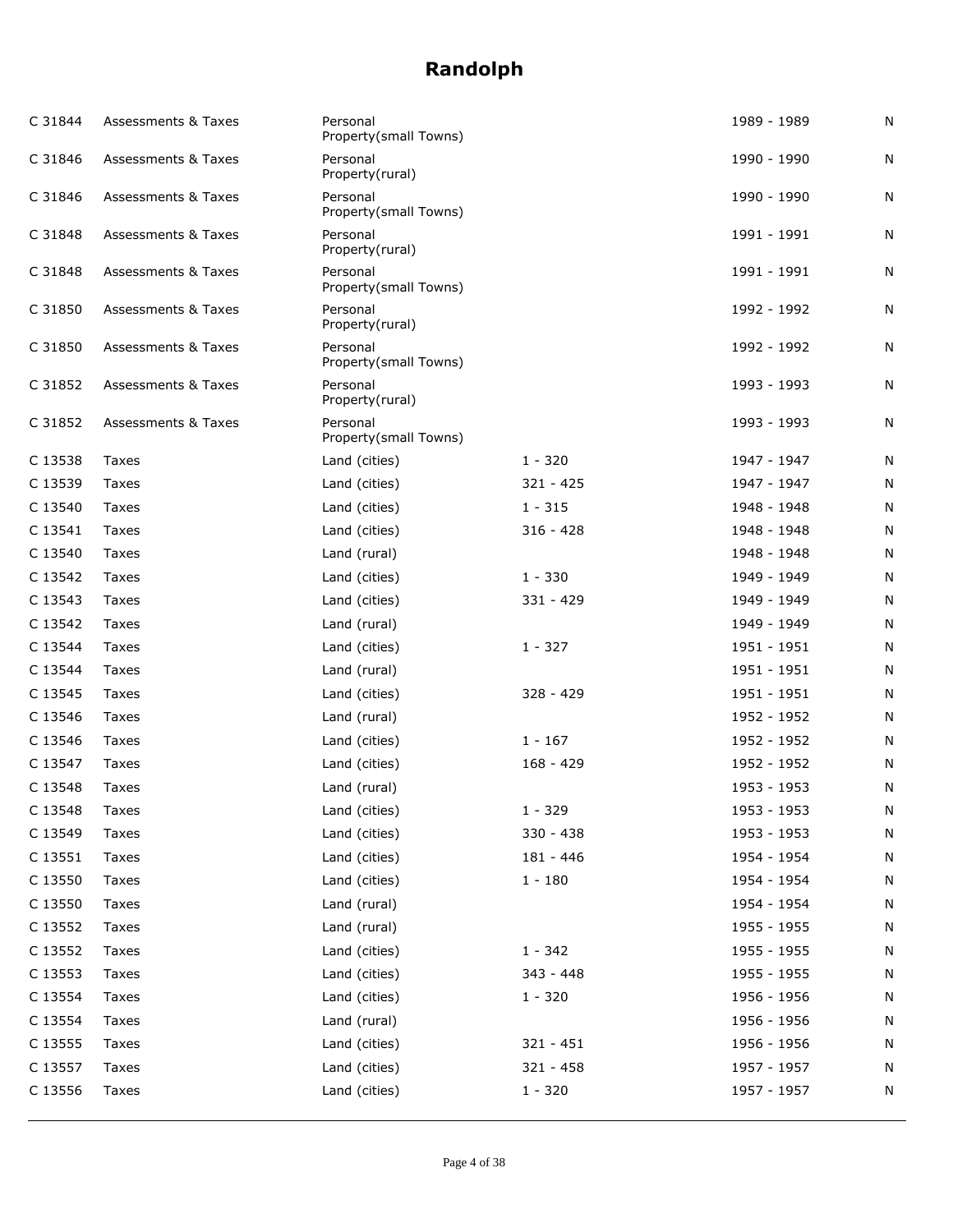| C 31844 | <b>Assessments &amp; Taxes</b> | Personal<br>Property(small Towns) |             | 1989 - 1989 | Ν         |
|---------|--------------------------------|-----------------------------------|-------------|-------------|-----------|
| C 31846 | <b>Assessments &amp; Taxes</b> | Personal<br>Property(rural)       |             | 1990 - 1990 | N         |
| C 31846 | <b>Assessments &amp; Taxes</b> | Personal<br>Property(small Towns) |             | 1990 - 1990 | N         |
| C 31848 | <b>Assessments &amp; Taxes</b> | Personal<br>Property(rural)       |             | 1991 - 1991 | N         |
| C 31848 | <b>Assessments &amp; Taxes</b> | Personal<br>Property(small Towns) |             | 1991 - 1991 | N         |
| C 31850 | <b>Assessments &amp; Taxes</b> | Personal<br>Property(rural)       |             | 1992 - 1992 | N         |
| C 31850 | <b>Assessments &amp; Taxes</b> | Personal<br>Property(small Towns) |             | 1992 - 1992 | N         |
| C 31852 | <b>Assessments &amp; Taxes</b> | Personal<br>Property(rural)       |             | 1993 - 1993 | N         |
| C 31852 | <b>Assessments &amp; Taxes</b> | Personal<br>Property(small Towns) |             | 1993 - 1993 | N         |
| C 13538 | Taxes                          | Land (cities)                     | $1 - 320$   | 1947 - 1947 | N         |
| C 13539 | Taxes                          | Land (cities)                     | $321 - 425$ | 1947 - 1947 | N         |
| C 13540 | Taxes                          | Land (cities)                     | $1 - 315$   | 1948 - 1948 | N         |
| C 13541 | Taxes                          | Land (cities)                     | $316 - 428$ | 1948 - 1948 | N         |
| C 13540 | Taxes                          | Land (rural)                      |             | 1948 - 1948 | N         |
| C 13542 | Taxes                          | Land (cities)                     | $1 - 330$   | 1949 - 1949 | N         |
| C 13543 | Taxes                          | Land (cities)                     | 331 - 429   | 1949 - 1949 | N         |
| C 13542 | Taxes                          | Land (rural)                      |             | 1949 - 1949 | N         |
| C 13544 | Taxes                          | Land (cities)                     | $1 - 327$   | 1951 - 1951 | Ν         |
| C 13544 | Taxes                          | Land (rural)                      |             | 1951 - 1951 | N         |
| C 13545 | Taxes                          | Land (cities)                     | $328 - 429$ | 1951 - 1951 | N         |
| C 13546 | <b>Taxes</b>                   | Land (rural)                      |             | 1952 - 1952 | N         |
| C 13546 | Taxes                          | Land (cities)                     | $1 - 167$   | 1952 - 1952 | N         |
| C 13547 | Taxes                          | Land (cities)                     | $168 - 429$ | 1952 - 1952 | N         |
| C 13548 | Taxes                          | Land (rural)                      |             | 1953 - 1953 | N         |
| C 13548 | Taxes                          | Land (cities)                     | $1 - 329$   | 1953 - 1953 | ${\sf N}$ |
| C 13549 | Taxes                          | Land (cities)                     | 330 - 438   | 1953 - 1953 | N         |
| C 13551 | Taxes                          | Land (cities)                     | 181 - 446   | 1954 - 1954 | Ν         |
| C 13550 | Taxes                          | Land (cities)                     | $1 - 180$   | 1954 - 1954 | N         |
| C 13550 | Taxes                          | Land (rural)                      |             | 1954 - 1954 | Ν         |
| C 13552 | Taxes                          | Land (rural)                      |             | 1955 - 1955 | N         |
| C 13552 | Taxes                          | Land (cities)                     | $1 - 342$   | 1955 - 1955 | N         |
| C 13553 | Taxes                          | Land (cities)                     | 343 - 448   | 1955 - 1955 | N         |
| C 13554 | Taxes                          | Land (cities)                     | $1 - 320$   | 1956 - 1956 | N         |
| C 13554 | Taxes                          | Land (rural)                      |             | 1956 - 1956 | N         |
| C 13555 | Taxes                          | Land (cities)                     | $321 - 451$ | 1956 - 1956 | N         |
| C 13557 | Taxes                          | Land (cities)                     | $321 - 458$ | 1957 - 1957 | N         |
| C 13556 | Taxes                          | Land (cities)                     | $1 - 320$   | 1957 - 1957 | N         |
|         |                                |                                   |             |             |           |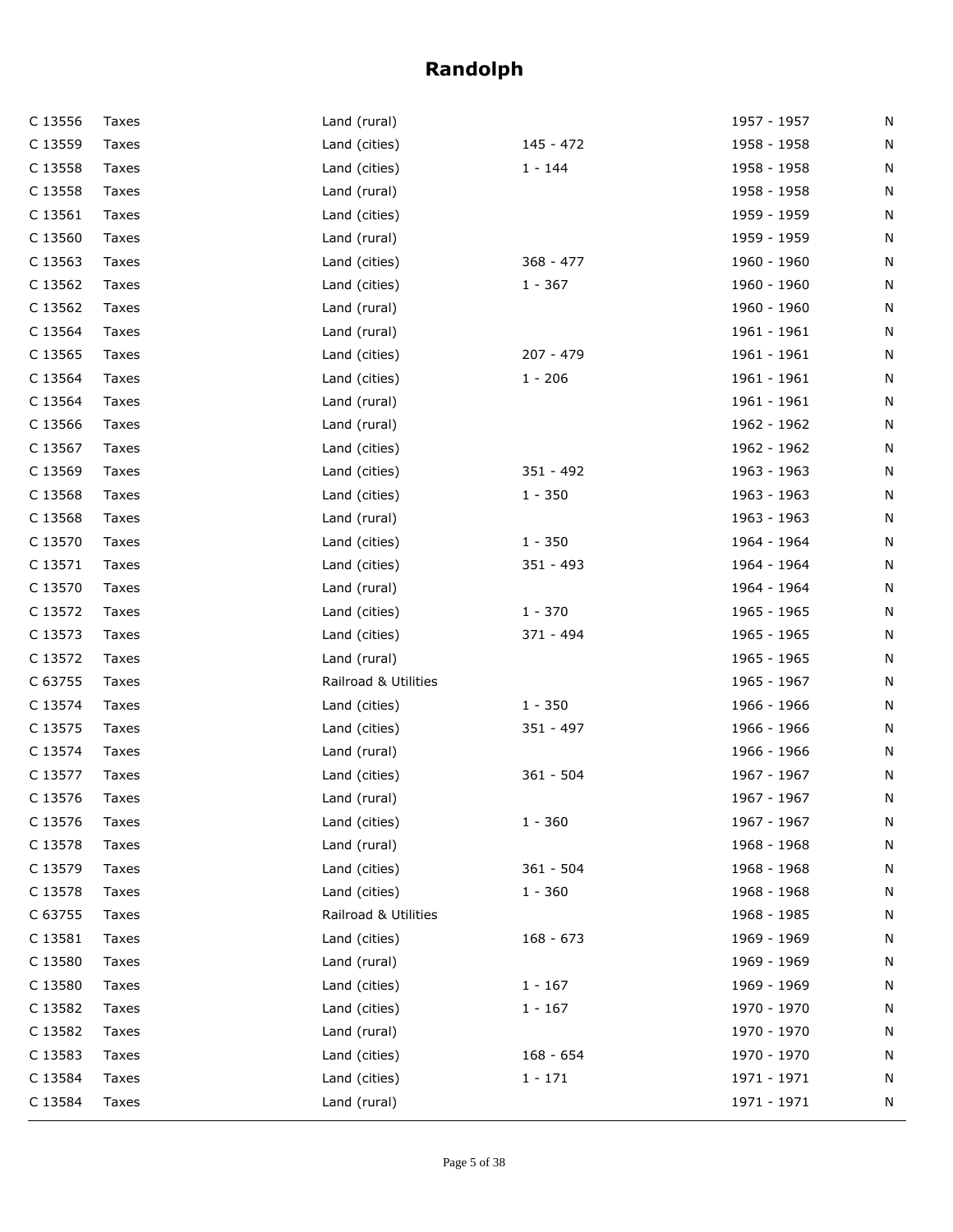| C 13556 | Taxes        | Land (rural)         |             | 1957 - 1957 | N |
|---------|--------------|----------------------|-------------|-------------|---|
| C 13559 | Taxes        | Land (cities)        | 145 - 472   | 1958 - 1958 | N |
| C 13558 | Taxes        | Land (cities)        | $1 - 144$   | 1958 - 1958 | Ν |
| C 13558 | Taxes        | Land (rural)         |             | 1958 - 1958 | N |
| C 13561 | Taxes        | Land (cities)        |             | 1959 - 1959 | Ν |
| C 13560 | Taxes        | Land (rural)         |             | 1959 - 1959 | N |
| C 13563 | Taxes        | Land (cities)        | $368 - 477$ | 1960 - 1960 | N |
| C 13562 | Taxes        | Land (cities)        | $1 - 367$   | 1960 - 1960 | N |
| C 13562 | Taxes        | Land (rural)         |             | 1960 - 1960 | Ν |
| C 13564 | Taxes        | Land (rural)         |             | 1961 - 1961 | Ν |
| C 13565 | Taxes        | Land (cities)        | $207 - 479$ | 1961 - 1961 | N |
| C 13564 | Taxes        | Land (cities)        | $1 - 206$   | 1961 - 1961 | N |
| C 13564 | Taxes        | Land (rural)         |             | 1961 - 1961 | Ν |
| C 13566 | Taxes        | Land (rural)         |             | 1962 - 1962 | Ν |
| C 13567 | Taxes        | Land (cities)        |             | 1962 - 1962 | Ν |
| C 13569 | Taxes        | Land (cities)        | $351 - 492$ | 1963 - 1963 | N |
| C 13568 | Taxes        | Land (cities)        | $1 - 350$   | 1963 - 1963 | N |
| C 13568 | Taxes        | Land (rural)         |             | 1963 - 1963 | Ν |
| C 13570 | Taxes        | Land (cities)        | $1 - 350$   | 1964 - 1964 | N |
| C 13571 | Taxes        | Land (cities)        | $351 - 493$ | 1964 - 1964 | N |
| C 13570 | Taxes        | Land (rural)         |             | 1964 - 1964 | N |
| C 13572 | Taxes        | Land (cities)        | $1 - 370$   | 1965 - 1965 | Ν |
| C 13573 | Taxes        | Land (cities)        | 371 - 494   | 1965 - 1965 | Ν |
| C 13572 | Taxes        | Land (rural)         |             | 1965 - 1965 | N |
| C 63755 | Taxes        | Railroad & Utilities |             | 1965 - 1967 | N |
| C 13574 | Taxes        | Land (cities)        | $1 - 350$   | 1966 - 1966 | N |
| C 13575 | Taxes        | Land (cities)        | 351 - 497   | 1966 - 1966 | N |
| C 13574 | Taxes        | Land (rural)         |             | 1966 - 1966 | N |
| C 13577 | Taxes        | Land (cities)        | $361 - 504$ | 1967 - 1967 | N |
| C 13576 | Taxes        | Land (rural)         |             | 1967 - 1967 | N |
| C 13576 | Taxes        | Land (cities)        | $1 - 360$   | 1967 - 1967 | N |
| C 13578 | Taxes        | Land (rural)         |             | 1968 - 1968 | N |
| C 13579 | Taxes        | Land (cities)        | $361 - 504$ | 1968 - 1968 | Ν |
| C 13578 | Taxes        | Land (cities)        | $1 - 360$   | 1968 - 1968 | N |
| C 63755 | Taxes        | Railroad & Utilities |             | 1968 - 1985 | N |
| C 13581 | <b>Taxes</b> | Land (cities)        | $168 - 673$ | 1969 - 1969 | N |
| C 13580 | Taxes        | Land (rural)         |             | 1969 - 1969 | N |
| C 13580 | <b>Taxes</b> | Land (cities)        | $1 - 167$   | 1969 - 1969 | N |
| C 13582 | Taxes        | Land (cities)        | $1 - 167$   | 1970 - 1970 | N |
| C 13582 | Taxes        | Land (rural)         |             | 1970 - 1970 | N |
| C 13583 | Taxes        | Land (cities)        | $168 - 654$ | 1970 - 1970 | N |
| C 13584 | Taxes        | Land (cities)        | $1 - 171$   | 1971 - 1971 | N |
| C 13584 | Taxes        | Land (rural)         |             | 1971 - 1971 | N |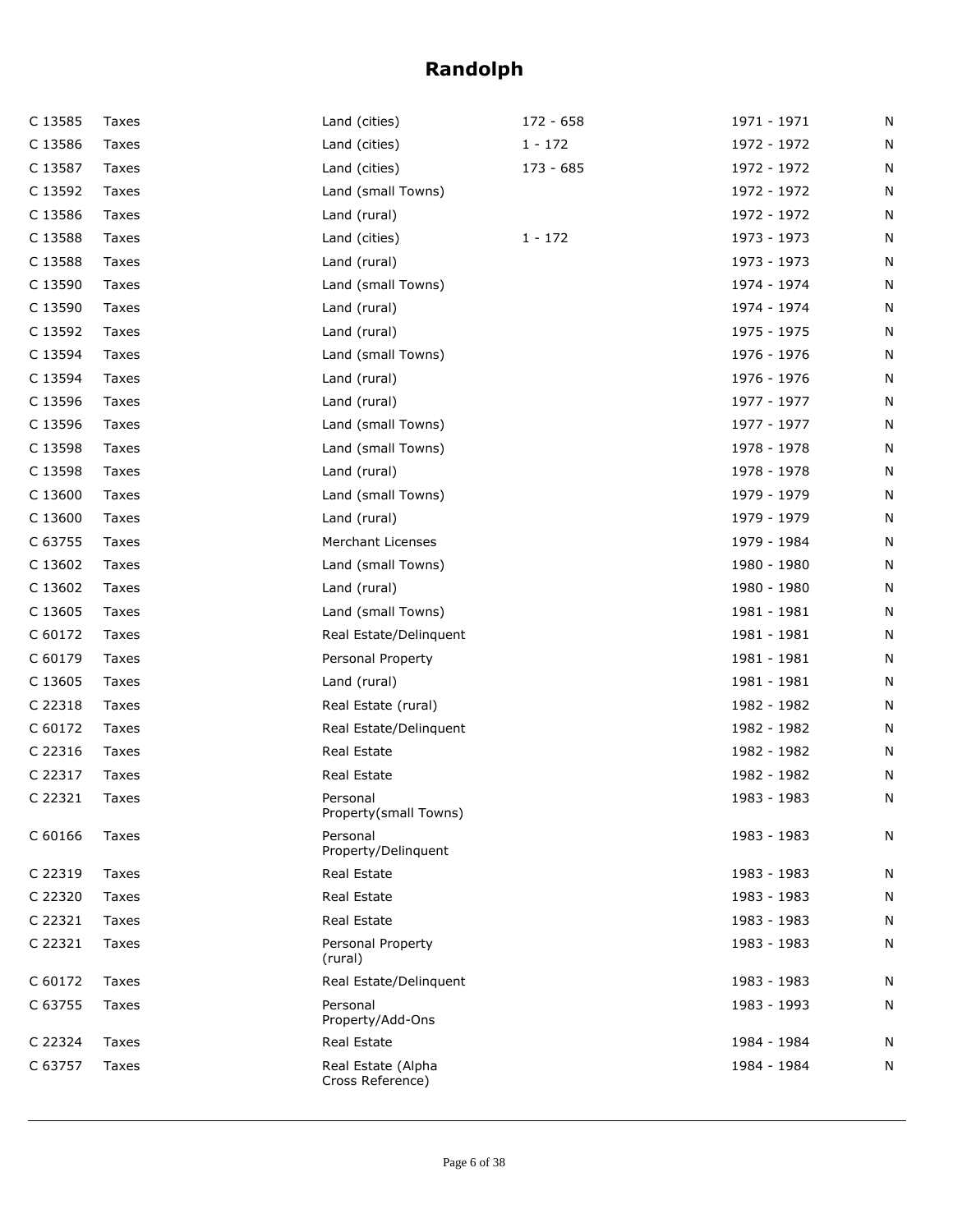| C 13585 | Taxes | Land (cities)                          | 172 - 658 | 1971 - 1971 | N |
|---------|-------|----------------------------------------|-----------|-------------|---|
| C 13586 | Taxes | Land (cities)                          | $1 - 172$ | 1972 - 1972 | N |
| C 13587 | Taxes | Land (cities)                          | 173 - 685 | 1972 - 1972 | N |
| C 13592 | Taxes | Land (small Towns)                     |           | 1972 - 1972 | Ν |
| C 13586 | Taxes | Land (rural)                           |           | 1972 - 1972 | N |
| C 13588 | Taxes | Land (cities)                          | $1 - 172$ | 1973 - 1973 | N |
| C 13588 | Taxes | Land (rural)                           |           | 1973 - 1973 | N |
| C 13590 | Taxes | Land (small Towns)                     |           | 1974 - 1974 | N |
| C 13590 | Taxes | Land (rural)                           |           | 1974 - 1974 | N |
| C 13592 | Taxes | Land (rural)                           |           | 1975 - 1975 | N |
| C 13594 | Taxes | Land (small Towns)                     |           | 1976 - 1976 | N |
| C 13594 | Taxes | Land (rural)                           |           | 1976 - 1976 | N |
| C 13596 | Taxes | Land (rural)                           |           | 1977 - 1977 | N |
| C 13596 | Taxes | Land (small Towns)                     |           | 1977 - 1977 | N |
| C 13598 | Taxes | Land (small Towns)                     |           | 1978 - 1978 | N |
| C 13598 | Taxes | Land (rural)                           |           | 1978 - 1978 | N |
| C 13600 | Taxes | Land (small Towns)                     |           | 1979 - 1979 | N |
| C 13600 | Taxes | Land (rural)                           |           | 1979 - 1979 | N |
| C 63755 | Taxes | Merchant Licenses                      |           | 1979 - 1984 | N |
| C 13602 | Taxes | Land (small Towns)                     |           | 1980 - 1980 | N |
| C 13602 | Taxes | Land (rural)                           |           | 1980 - 1980 | N |
| C 13605 | Taxes | Land (small Towns)                     |           | 1981 - 1981 | N |
| C 60172 | Taxes | Real Estate/Delinquent                 |           | 1981 - 1981 | Ν |
| C 60179 | Taxes | Personal Property                      |           | 1981 - 1981 | N |
| C 13605 | Taxes | Land (rural)                           |           | 1981 - 1981 | N |
| C 22318 | Taxes | Real Estate (rural)                    |           | 1982 - 1982 | N |
| C 60172 | Taxes | Real Estate/Delinquent                 |           | 1982 - 1982 | Ν |
| C 22316 | Taxes | Real Estate                            |           | 1982 - 1982 | N |
| C 22317 | Taxes | Real Estate                            |           | 1982 - 1982 | N |
| C 22321 | Taxes | Personal<br>Property (small Towns)     |           | 1983 - 1983 | N |
| C 60166 | Taxes | Personal<br>Property/Delinquent        |           | 1983 - 1983 | N |
| C 22319 | Taxes | Real Estate                            |           | 1983 - 1983 | N |
| C 22320 | Taxes | Real Estate                            |           | 1983 - 1983 | N |
| C 22321 | Taxes | Real Estate                            |           | 1983 - 1983 | N |
| C 22321 | Taxes | Personal Property<br>(rural)           |           | 1983 - 1983 | N |
| C 60172 | Taxes | Real Estate/Delinguent                 |           | 1983 - 1983 | N |
| C 63755 | Taxes | Personal<br>Property/Add-Ons           |           | 1983 - 1993 | N |
| C 22324 | Taxes | Real Estate                            |           | 1984 - 1984 | N |
| C 63757 | Taxes | Real Estate (Alpha<br>Cross Reference) |           | 1984 - 1984 | Ν |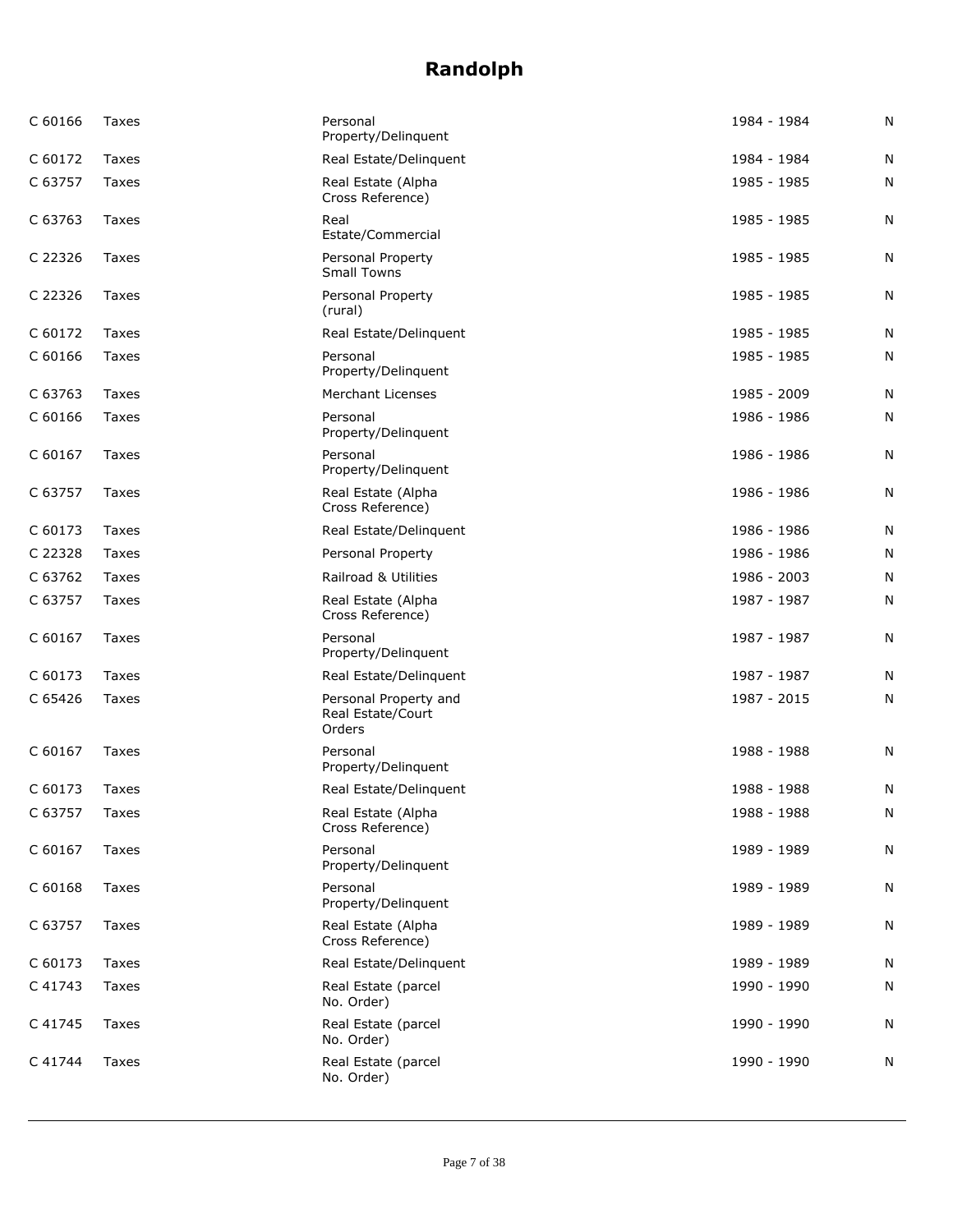| C 60166 | Taxes        | Personal<br>Property/Delinquent                      | 1984 - 1984 | N |
|---------|--------------|------------------------------------------------------|-------------|---|
| C 60172 | Taxes        | Real Estate/Delinguent                               | 1984 - 1984 | N |
| C 63757 | Taxes        | Real Estate (Alpha<br>Cross Reference)               | 1985 - 1985 | N |
| C 63763 | Taxes        | Real<br>Estate/Commercial                            | 1985 - 1985 | N |
| C 22326 | Taxes        | Personal Property<br><b>Small Towns</b>              | 1985 - 1985 | N |
| C 22326 | Taxes        | Personal Property<br>(rural)                         | 1985 - 1985 | N |
| C 60172 | Taxes        | Real Estate/Delinquent                               | 1985 - 1985 | N |
| C 60166 | Taxes        | Personal<br>Property/Delinquent                      | 1985 - 1985 | N |
| C 63763 | Taxes        | <b>Merchant Licenses</b>                             | 1985 - 2009 | N |
| C 60166 | <b>Taxes</b> | Personal<br>Property/Delinquent                      | 1986 - 1986 | N |
| C 60167 | Taxes        | Personal<br>Property/Delinquent                      | 1986 - 1986 | N |
| C 63757 | Taxes        | Real Estate (Alpha<br>Cross Reference)               | 1986 - 1986 | N |
| C 60173 | Taxes        | Real Estate/Delinguent                               | 1986 - 1986 | Ν |
| C 22328 | Taxes        | Personal Property                                    | 1986 - 1986 | N |
| C 63762 | Taxes        | Railroad & Utilities                                 | 1986 - 2003 | N |
| C 63757 | Taxes        | Real Estate (Alpha<br>Cross Reference)               | 1987 - 1987 | N |
| C 60167 | Taxes        | Personal<br>Property/Delinquent                      | 1987 - 1987 | N |
| C 60173 | Taxes        | Real Estate/Delinquent                               | 1987 - 1987 | N |
| C 65426 | Taxes        | Personal Property and<br>Real Estate/Court<br>Orders | 1987 - 2015 | Ν |
| C 60167 | Taxes        | Personal<br>Property/Delinquent                      | 1988 - 1988 | N |
| C 60173 | Taxes        | Real Estate/Delinquent                               | 1988 - 1988 | N |
| C 63757 | Taxes        | Real Estate (Alpha<br>Cross Reference)               | 1988 - 1988 | N |
| C 60167 | Taxes        | Personal<br>Property/Delinquent                      | 1989 - 1989 | N |
| C 60168 | Taxes        | Personal<br>Property/Delinquent                      | 1989 - 1989 | N |
| C 63757 | Taxes        | Real Estate (Alpha<br>Cross Reference)               | 1989 - 1989 | N |
| C 60173 | Taxes        | Real Estate/Delinquent                               | 1989 - 1989 | Ν |
| C 41743 | Taxes        | Real Estate (parcel<br>No. Order)                    | 1990 - 1990 | N |
| C 41745 | Taxes        | Real Estate (parcel<br>No. Order)                    | 1990 - 1990 | N |
| C 41744 | Taxes        | Real Estate (parcel<br>No. Order)                    | 1990 - 1990 | N |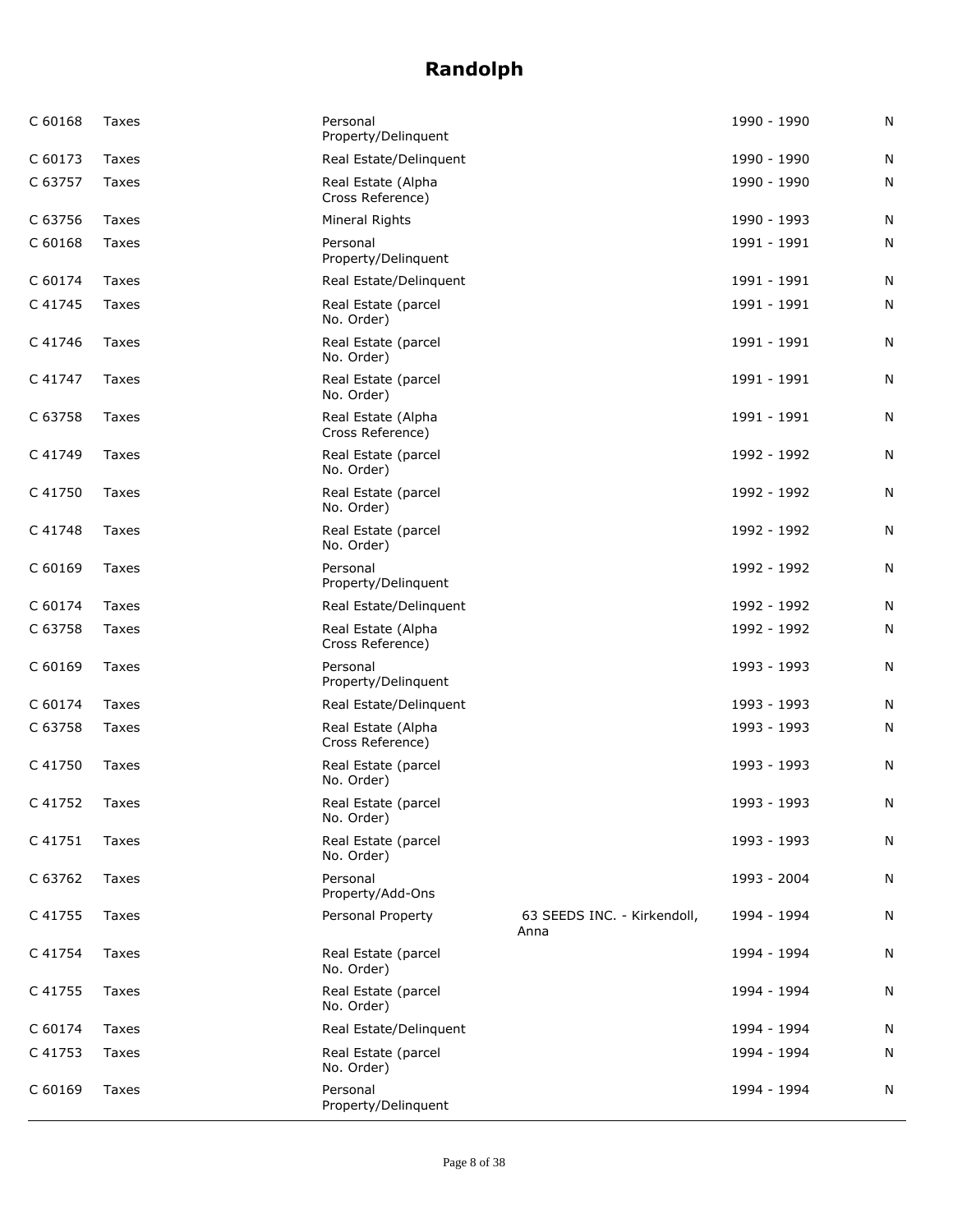| C 60168 | Taxes | Personal<br>Property/Delinquent        |                                     | 1990 - 1990 | Ν |
|---------|-------|----------------------------------------|-------------------------------------|-------------|---|
| C 60173 | Taxes | Real Estate/Delinguent                 |                                     | 1990 - 1990 | N |
| C 63757 | Taxes | Real Estate (Alpha<br>Cross Reference) |                                     | 1990 - 1990 | Ν |
| C 63756 | Taxes | Mineral Rights                         |                                     | 1990 - 1993 | N |
| C 60168 | Taxes | Personal<br>Property/Delinquent        |                                     | 1991 - 1991 | N |
| C 60174 | Taxes | Real Estate/Delinquent                 |                                     | 1991 - 1991 | Ν |
| C 41745 | Taxes | Real Estate (parcel<br>No. Order)      |                                     | 1991 - 1991 | N |
| C 41746 | Taxes | Real Estate (parcel<br>No. Order)      |                                     | 1991 - 1991 | N |
| C 41747 | Taxes | Real Estate (parcel<br>No. Order)      |                                     | 1991 - 1991 | N |
| C 63758 | Taxes | Real Estate (Alpha<br>Cross Reference) |                                     | 1991 - 1991 | N |
| C 41749 | Taxes | Real Estate (parcel<br>No. Order)      |                                     | 1992 - 1992 | N |
| C 41750 | Taxes | Real Estate (parcel<br>No. Order)      |                                     | 1992 - 1992 | N |
| C 41748 | Taxes | Real Estate (parcel<br>No. Order)      |                                     | 1992 - 1992 | N |
| C 60169 | Taxes | Personal<br>Property/Delinquent        |                                     | 1992 - 1992 | N |
| C 60174 | Taxes | Real Estate/Delinquent                 |                                     | 1992 - 1992 | N |
| C 63758 | Taxes | Real Estate (Alpha<br>Cross Reference) |                                     | 1992 - 1992 | N |
| C 60169 | Taxes | Personal<br>Property/Delinquent        |                                     | 1993 - 1993 | N |
| C 60174 | Taxes | Real Estate/Delinguent                 |                                     | 1993 - 1993 | N |
| C 63758 | Taxes | Real Estate (Alpha<br>Cross Reference) |                                     | 1993 - 1993 | Ν |
| C 41750 | Taxes | Real Estate (parcel<br>No. Order)      |                                     | 1993 - 1993 | N |
| C 41752 | Taxes | Real Estate (parcel<br>No. Order)      |                                     | 1993 - 1993 | N |
| C 41751 | Taxes | Real Estate (parcel<br>No. Order)      |                                     | 1993 - 1993 | N |
| C 63762 | Taxes | Personal<br>Property/Add-Ons           |                                     | 1993 - 2004 | N |
| C 41755 | Taxes | Personal Property                      | 63 SEEDS INC. - Kirkendoll,<br>Anna | 1994 - 1994 | N |
| C 41754 | Taxes | Real Estate (parcel<br>No. Order)      |                                     | 1994 - 1994 | N |
| C 41755 | Taxes | Real Estate (parcel<br>No. Order)      |                                     | 1994 - 1994 | N |
| C 60174 | Taxes | Real Estate/Delinquent                 |                                     | 1994 - 1994 | N |
| C 41753 | Taxes | Real Estate (parcel<br>No. Order)      |                                     | 1994 - 1994 | N |
| C 60169 | Taxes | Personal<br>Property/Delinquent        |                                     | 1994 - 1994 | N |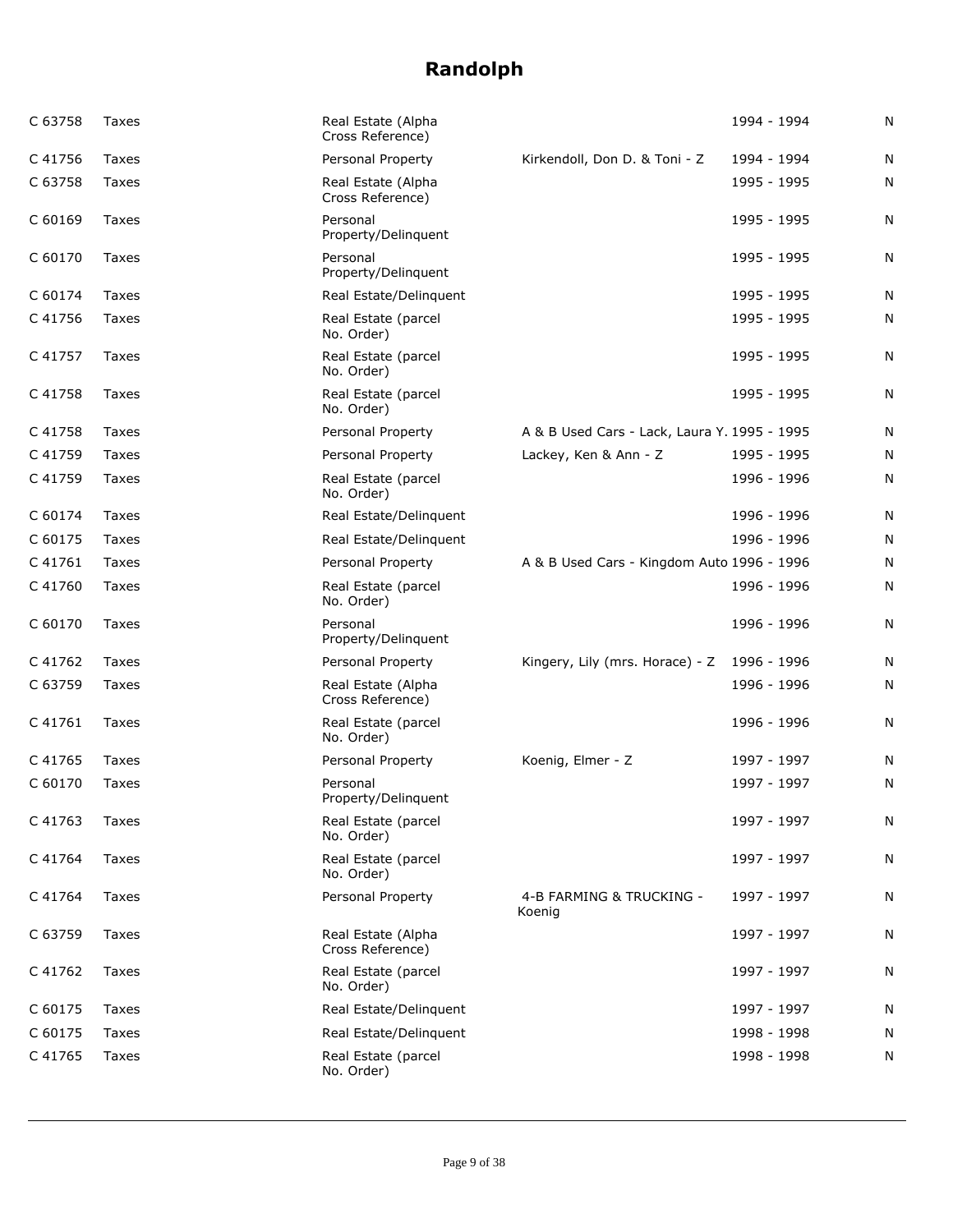| C 63758 | Taxes | Real Estate (Alpha<br>Cross Reference) |                                              | 1994 - 1994 | N |
|---------|-------|----------------------------------------|----------------------------------------------|-------------|---|
| C 41756 | Taxes | Personal Property                      | Kirkendoll, Don D. & Toni - Z                | 1994 - 1994 | N |
| C 63758 | Taxes | Real Estate (Alpha<br>Cross Reference) |                                              | 1995 - 1995 | N |
| C 60169 | Taxes | Personal<br>Property/Delinquent        |                                              | 1995 - 1995 | N |
| C 60170 | Taxes | Personal<br>Property/Delinquent        |                                              | 1995 - 1995 | N |
| C 60174 | Taxes | Real Estate/Delinguent                 |                                              | 1995 - 1995 | N |
| C 41756 | Taxes | Real Estate (parcel<br>No. Order)      |                                              | 1995 - 1995 | N |
| C 41757 | Taxes | Real Estate (parcel<br>No. Order)      |                                              | 1995 - 1995 | N |
| C 41758 | Taxes | Real Estate (parcel<br>No. Order)      |                                              | 1995 - 1995 | N |
| C 41758 | Taxes | Personal Property                      | A & B Used Cars - Lack, Laura Y. 1995 - 1995 |             | N |
| C 41759 | Taxes | Personal Property                      | Lackey, Ken & Ann - Z                        | 1995 - 1995 | N |
| C 41759 | Taxes | Real Estate (parcel<br>No. Order)      |                                              | 1996 - 1996 | N |
| C 60174 | Taxes | Real Estate/Delinquent                 |                                              | 1996 - 1996 | N |
| C 60175 | Taxes | Real Estate/Delinguent                 |                                              | 1996 - 1996 | N |
| C 41761 | Taxes | Personal Property                      | A & B Used Cars - Kingdom Auto 1996 - 1996   |             | N |
| C 41760 | Taxes | Real Estate (parcel<br>No. Order)      |                                              | 1996 - 1996 | N |
| C 60170 | Taxes | Personal<br>Property/Delinquent        |                                              | 1996 - 1996 | N |
| C 41762 | Taxes | Personal Property                      | Kingery, Lily (mrs. Horace) - Z              | 1996 - 1996 | N |
| C 63759 | Taxes | Real Estate (Alpha<br>Cross Reference) |                                              | 1996 - 1996 | N |
| C 41761 | Taxes | Real Estate (parcel<br>No. Order)      |                                              | 1996 - 1996 | N |
| C 41765 | Taxes | Personal Property                      | Koenig, Elmer - Z                            | 1997 - 1997 | N |
| C 60170 | Taxes | Personal<br>Property/Delinquent        |                                              | 1997 - 1997 | N |
| C 41763 | Taxes | Real Estate (parcel<br>No. Order)      |                                              | 1997 - 1997 | N |
| C 41764 | Taxes | Real Estate (parcel<br>No. Order)      |                                              | 1997 - 1997 | N |
| C 41764 | Taxes | Personal Property                      | 4-B FARMING & TRUCKING -<br>Koenig           | 1997 - 1997 | N |
| C 63759 | Taxes | Real Estate (Alpha<br>Cross Reference) |                                              | 1997 - 1997 | N |
| C 41762 | Taxes | Real Estate (parcel<br>No. Order)      |                                              | 1997 - 1997 | N |
| C 60175 | Taxes | Real Estate/Delinquent                 |                                              | 1997 - 1997 | N |
| C 60175 | Taxes | Real Estate/Delinquent                 |                                              | 1998 - 1998 | N |
| C 41765 | Taxes | Real Estate (parcel<br>No. Order)      |                                              | 1998 - 1998 | N |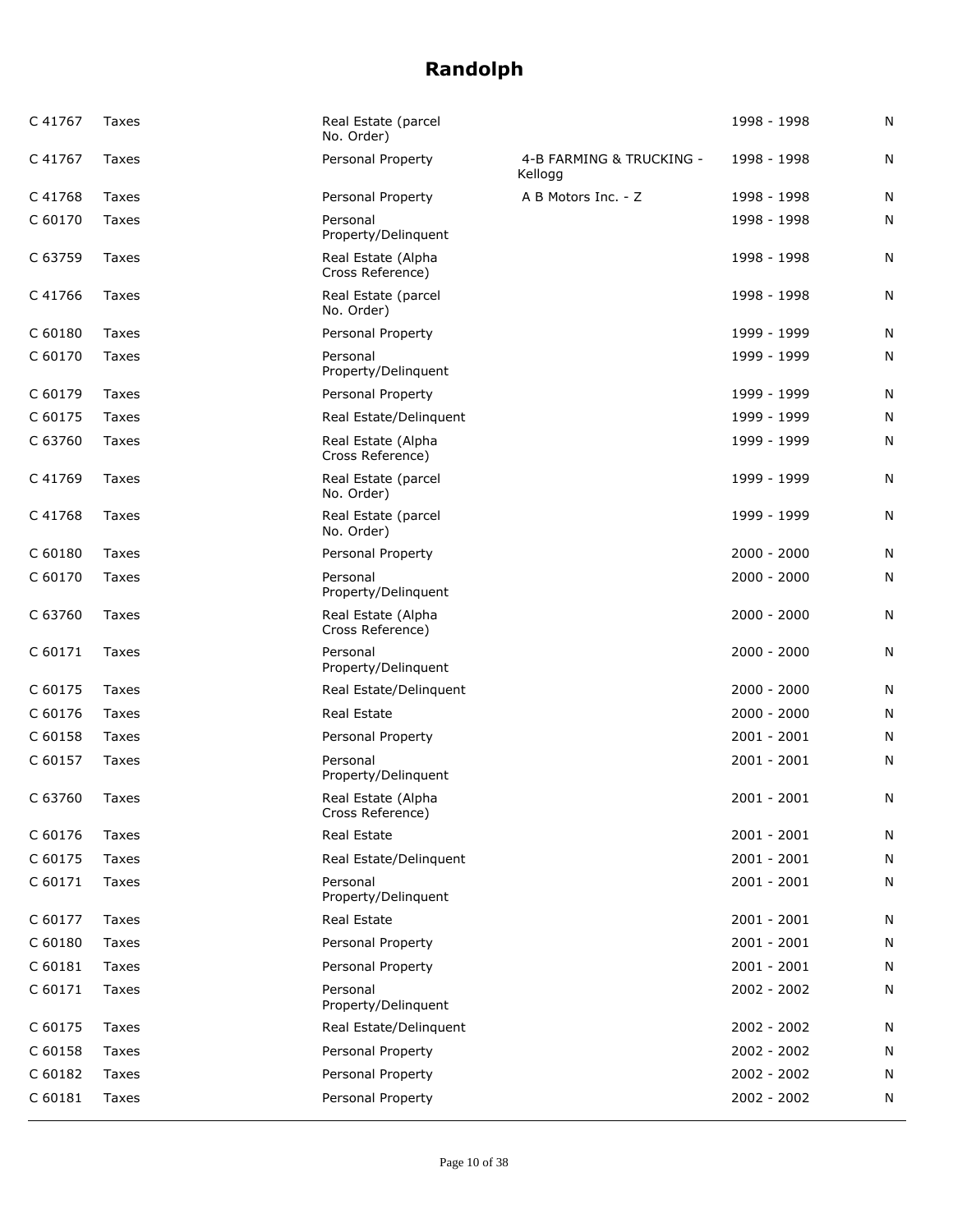| C 41767 | Taxes | Real Estate (parcel<br>No. Order)      |                                     | 1998 - 1998   | N |
|---------|-------|----------------------------------------|-------------------------------------|---------------|---|
| C 41767 | Taxes | Personal Property                      | 4-B FARMING & TRUCKING -<br>Kellogg | 1998 - 1998   | N |
| C 41768 | Taxes | Personal Property                      | A B Motors Inc. - Z                 | 1998 - 1998   | N |
| C 60170 | Taxes | Personal<br>Property/Delinquent        |                                     | 1998 - 1998   | N |
| C 63759 | Taxes | Real Estate (Alpha<br>Cross Reference) |                                     | 1998 - 1998   | N |
| C 41766 | Taxes | Real Estate (parcel<br>No. Order)      |                                     | 1998 - 1998   | N |
| C 60180 | Taxes | Personal Property                      |                                     | 1999 - 1999   | N |
| C 60170 | Taxes | Personal<br>Property/Delinquent        |                                     | 1999 - 1999   | N |
| C 60179 | Taxes | Personal Property                      |                                     | 1999 - 1999   | N |
| C 60175 | Taxes | Real Estate/Delinguent                 |                                     | 1999 - 1999   | N |
| C 63760 | Taxes | Real Estate (Alpha<br>Cross Reference) |                                     | 1999 - 1999   | N |
| C 41769 | Taxes | Real Estate (parcel<br>No. Order)      |                                     | 1999 - 1999   | N |
| C 41768 | Taxes | Real Estate (parcel<br>No. Order)      |                                     | 1999 - 1999   | N |
| C 60180 | Taxes | Personal Property                      |                                     | $2000 - 2000$ | Ν |
| C 60170 | Taxes | Personal<br>Property/Delinquent        |                                     | $2000 - 2000$ | N |
| C 63760 | Taxes | Real Estate (Alpha<br>Cross Reference) |                                     | $2000 - 2000$ | N |
| C 60171 | Taxes | Personal<br>Property/Delinquent        |                                     | $2000 - 2000$ | N |
| C 60175 | Taxes | Real Estate/Delinguent                 |                                     | $2000 - 2000$ | N |
| C 60176 | Taxes | Real Estate                            |                                     | $2000 - 2000$ | N |
| C 60158 | Taxes | Personal Property                      |                                     | $2001 - 2001$ | N |
| C 60157 | Taxes | Personal<br>Property/Delinquent        |                                     | 2001 - 2001   | N |
| C 63760 | Taxes | Real Estate (Alpha<br>Cross Reference) |                                     | $2001 - 2001$ | N |
| C 60176 | Taxes | Real Estate                            |                                     | $2001 - 2001$ | N |
| C 60175 | Taxes | Real Estate/Delinguent                 |                                     | $2001 - 2001$ | N |
| C 60171 | Taxes | Personal<br>Property/Delinquent        |                                     | 2001 - 2001   | N |
| C 60177 | Taxes | Real Estate                            |                                     | $2001 - 2001$ | N |
| C 60180 | Taxes | Personal Property                      |                                     | $2001 - 2001$ | N |
| C 60181 | Taxes | Personal Property                      |                                     | $2001 - 2001$ | N |
| C 60171 | Taxes | Personal<br>Property/Delinquent        |                                     | $2002 - 2002$ | N |
| C 60175 | Taxes | Real Estate/Delinquent                 |                                     | $2002 - 2002$ | N |
| C 60158 | Taxes | Personal Property                      |                                     | $2002 - 2002$ | N |
| C 60182 | Taxes | Personal Property                      |                                     | $2002 - 2002$ | N |
| C 60181 | Taxes | Personal Property                      |                                     | $2002 - 2002$ | N |
|         |       |                                        |                                     |               |   |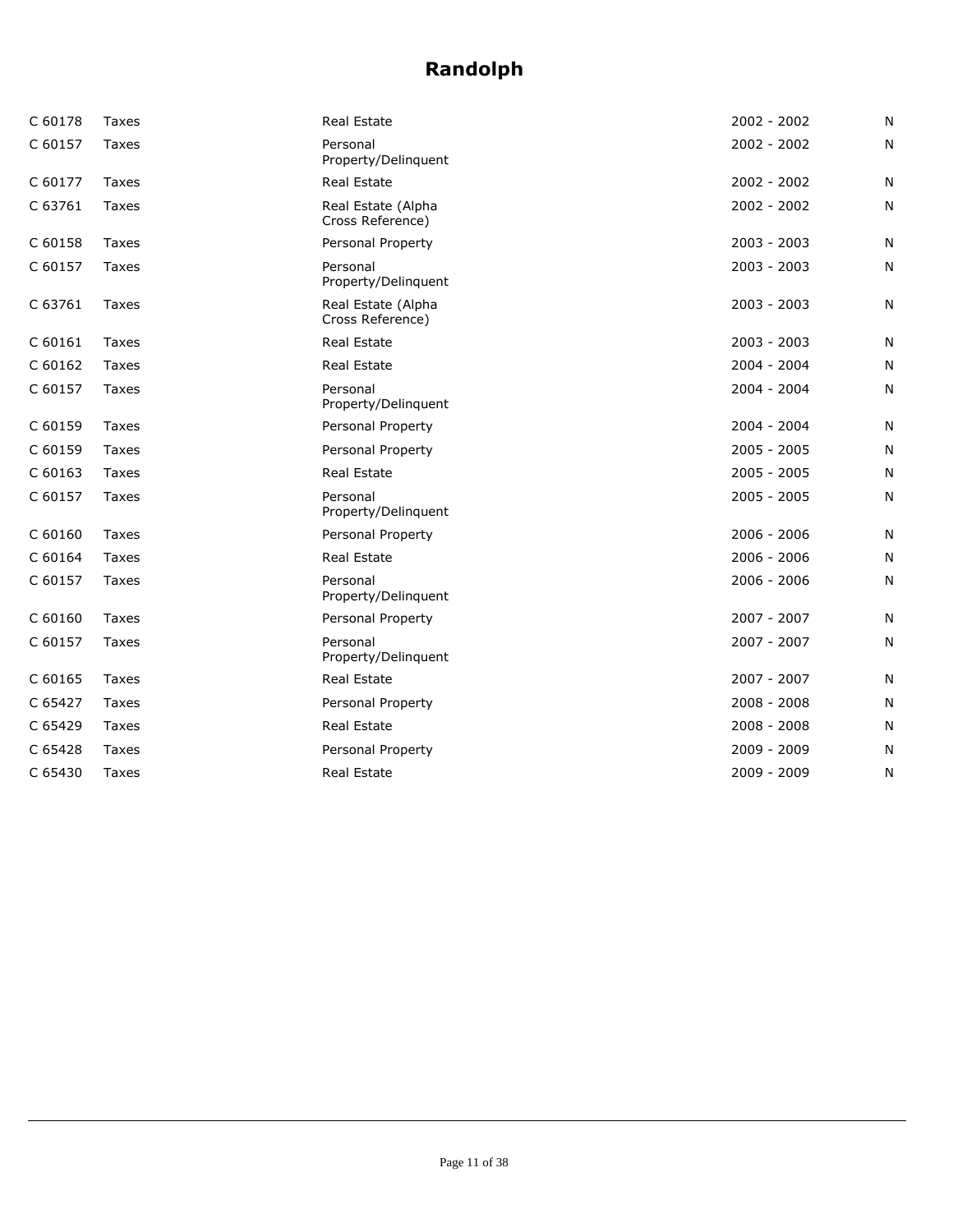| C 60178 | Taxes        | Real Estate                            | $2002 - 2002$ | N |
|---------|--------------|----------------------------------------|---------------|---|
| C 60157 | Taxes        | Personal<br>Property/Delinquent        | $2002 - 2002$ | N |
| C 60177 | <b>Taxes</b> | Real Estate                            | $2002 - 2002$ | N |
| C 63761 | <b>Taxes</b> | Real Estate (Alpha<br>Cross Reference) | $2002 - 2002$ | N |
| C 60158 | Taxes        | Personal Property                      | $2003 - 2003$ | N |
| C 60157 | Taxes        | Personal<br>Property/Delinquent        | $2003 - 2003$ | N |
| C 63761 | Taxes        | Real Estate (Alpha<br>Cross Reference) | $2003 - 2003$ | N |
| C 60161 | <b>Taxes</b> | <b>Real Estate</b>                     | $2003 - 2003$ | N |
| C 60162 | Taxes        | Real Estate                            | 2004 - 2004   | N |
| C 60157 | Taxes        | Personal<br>Property/Delinquent        | $2004 - 2004$ | N |
| C 60159 | <b>Taxes</b> | Personal Property                      | $2004 - 2004$ | N |
| C 60159 | Taxes        | Personal Property                      | $2005 - 2005$ | N |
| C 60163 | Taxes        | <b>Real Estate</b>                     | $2005 - 2005$ | N |
| C 60157 | Taxes        | Personal<br>Property/Delinquent        | $2005 - 2005$ | N |
| C 60160 | Taxes        | Personal Property                      | $2006 - 2006$ | N |
| C 60164 | <b>Taxes</b> | <b>Real Estate</b>                     | 2006 - 2006   | N |
| C 60157 | Taxes        | Personal<br>Property/Delinquent        | $2006 - 2006$ | N |
| C 60160 | Taxes        | Personal Property                      | 2007 - 2007   | N |
| C 60157 | Taxes        | Personal<br>Property/Delinquent        | 2007 - 2007   | N |
| C 60165 | Taxes        | <b>Real Estate</b>                     | 2007 - 2007   | N |
| C 65427 | <b>Taxes</b> | Personal Property                      | $2008 - 2008$ | N |
| C 65429 | Taxes        | Real Estate                            | $2008 - 2008$ | N |
| C 65428 | <b>Taxes</b> | Personal Property                      | 2009 - 2009   | N |
| C 65430 | Taxes        | Real Estate                            | 2009 - 2009   | N |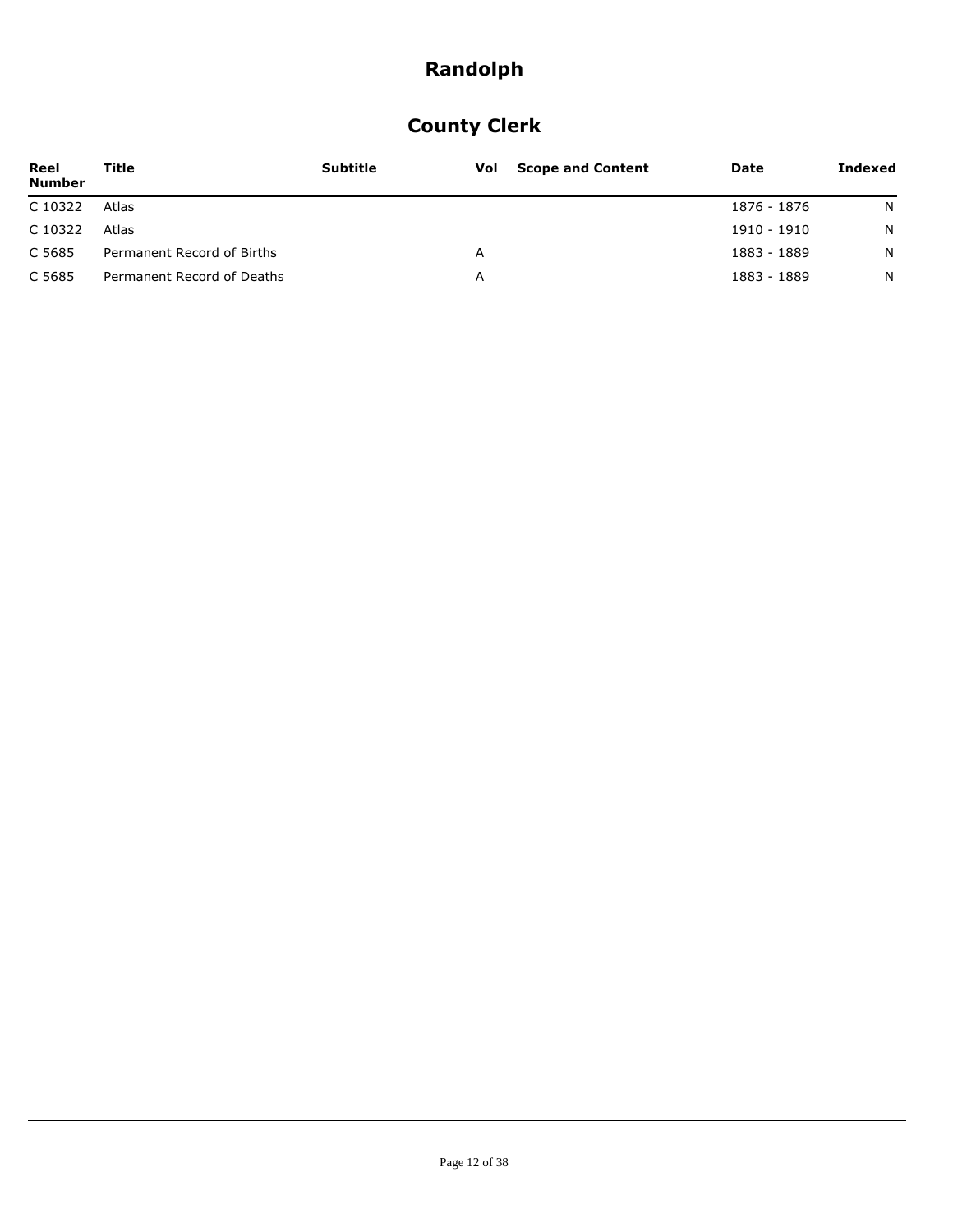# **County Clerk**

| Reel<br><b>Number</b> | Title                      | <b>Subtitle</b> |   | <b>Vol</b> Scope and Content | Date        | Indexed |
|-----------------------|----------------------------|-----------------|---|------------------------------|-------------|---------|
| C 10322               | Atlas                      |                 |   |                              | 1876 - 1876 | N       |
| C 10322               | Atlas                      |                 |   |                              | 1910 - 1910 | N       |
| C 5685                | Permanent Record of Births |                 | A |                              | 1883 - 1889 | N       |
| C 5685                | Permanent Record of Deaths |                 | A |                              | 1883 - 1889 | N       |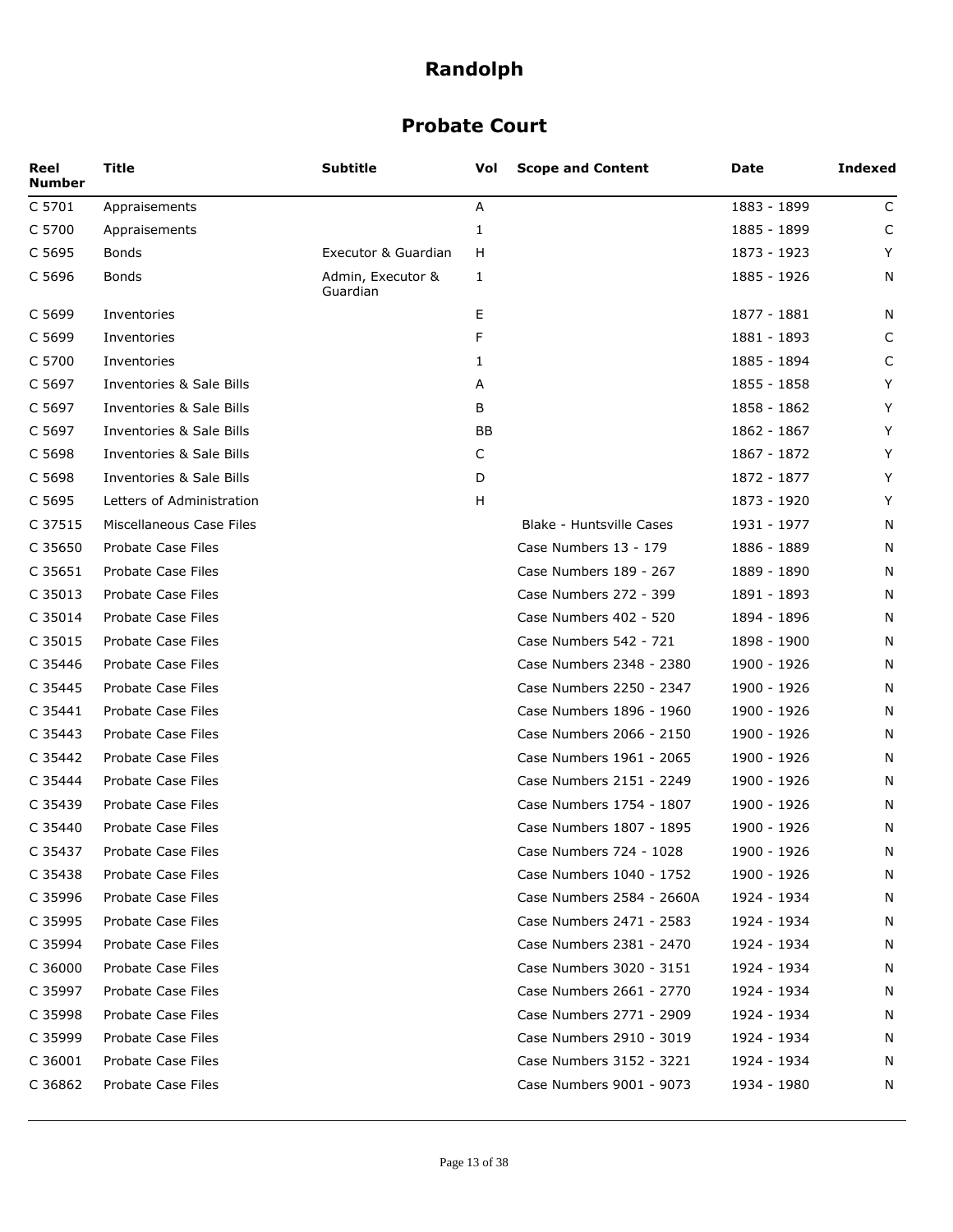#### **Probate Court**

| Reel<br><b>Number</b> | Title                     | <b>Subtitle</b>               | Vol | <b>Scope and Content</b>  | Date        | <b>Indexed</b> |
|-----------------------|---------------------------|-------------------------------|-----|---------------------------|-------------|----------------|
| C 5701                | Appraisements             |                               | Α   |                           | 1883 - 1899 | C              |
| C 5700                | Appraisements             |                               | 1   |                           | 1885 - 1899 | C              |
| C 5695                | <b>Bonds</b>              | Executor & Guardian           | H   |                           | 1873 - 1923 | Y              |
| C 5696                | Bonds                     | Admin, Executor &<br>Guardian | 1   |                           | 1885 - 1926 | N              |
| C 5699                | Inventories               |                               | Е   |                           | 1877 - 1881 | N              |
| C 5699                | Inventories               |                               | F   |                           | 1881 - 1893 | C              |
| C 5700                | Inventories               |                               | 1   |                           | 1885 - 1894 | C              |
| C 5697                | Inventories & Sale Bills  |                               | A   |                           | 1855 - 1858 | Y              |
| C 5697                | Inventories & Sale Bills  |                               | B   |                           | 1858 - 1862 | Y              |
| C 5697                | Inventories & Sale Bills  |                               | BB  |                           | 1862 - 1867 | Y              |
| C 5698                | Inventories & Sale Bills  |                               | C   |                           | 1867 - 1872 | Y              |
| C 5698                | Inventories & Sale Bills  |                               | D   |                           | 1872 - 1877 | Y              |
| C 5695                | Letters of Administration |                               | н   |                           | 1873 - 1920 | Y              |
| C 37515               | Miscellaneous Case Files  |                               |     | Blake - Huntsville Cases  | 1931 - 1977 | N              |
| C 35650               | Probate Case Files        |                               |     | Case Numbers 13 - 179     | 1886 - 1889 | N              |
| C 35651               | Probate Case Files        |                               |     | Case Numbers 189 - 267    | 1889 - 1890 | N              |
| C 35013               | Probate Case Files        |                               |     | Case Numbers 272 - 399    | 1891 - 1893 | N              |
| C 35014               | Probate Case Files        |                               |     | Case Numbers 402 - 520    | 1894 - 1896 | N              |
| C 35015               | Probate Case Files        |                               |     | Case Numbers 542 - 721    | 1898 - 1900 | N              |
| C 35446               | Probate Case Files        |                               |     | Case Numbers 2348 - 2380  | 1900 - 1926 | N              |
| C 35445               | Probate Case Files        |                               |     | Case Numbers 2250 - 2347  | 1900 - 1926 | N              |
| C 35441               | Probate Case Files        |                               |     | Case Numbers 1896 - 1960  | 1900 - 1926 | N              |
| C 35443               | Probate Case Files        |                               |     | Case Numbers 2066 - 2150  | 1900 - 1926 | N              |
| C 35442               | Probate Case Files        |                               |     | Case Numbers 1961 - 2065  | 1900 - 1926 | N              |
| C 35444               | Probate Case Files        |                               |     | Case Numbers 2151 - 2249  | 1900 - 1926 | N              |
| C 35439               | Probate Case Files        |                               |     | Case Numbers 1754 - 1807  | 1900 - 1926 | N              |
| C 35440               | <b>Probate Case Files</b> |                               |     | Case Numbers 1807 - 1895  | 1900 - 1926 | N              |
| C 35437               | Probate Case Files        |                               |     | Case Numbers 724 - 1028   | 1900 - 1926 | N              |
| C 35438               | Probate Case Files        |                               |     | Case Numbers 1040 - 1752  | 1900 - 1926 | N              |
| C 35996               | Probate Case Files        |                               |     | Case Numbers 2584 - 2660A | 1924 - 1934 | N              |
| C 35995               | Probate Case Files        |                               |     | Case Numbers 2471 - 2583  | 1924 - 1934 | N              |
| C 35994               | Probate Case Files        |                               |     | Case Numbers 2381 - 2470  | 1924 - 1934 | N              |
| C 36000               | Probate Case Files        |                               |     | Case Numbers 3020 - 3151  | 1924 - 1934 | N              |
| C 35997               | Probate Case Files        |                               |     | Case Numbers 2661 - 2770  | 1924 - 1934 | N              |
| C 35998               | Probate Case Files        |                               |     | Case Numbers 2771 - 2909  | 1924 - 1934 | N              |
| C 35999               | Probate Case Files        |                               |     | Case Numbers 2910 - 3019  | 1924 - 1934 | N              |
| C 36001               | Probate Case Files        |                               |     | Case Numbers 3152 - 3221  | 1924 - 1934 | N              |
| C 36862               | Probate Case Files        |                               |     | Case Numbers 9001 - 9073  | 1934 - 1980 | N              |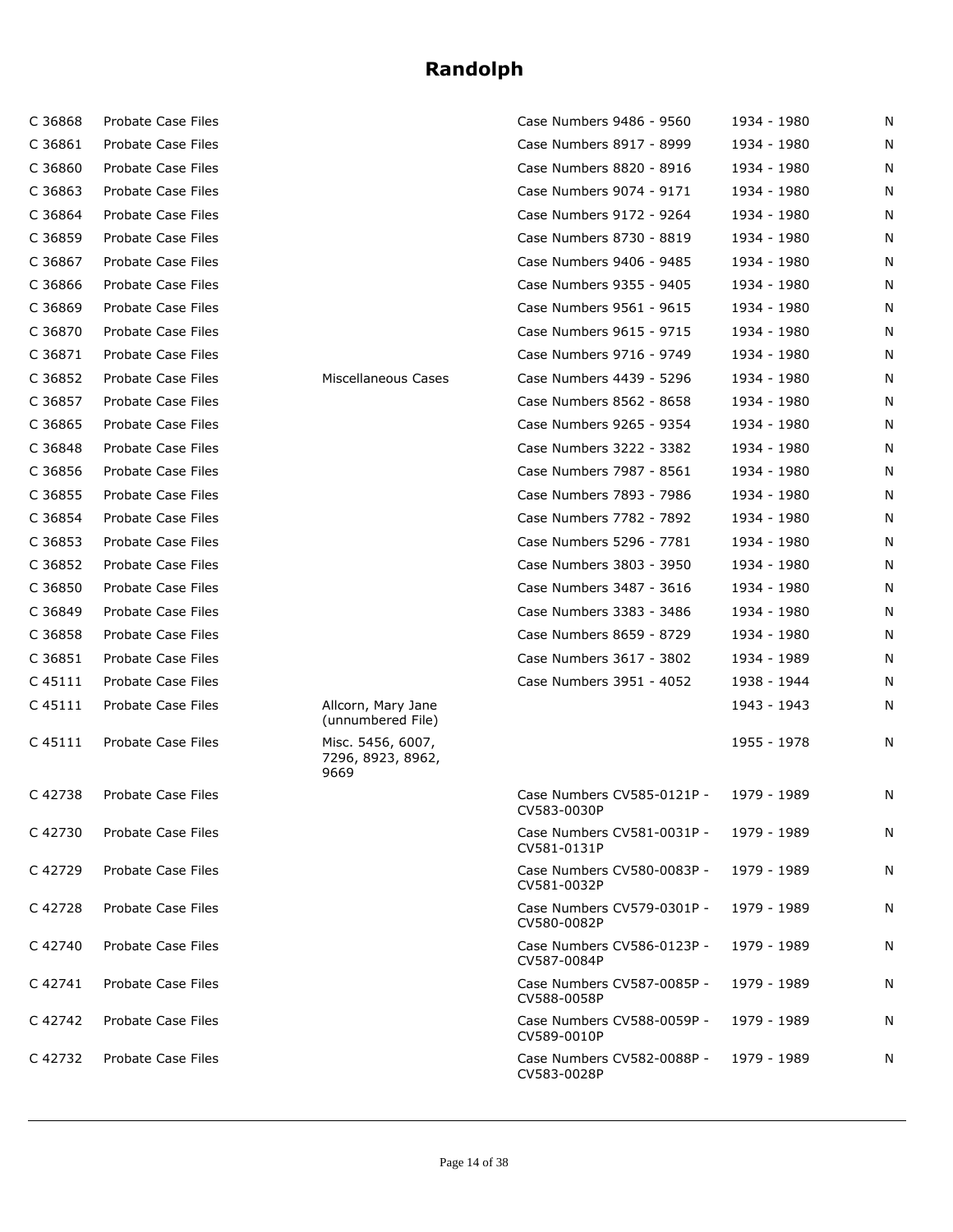| C 36868 | Probate Case Files |                                                | Case Numbers 9486 - 9560                  | 1934 - 1980 | N |
|---------|--------------------|------------------------------------------------|-------------------------------------------|-------------|---|
| C 36861 | Probate Case Files |                                                | Case Numbers 8917 - 8999                  | 1934 - 1980 | N |
| C 36860 | Probate Case Files |                                                | Case Numbers 8820 - 8916                  | 1934 - 1980 | N |
| C 36863 | Probate Case Files |                                                | Case Numbers 9074 - 9171                  | 1934 - 1980 | N |
| C 36864 | Probate Case Files |                                                | Case Numbers 9172 - 9264                  | 1934 - 1980 | N |
| C 36859 | Probate Case Files |                                                | Case Numbers 8730 - 8819                  | 1934 - 1980 | N |
| C 36867 | Probate Case Files |                                                | Case Numbers 9406 - 9485                  | 1934 - 1980 | N |
| C 36866 | Probate Case Files |                                                | Case Numbers 9355 - 9405                  | 1934 - 1980 | N |
| C 36869 | Probate Case Files |                                                | Case Numbers 9561 - 9615                  | 1934 - 1980 | N |
| C 36870 | Probate Case Files |                                                | Case Numbers 9615 - 9715                  | 1934 - 1980 | N |
| C 36871 | Probate Case Files |                                                | Case Numbers 9716 - 9749                  | 1934 - 1980 | N |
| C 36852 | Probate Case Files | Miscellaneous Cases                            | Case Numbers 4439 - 5296                  | 1934 - 1980 | N |
| C 36857 | Probate Case Files |                                                | Case Numbers 8562 - 8658                  | 1934 - 1980 | N |
| C 36865 | Probate Case Files |                                                | Case Numbers 9265 - 9354                  | 1934 - 1980 | N |
| C 36848 | Probate Case Files |                                                | Case Numbers 3222 - 3382                  | 1934 - 1980 | N |
| C 36856 | Probate Case Files |                                                | Case Numbers 7987 - 8561                  | 1934 - 1980 | N |
| C 36855 | Probate Case Files |                                                | Case Numbers 7893 - 7986                  | 1934 - 1980 | N |
| C 36854 | Probate Case Files |                                                | Case Numbers 7782 - 7892                  | 1934 - 1980 | N |
| C 36853 | Probate Case Files |                                                | Case Numbers 5296 - 7781                  | 1934 - 1980 | N |
| C 36852 | Probate Case Files |                                                | Case Numbers 3803 - 3950                  | 1934 - 1980 | N |
| C 36850 | Probate Case Files |                                                | Case Numbers 3487 - 3616                  | 1934 - 1980 | N |
| C 36849 | Probate Case Files |                                                | Case Numbers 3383 - 3486                  | 1934 - 1980 | N |
| C 36858 | Probate Case Files |                                                | Case Numbers 8659 - 8729                  | 1934 - 1980 | N |
| C 36851 | Probate Case Files |                                                | Case Numbers 3617 - 3802                  | 1934 - 1989 | N |
| C 45111 | Probate Case Files |                                                | Case Numbers 3951 - 4052                  | 1938 - 1944 | N |
| C 45111 | Probate Case Files | Allcorn, Mary Jane<br>(unnumbered File)        |                                           | 1943 - 1943 | N |
| C 45111 | Probate Case Files | Misc. 5456, 6007,<br>7296, 8923, 8962,<br>9669 |                                           | 1955 - 1978 | N |
| C42738  | Probate Case Files |                                                | Case Numbers CV585-0121P -<br>CV583-0030P | 1979 - 1989 | N |
| C 42730 | Probate Case Files |                                                | Case Numbers CV581-0031P -<br>CV581-0131P | 1979 - 1989 | N |
| C 42729 | Probate Case Files |                                                | Case Numbers CV580-0083P -<br>CV581-0032P | 1979 - 1989 | N |
| C 42728 | Probate Case Files |                                                | Case Numbers CV579-0301P -<br>CV580-0082P | 1979 - 1989 | N |
| C 42740 | Probate Case Files |                                                | Case Numbers CV586-0123P -<br>CV587-0084P | 1979 - 1989 | N |
| C 42741 | Probate Case Files |                                                | Case Numbers CV587-0085P -<br>CV588-0058P | 1979 - 1989 | N |
| C 42742 | Probate Case Files |                                                | Case Numbers CV588-0059P -<br>CV589-0010P | 1979 - 1989 | N |
| C 42732 | Probate Case Files |                                                | Case Numbers CV582-0088P -<br>CV583-0028P | 1979 - 1989 | N |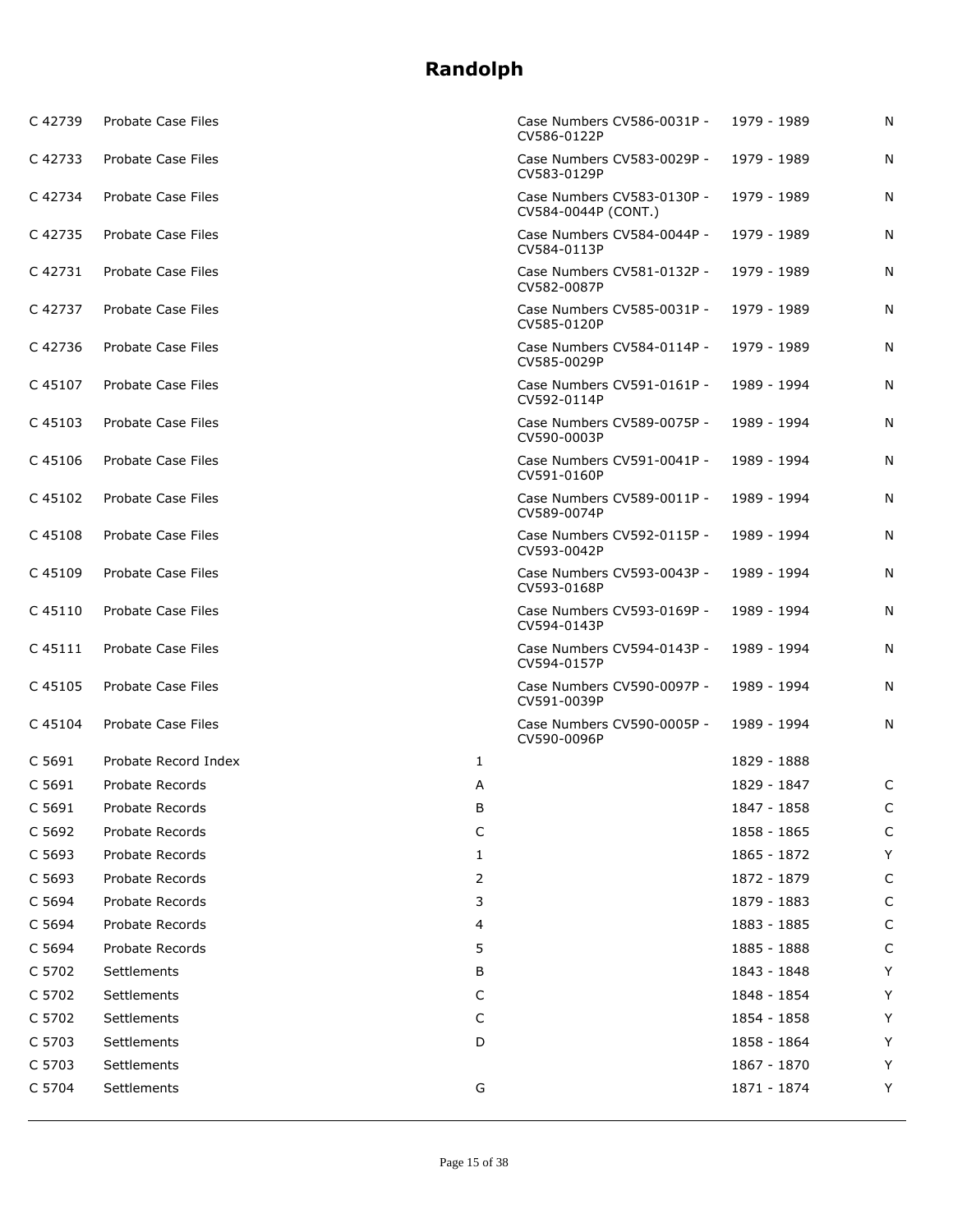| C 42739 | Probate Case Files   |              | Case Numbers CV586-0031P -<br>CV586-0122P         | 1979 - 1989 | N        |
|---------|----------------------|--------------|---------------------------------------------------|-------------|----------|
| C 42733 | Probate Case Files   |              | Case Numbers CV583-0029P -<br>CV583-0129P         | 1979 - 1989 | N        |
| C 42734 | Probate Case Files   |              | Case Numbers CV583-0130P -<br>CV584-0044P (CONT.) | 1979 - 1989 | N        |
| C 42735 | Probate Case Files   |              | Case Numbers CV584-0044P -<br>CV584-0113P         | 1979 - 1989 | N        |
| C 42731 | Probate Case Files   |              | Case Numbers CV581-0132P -<br>CV582-0087P         | 1979 - 1989 | N        |
| C 42737 | Probate Case Files   |              | Case Numbers CV585-0031P -<br>CV585-0120P         | 1979 - 1989 | N        |
| C 42736 | Probate Case Files   |              | Case Numbers CV584-0114P -<br>CV585-0029P         | 1979 - 1989 | N        |
| C 45107 | Probate Case Files   |              | Case Numbers CV591-0161P -<br>CV592-0114P         | 1989 - 1994 | N        |
| C 45103 | Probate Case Files   |              | Case Numbers CV589-0075P -<br>CV590-0003P         | 1989 - 1994 | N        |
| C 45106 | Probate Case Files   |              | Case Numbers CV591-0041P -<br>CV591-0160P         | 1989 - 1994 | N        |
| C 45102 | Probate Case Files   |              | Case Numbers CV589-0011P -<br>CV589-0074P         | 1989 - 1994 | N        |
| C 45108 | Probate Case Files   |              | Case Numbers CV592-0115P -<br>CV593-0042P         | 1989 - 1994 | N        |
| C 45109 | Probate Case Files   |              | Case Numbers CV593-0043P -<br>CV593-0168P         | 1989 - 1994 | N        |
| C 45110 | Probate Case Files   |              | Case Numbers CV593-0169P -<br>CV594-0143P         | 1989 - 1994 | N        |
| C 45111 | Probate Case Files   |              | Case Numbers CV594-0143P -<br>CV594-0157P         | 1989 - 1994 | N        |
| C 45105 | Probate Case Files   |              | Case Numbers CV590-0097P -<br>CV591-0039P         | 1989 - 1994 | N        |
| C 45104 | Probate Case Files   |              | Case Numbers CV590-0005P -<br>CV590-0096P         | 1989 - 1994 | N        |
| C 5691  | Probate Record Index | $\mathbf{1}$ |                                                   | 1829 - 1888 |          |
| C 5691  | Probate Records      | A            |                                                   | 1829 - 1847 | C        |
| C 5691  | Probate Records      | В            |                                                   | 1847 - 1858 | $\Gamma$ |
| C 5692  | Probate Records      | С            |                                                   | 1858 - 1865 | C        |
| C 5693  | Probate Records      | 1            |                                                   | 1865 - 1872 | Y        |
| C 5693  | Probate Records      | 2            |                                                   | 1872 - 1879 | C        |
| C 5694  | Probate Records      | 3            |                                                   | 1879 - 1883 | C        |
| C 5694  | Probate Records      | 4            |                                                   | 1883 - 1885 | C        |
| C 5694  | Probate Records      | 5            |                                                   | 1885 - 1888 | C        |
| C 5702  | Settlements          | B            |                                                   | 1843 - 1848 | Y        |
| C 5702  | Settlements          | С            |                                                   | 1848 - 1854 | Y        |
| C 5702  | Settlements          | С            |                                                   | 1854 - 1858 | Y        |
| C 5703  | Settlements          | D            |                                                   | 1858 - 1864 | Y        |
| C 5703  | Settlements          |              |                                                   | 1867 - 1870 | Y        |
| C 5704  | Settlements          | G            |                                                   | 1871 - 1874 | Y        |
|         |                      |              |                                                   |             |          |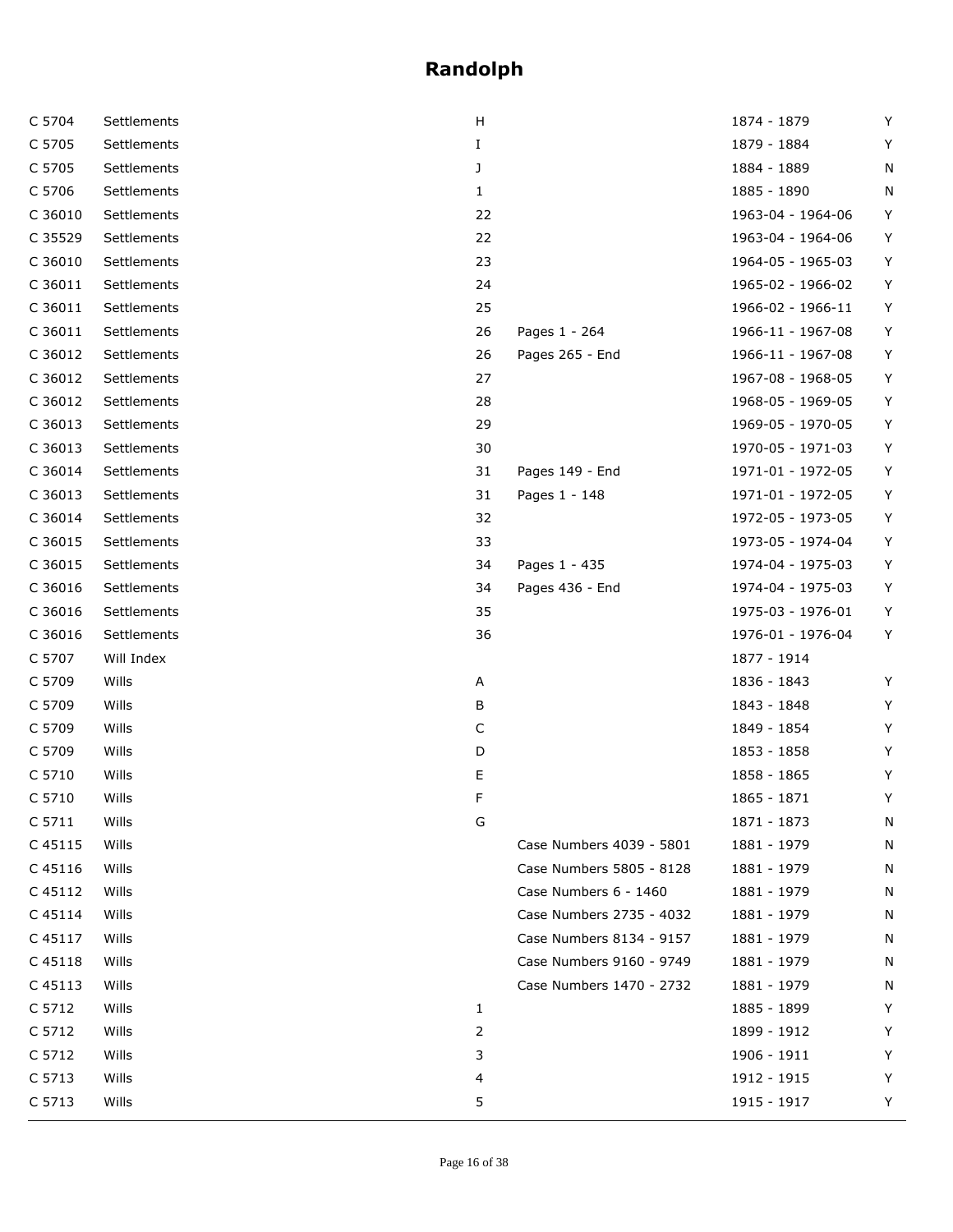| C 5704            | Settlements | н  |                          | 1874 - 1879       | Y |
|-------------------|-------------|----|--------------------------|-------------------|---|
| C 5705            | Settlements | I  |                          | 1879 - 1884       | Υ |
| C 5705            | Settlements | J  |                          | 1884 - 1889       | N |
| C 5706            | Settlements | 1  |                          | 1885 - 1890       | N |
| C 36010           | Settlements | 22 |                          | 1963-04 - 1964-06 | Y |
| C 35529           | Settlements | 22 |                          | 1963-04 - 1964-06 | Υ |
| C 36010           | Settlements | 23 |                          | 1964-05 - 1965-03 | Y |
| C 36011           | Settlements | 24 |                          | 1965-02 - 1966-02 | Υ |
| C 36011           | Settlements | 25 |                          | 1966-02 - 1966-11 | Y |
| C 36011           | Settlements | 26 | Pages 1 - 264            | 1966-11 - 1967-08 | Y |
| C 36012           | Settlements | 26 | Pages 265 - End          | 1966-11 - 1967-08 | Y |
| C 36012           | Settlements | 27 |                          | 1967-08 - 1968-05 | Y |
| C 36012           | Settlements | 28 |                          | 1968-05 - 1969-05 | Y |
| C 36013           | Settlements | 29 |                          | 1969-05 - 1970-05 | Υ |
| C 36013           | Settlements | 30 |                          | 1970-05 - 1971-03 | Y |
| C 36014           | Settlements | 31 | Pages 149 - End          | 1971-01 - 1972-05 | Y |
| C 36013           | Settlements | 31 | Pages 1 - 148            | 1971-01 - 1972-05 | Y |
| C 36014           | Settlements | 32 |                          | 1972-05 - 1973-05 | Υ |
| C 36015           | Settlements | 33 |                          | 1973-05 - 1974-04 | Y |
| C 36015           | Settlements | 34 | Pages 1 - 435            | 1974-04 - 1975-03 | Y |
| C 36016           | Settlements | 34 | Pages 436 - End          | 1974-04 - 1975-03 | Y |
| C 36016           | Settlements | 35 |                          | 1975-03 - 1976-01 | Υ |
| C 36016           | Settlements | 36 |                          | 1976-01 - 1976-04 | Υ |
| C 5707            | Will Index  |    |                          | 1877 - 1914       |   |
| C 5709            | Wills       | А  |                          | 1836 - 1843       | Υ |
| C 5709            | Wills       | В  |                          | 1843 - 1848       | Υ |
| C 5709            | Wills       | С  |                          | 1849 - 1854       | Y |
| C 5709            | Wills       | D  |                          | 1853 - 1858       | Y |
| C 5710            | Wills       | Ε  |                          | 1858 - 1865       | Y |
| C 5710            | Wills       | F  |                          | 1865 - 1871       | Υ |
| C <sub>5711</sub> | Wills       | G  |                          | 1871 - 1873       | N |
| C 45115           | Wills       |    | Case Numbers 4039 - 5801 | 1881 - 1979       | N |
| C 45116           | Wills       |    | Case Numbers 5805 - 8128 | 1881 - 1979       | N |
| C 45112           | Wills       |    | Case Numbers 6 - 1460    | 1881 - 1979       | N |
| C 45114           | Wills       |    | Case Numbers 2735 - 4032 | 1881 - 1979       | N |
| C 45117           | Wills       |    | Case Numbers 8134 - 9157 | 1881 - 1979       | N |
| C 45118           | Wills       |    | Case Numbers 9160 - 9749 | 1881 - 1979       | N |
| C 45113           | Wills       |    | Case Numbers 1470 - 2732 | 1881 - 1979       | N |
| C 5712            | Wills       | 1  |                          | 1885 - 1899       | Y |
| C 5712            | Wills       | 2  |                          | 1899 - 1912       | Y |
| C 5712            | Wills       | 3  |                          | 1906 - 1911       | Y |
| C 5713            | Wills       | 4  |                          | 1912 - 1915       | Y |
| C 5713            | Wills       | 5  |                          | 1915 - 1917       | Y |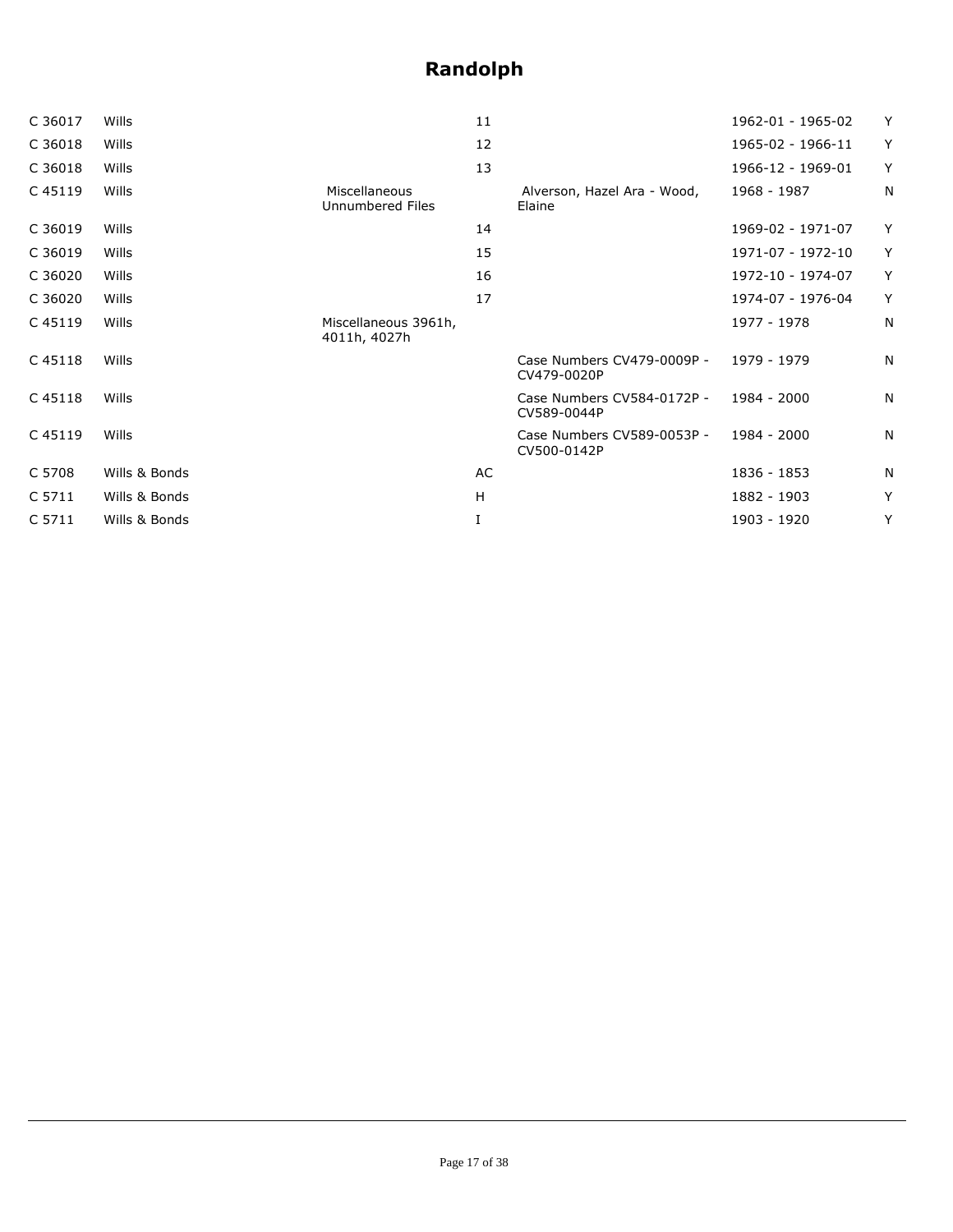| C 36017 | Wills         |                                      | 11 |                                           | 1962-01 - 1965-02 | Y |
|---------|---------------|--------------------------------------|----|-------------------------------------------|-------------------|---|
| C 36018 | Wills         |                                      | 12 |                                           | 1965-02 - 1966-11 | Y |
| C 36018 | Wills         |                                      | 13 |                                           | 1966-12 - 1969-01 | Y |
| C 45119 | Wills         | Miscellaneous<br>Unnumbered Files    |    | Alverson, Hazel Ara - Wood,<br>Elaine     | 1968 - 1987       | N |
| C 36019 | Wills         |                                      | 14 |                                           | 1969-02 - 1971-07 | Y |
| C 36019 | Wills         |                                      | 15 |                                           | 1971-07 - 1972-10 | Y |
| C 36020 | Wills         |                                      | 16 |                                           | 1972-10 - 1974-07 | Y |
| C 36020 | Wills         |                                      | 17 |                                           | 1974-07 - 1976-04 | Y |
| C 45119 | Wills         | Miscellaneous 3961h,<br>4011h, 4027h |    |                                           | 1977 - 1978       | N |
| C 45118 | Wills         |                                      |    | Case Numbers CV479-0009P -<br>CV479-0020P | 1979 - 1979       | N |
| C 45118 | Wills         |                                      |    | Case Numbers CV584-0172P -<br>CV589-0044P | 1984 - 2000       | N |
| C 45119 | Wills         |                                      |    | Case Numbers CV589-0053P -<br>CV500-0142P | 1984 - 2000       | N |
| C 5708  | Wills & Bonds |                                      | AC |                                           | 1836 - 1853       | N |
| C 5711  | Wills & Bonds |                                      | H  |                                           | 1882 - 1903       | Y |
| C 5711  | Wills & Bonds |                                      | Ι. |                                           | 1903 - 1920       | Y |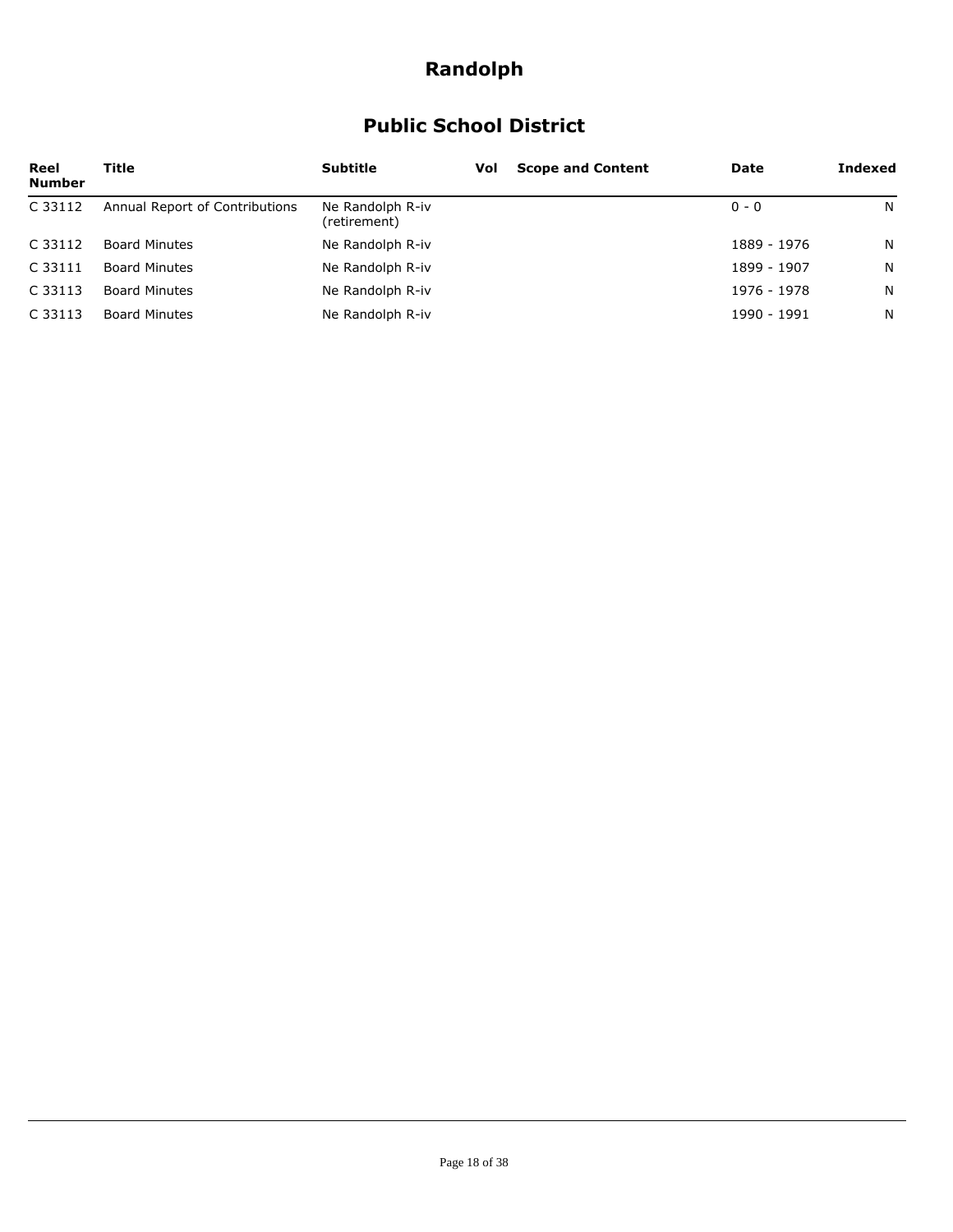### **Public School District**

| Reel<br><b>Number</b> | Title                          | <b>Subtitle</b>                  | Vol | <b>Scope and Content</b> | Date        | Indexed |
|-----------------------|--------------------------------|----------------------------------|-----|--------------------------|-------------|---------|
| C 33112               | Annual Report of Contributions | Ne Randolph R-iv<br>(retirement) |     |                          | $0 - 0$     | N       |
| C 33112               | <b>Board Minutes</b>           | Ne Randolph R-iv                 |     |                          | 1889 - 1976 | N       |
| C 33111               | <b>Board Minutes</b>           | Ne Randolph R-iv                 |     |                          | 1899 - 1907 | N       |
| C 33113               | <b>Board Minutes</b>           | Ne Randolph R-iv                 |     |                          | 1976 - 1978 | N       |
| C 33113               | <b>Board Minutes</b>           | Ne Randolph R-iv                 |     |                          | 1990 - 1991 | N       |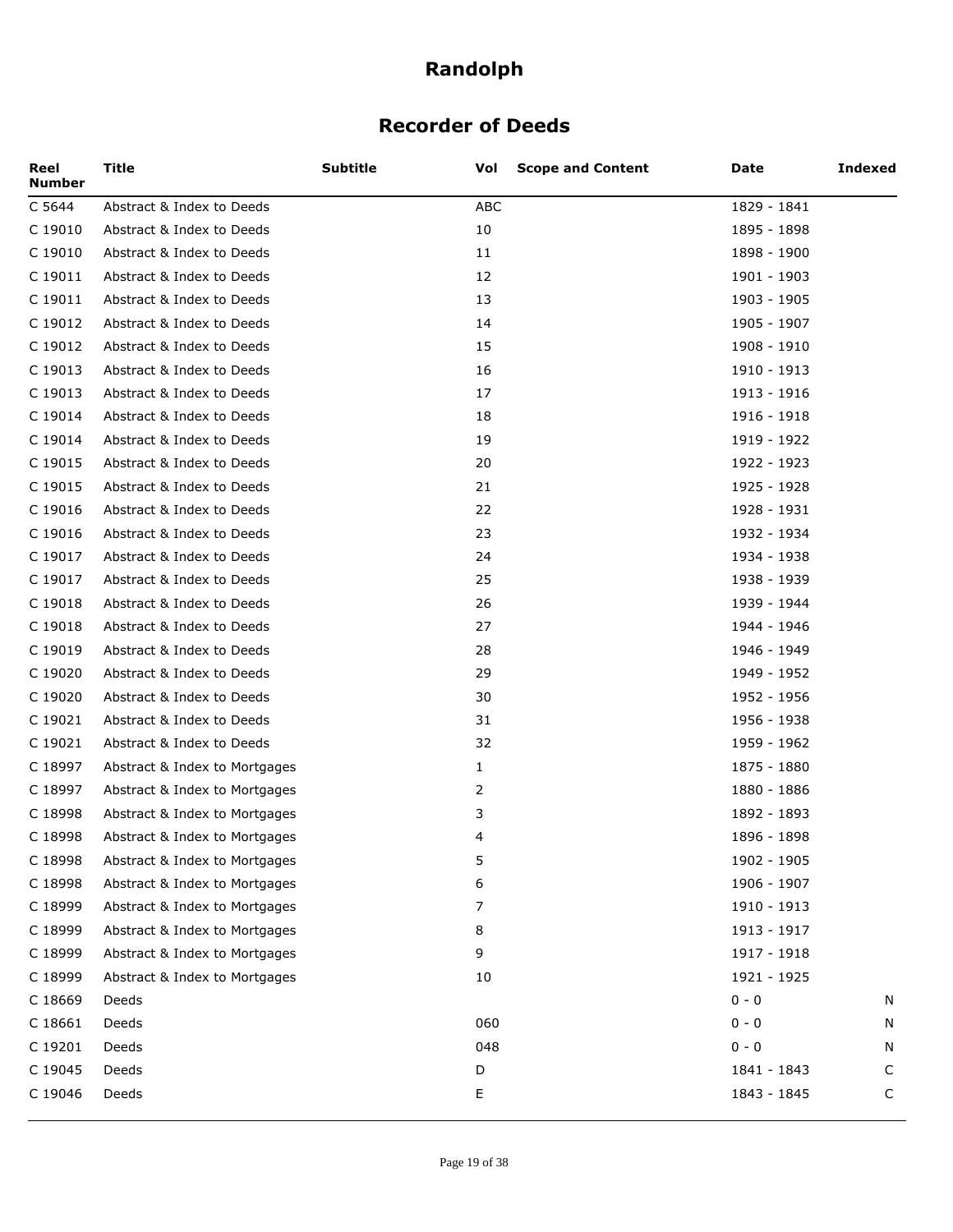### **Recorder of Deeds**

| Reel<br>Number | Title                         | <b>Subtitle</b><br>Vol | <b>Scope and Content</b> | Date        | <b>Indexed</b> |
|----------------|-------------------------------|------------------------|--------------------------|-------------|----------------|
| C 5644         | Abstract & Index to Deeds     | ABC                    |                          | 1829 - 1841 |                |
| C 19010        | Abstract & Index to Deeds     | 10                     |                          | 1895 - 1898 |                |
| C 19010        | Abstract & Index to Deeds     | 11                     |                          | 1898 - 1900 |                |
| C 19011        | Abstract & Index to Deeds     | 12                     |                          | 1901 - 1903 |                |
| C 19011        | Abstract & Index to Deeds     | 13                     |                          | 1903 - 1905 |                |
| C 19012        | Abstract & Index to Deeds     | 14                     |                          | 1905 - 1907 |                |
| C 19012        | Abstract & Index to Deeds     | 15                     |                          | 1908 - 1910 |                |
| C 19013        | Abstract & Index to Deeds     | 16                     |                          | 1910 - 1913 |                |
| C 19013        | Abstract & Index to Deeds     | 17                     |                          | 1913 - 1916 |                |
| C 19014        | Abstract & Index to Deeds     | 18                     |                          | 1916 - 1918 |                |
| C 19014        | Abstract & Index to Deeds     | 19                     |                          | 1919 - 1922 |                |
| C 19015        | Abstract & Index to Deeds     | 20                     |                          | 1922 - 1923 |                |
| C 19015        | Abstract & Index to Deeds     | 21                     |                          | 1925 - 1928 |                |
| C 19016        | Abstract & Index to Deeds     | 22                     |                          | 1928 - 1931 |                |
| C 19016        | Abstract & Index to Deeds     | 23                     |                          | 1932 - 1934 |                |
| C 19017        | Abstract & Index to Deeds     | 24                     |                          | 1934 - 1938 |                |
| C 19017        | Abstract & Index to Deeds     | 25                     |                          | 1938 - 1939 |                |
| C 19018        | Abstract & Index to Deeds     | 26                     |                          | 1939 - 1944 |                |
| C 19018        | Abstract & Index to Deeds     | 27                     |                          | 1944 - 1946 |                |
| C 19019        | Abstract & Index to Deeds     | 28                     |                          | 1946 - 1949 |                |
| C 19020        | Abstract & Index to Deeds     | 29                     |                          | 1949 - 1952 |                |
| C 19020        | Abstract & Index to Deeds     | 30                     |                          | 1952 - 1956 |                |
| C 19021        | Abstract & Index to Deeds     | 31                     |                          | 1956 - 1938 |                |
| C 19021        | Abstract & Index to Deeds     | 32                     |                          | 1959 - 1962 |                |
| C 18997        | Abstract & Index to Mortgages | 1                      |                          | 1875 - 1880 |                |
| C 18997        | Abstract & Index to Mortgages | 2                      |                          | 1880 - 1886 |                |
| C 18998        | Abstract & Index to Mortgages | 3                      |                          | 1892 - 1893 |                |
| C 18998        | Abstract & Index to Mortgages | 4                      |                          | 1896 - 1898 |                |
| C 18998        | Abstract & Index to Mortgages | 5                      |                          | 1902 - 1905 |                |
| C 18998        | Abstract & Index to Mortgages | 6                      |                          | 1906 - 1907 |                |
| C 18999        | Abstract & Index to Mortgages | 7                      |                          | 1910 - 1913 |                |
| C 18999        | Abstract & Index to Mortgages | 8                      |                          | 1913 - 1917 |                |
| C 18999        | Abstract & Index to Mortgages | 9                      |                          | 1917 - 1918 |                |
| C 18999        | Abstract & Index to Mortgages | 10                     |                          | 1921 - 1925 |                |
| C 18669        | Deeds                         |                        |                          | $0 - 0$     | N              |
| C 18661        | Deeds                         | 060                    |                          | $0 - 0$     | N              |
| C 19201        | Deeds                         | 048                    |                          | $0 - 0$     | N              |
| C 19045        | Deeds                         | D                      |                          | 1841 - 1843 | C              |
| C 19046        | Deeds                         | Е                      |                          | 1843 - 1845 | C              |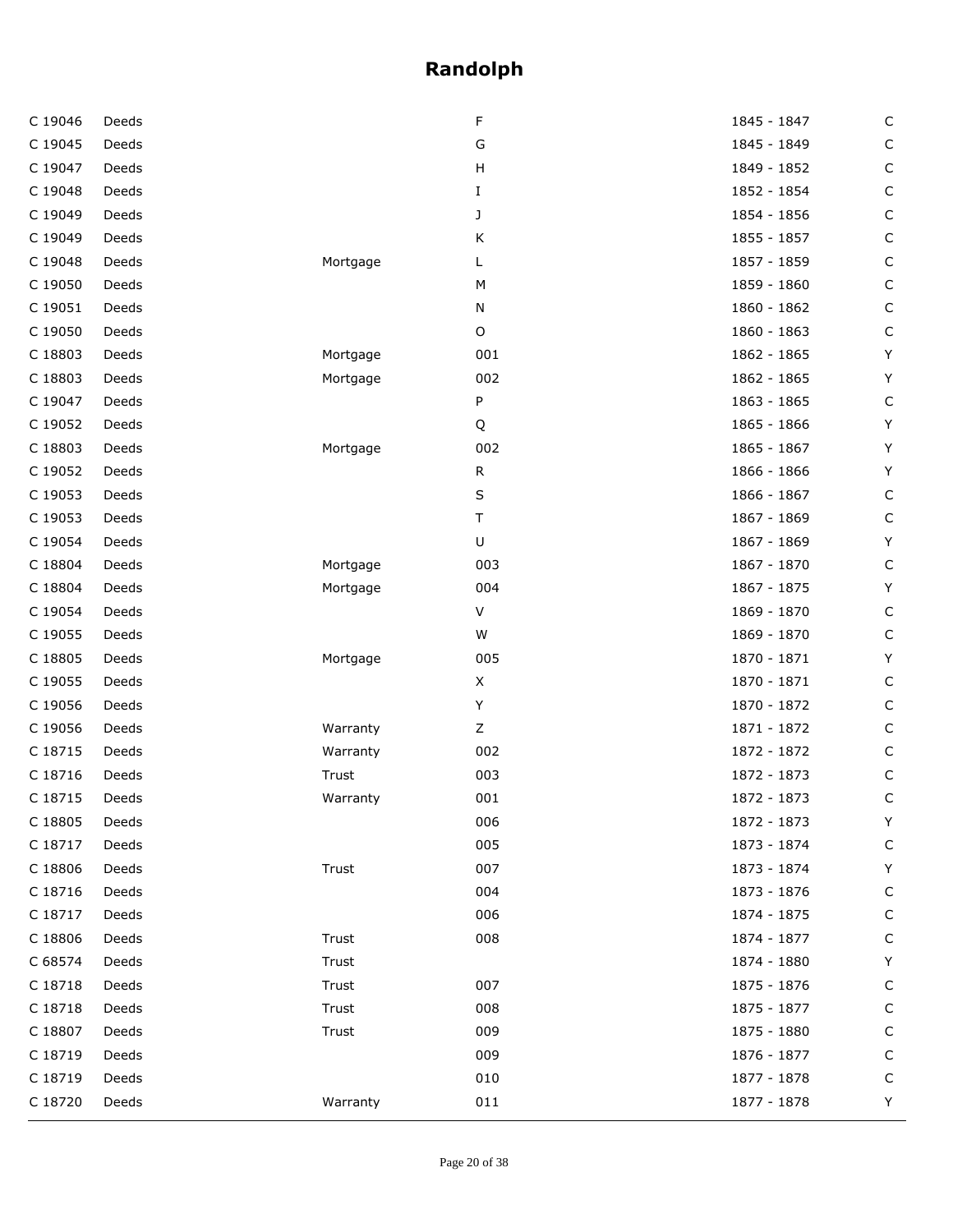| C 19046 | Deeds |          | F   | 1845 - 1847 | C |
|---------|-------|----------|-----|-------------|---|
| C 19045 | Deeds |          | G   | 1845 - 1849 | C |
| C 19047 | Deeds |          | Н   | 1849 - 1852 | C |
| C 19048 | Deeds |          | Ι   | 1852 - 1854 | C |
| C 19049 | Deeds |          | J   | 1854 - 1856 | C |
| C 19049 | Deeds |          | К   | 1855 - 1857 | C |
| C 19048 | Deeds | Mortgage | L   | 1857 - 1859 | C |
| C 19050 | Deeds |          | М   | 1859 - 1860 | C |
| C 19051 | Deeds |          | N   | 1860 - 1862 | C |
| C 19050 | Deeds |          | O   | 1860 - 1863 | C |
| C 18803 | Deeds | Mortgage | 001 | 1862 - 1865 | Y |
| C 18803 | Deeds | Mortgage | 002 | 1862 - 1865 | Υ |
| C 19047 | Deeds |          | P   | 1863 - 1865 | C |
| C 19052 | Deeds |          | Q   | 1865 - 1866 | Υ |
| C 18803 | Deeds | Mortgage | 002 | 1865 - 1867 | Υ |
| C 19052 | Deeds |          | R   | 1866 - 1866 | Υ |
| C 19053 | Deeds |          | S   | 1866 - 1867 | C |
| C 19053 | Deeds |          | Τ   | 1867 - 1869 | C |
| C 19054 | Deeds |          | U   | 1867 - 1869 | Y |
| C 18804 | Deeds | Mortgage | 003 | 1867 - 1870 | C |
| C 18804 | Deeds | Mortgage | 004 | 1867 - 1875 | Υ |
| C 19054 | Deeds |          | V   | 1869 - 1870 | C |
| C 19055 | Deeds |          | W   | 1869 - 1870 | C |
| C 18805 | Deeds | Mortgage | 005 | 1870 - 1871 | Υ |
| C 19055 | Deeds |          | X   | 1870 - 1871 | C |
| C 19056 | Deeds |          | Y   | 1870 - 1872 | C |
| C 19056 | Deeds | Warranty | Ζ   | 1871 - 1872 | C |
| C 18715 | Deeds | Warranty | 002 | 1872 - 1872 | C |
| C 18716 | Deeds | Trust    | 003 | 1872 - 1873 | C |
| C 18715 | Deeds | Warranty | 001 | 1872 - 1873 | C |
| C 18805 | Deeds |          | 006 | 1872 - 1873 | Y |
| C 18717 | Deeds |          | 005 | 1873 - 1874 | C |
| C 18806 | Deeds | Trust    | 007 | 1873 - 1874 | Υ |
| C 18716 | Deeds |          | 004 | 1873 - 1876 | С |
| C 18717 | Deeds |          | 006 | 1874 - 1875 | C |
| C 18806 | Deeds | Trust    | 008 | 1874 - 1877 | C |
| C 68574 | Deeds | Trust    |     | 1874 - 1880 | Υ |
| C 18718 | Deeds | Trust    | 007 | 1875 - 1876 | С |
| C 18718 | Deeds | Trust    | 008 | 1875 - 1877 | С |
| C 18807 | Deeds | Trust    | 009 | 1875 - 1880 | C |
| C 18719 | Deeds |          | 009 | 1876 - 1877 | C |
| C 18719 | Deeds |          | 010 | 1877 - 1878 | С |
| C 18720 | Deeds | Warranty | 011 | 1877 - 1878 | Y |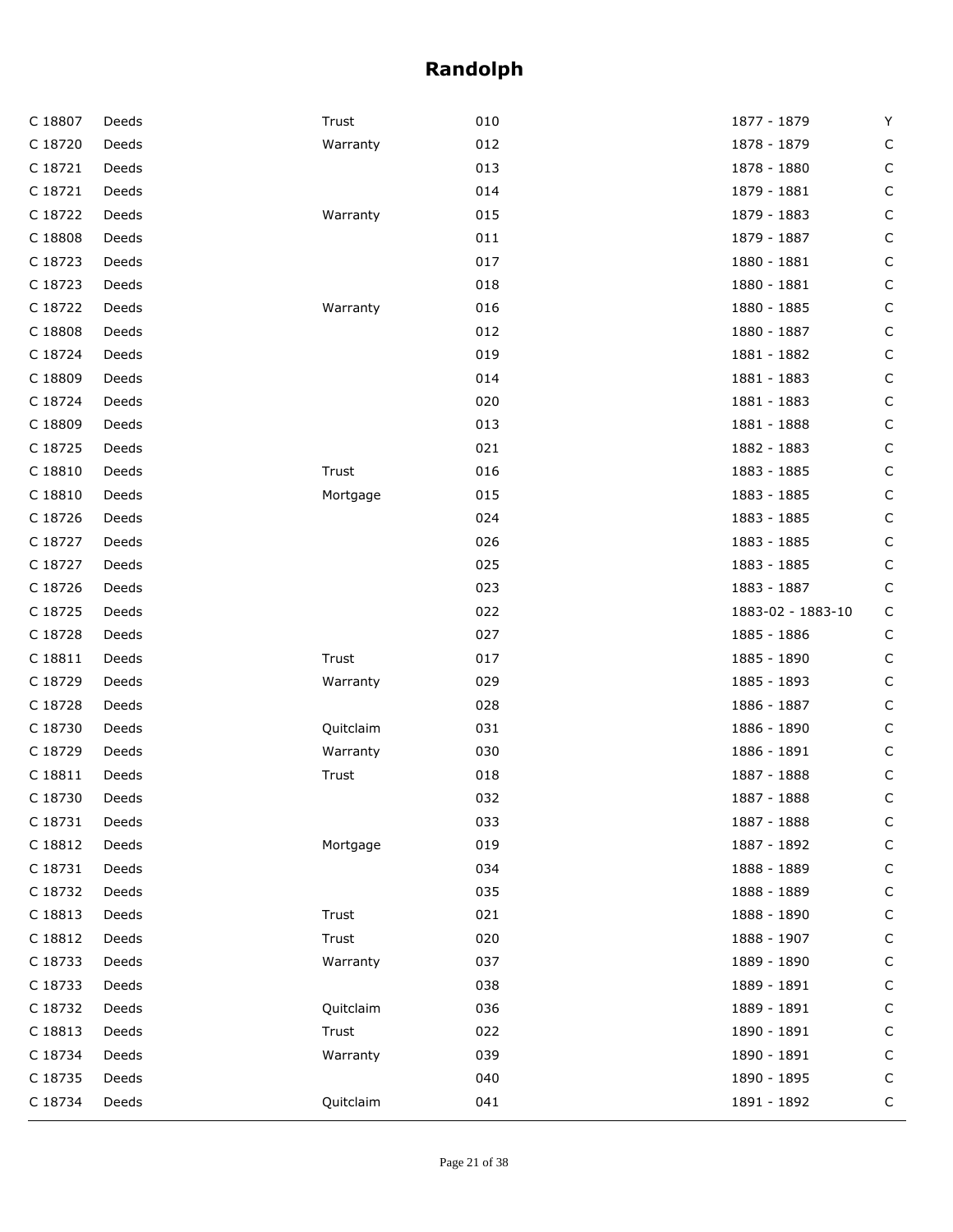| C 18807 | Deeds | Trust     | 010 | 1877 - 1879       | Y           |
|---------|-------|-----------|-----|-------------------|-------------|
| C 18720 | Deeds | Warranty  | 012 | 1878 - 1879       | C           |
| C 18721 | Deeds |           | 013 | 1878 - 1880       | С           |
| C 18721 | Deeds |           | 014 | 1879 - 1881       | С           |
| C 18722 | Deeds | Warranty  | 015 | 1879 - 1883       | C           |
| C 18808 | Deeds |           | 011 | 1879 - 1887       | С           |
| C 18723 | Deeds |           | 017 | 1880 - 1881       | С           |
| C 18723 | Deeds |           | 018 | 1880 - 1881       | C           |
| C 18722 | Deeds | Warranty  | 016 | 1880 - 1885       | С           |
| C 18808 | Deeds |           | 012 | 1880 - 1887       | C           |
| C 18724 | Deeds |           | 019 | 1881 - 1882       | С           |
| C 18809 | Deeds |           | 014 | 1881 - 1883       | C           |
| C 18724 | Deeds |           | 020 | 1881 - 1883       | С           |
| C 18809 | Deeds |           | 013 | 1881 - 1888       | C           |
| C 18725 | Deeds |           | 021 | 1882 - 1883       | С           |
| C 18810 | Deeds | Trust     | 016 | 1883 - 1885       | C           |
| C 18810 | Deeds | Mortgage  | 015 | 1883 - 1885       | С           |
| C 18726 | Deeds |           | 024 | 1883 - 1885       | С           |
| C 18727 | Deeds |           | 026 | 1883 - 1885       | С           |
| C 18727 | Deeds |           | 025 | 1883 - 1885       | С           |
| C 18726 | Deeds |           | 023 | 1883 - 1887       | С           |
| C 18725 | Deeds |           | 022 | 1883-02 - 1883-10 | $\mathsf C$ |
| C 18728 | Deeds |           | 027 | 1885 - 1886       | $\mathsf C$ |
| C 18811 | Deeds | Trust     | 017 | 1885 - 1890       | C           |
| C 18729 | Deeds | Warranty  | 029 | 1885 - 1893       | С           |
| C 18728 | Deeds |           | 028 | 1886 - 1887       | С           |
| C 18730 | Deeds | Quitclaim | 031 | 1886 - 1890       | С           |
| C 18729 | Deeds | Warranty  | 030 | 1886 - 1891       | C           |
| C 18811 | Deeds | Trust     | 018 | 1887 - 1888       | C           |
| C 18730 | Deeds |           | 032 | 1887 - 1888       | С           |
| C 18731 | Deeds |           | 033 | 1887 - 1888       | C           |
| C 18812 | Deeds | Mortgage  | 019 | 1887 - 1892       | C           |
| C 18731 | Deeds |           | 034 | 1888 - 1889       | С           |
| C 18732 | Deeds |           | 035 | 1888 - 1889       | C           |
| C 18813 | Deeds | Trust     | 021 | 1888 - 1890       | C           |
| C 18812 | Deeds | Trust     | 020 | 1888 - 1907       | C           |
| C 18733 | Deeds | Warranty  | 037 | 1889 - 1890       | C           |
| C 18733 | Deeds |           | 038 | 1889 - 1891       | C           |
| C 18732 | Deeds | Quitclaim | 036 | 1889 - 1891       | C           |
| C 18813 | Deeds | Trust     | 022 | 1890 - 1891       | C           |
| C 18734 | Deeds | Warranty  | 039 | 1890 - 1891       | C           |
| C 18735 | Deeds |           | 040 | 1890 - 1895       | C           |
| C 18734 | Deeds | Quitclaim | 041 | 1891 - 1892       | C           |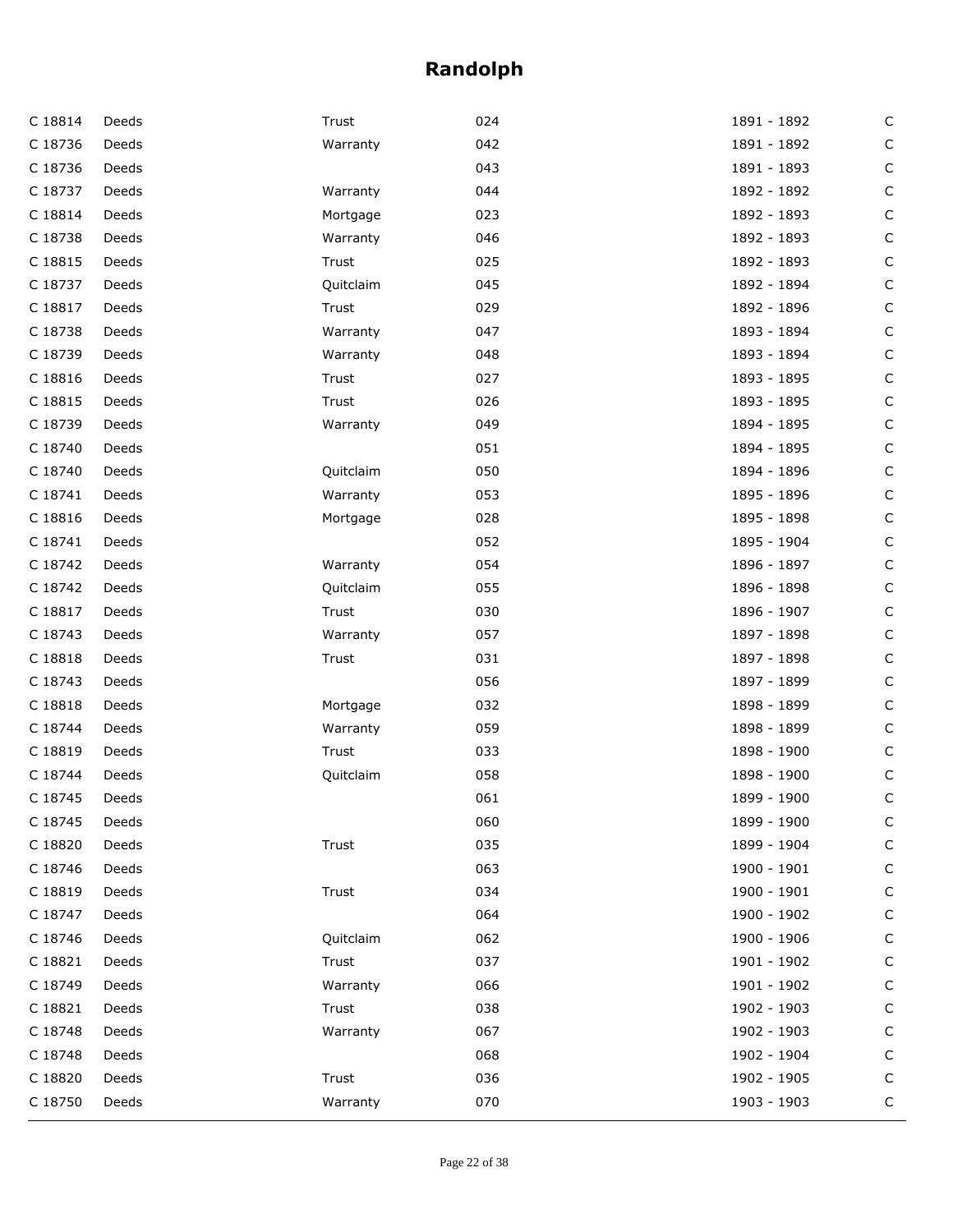| C 18814 | Deeds | Trust     | 024 | 1891 - 1892 | C |
|---------|-------|-----------|-----|-------------|---|
| C 18736 | Deeds | Warranty  | 042 | 1891 - 1892 | C |
| C 18736 | Deeds |           | 043 | 1891 - 1893 | C |
| C 18737 | Deeds | Warranty  | 044 | 1892 - 1892 | С |
| C 18814 | Deeds | Mortgage  | 023 | 1892 - 1893 | С |
| C 18738 | Deeds | Warranty  | 046 | 1892 - 1893 | С |
| C 18815 | Deeds | Trust     | 025 | 1892 - 1893 | С |
| C 18737 | Deeds | Quitclaim | 045 | 1892 - 1894 | С |
| C 18817 | Deeds | Trust     | 029 | 1892 - 1896 | C |
| C 18738 | Deeds | Warranty  | 047 | 1893 - 1894 | С |
| C 18739 | Deeds | Warranty  | 048 | 1893 - 1894 | C |
| C 18816 | Deeds | Trust     | 027 | 1893 - 1895 | C |
| C 18815 | Deeds | Trust     | 026 | 1893 - 1895 | C |
| C 18739 | Deeds | Warranty  | 049 | 1894 - 1895 | С |
| C 18740 | Deeds |           | 051 | 1894 - 1895 | C |
| C 18740 | Deeds | Quitclaim | 050 | 1894 - 1896 | C |
| C 18741 | Deeds | Warranty  | 053 | 1895 - 1896 | C |
| C 18816 | Deeds | Mortgage  | 028 | 1895 - 1898 | С |
| C 18741 | Deeds |           | 052 | 1895 - 1904 | C |
| C 18742 | Deeds | Warranty  | 054 | 1896 - 1897 | C |
| C 18742 | Deeds | Quitclaim | 055 | 1896 - 1898 | C |
| C 18817 | Deeds | Trust     | 030 | 1896 - 1907 | С |
| C 18743 | Deeds | Warranty  | 057 | 1897 - 1898 | C |
| C 18818 | Deeds | Trust     | 031 | 1897 - 1898 | C |
| C 18743 | Deeds |           | 056 | 1897 - 1899 | C |
| C 18818 | Deeds | Mortgage  | 032 | 1898 - 1899 | C |
| C 18744 | Deeds | Warranty  | 059 | 1898 - 1899 | С |
| C 18819 | Deeds | Trust     | 033 | 1898 - 1900 | C |
| C 18744 | Deeds | Quitclaim | 058 | 1898 - 1900 | С |
| C 18745 | Deeds |           | 061 | 1899 - 1900 | С |
| C 18745 | Deeds |           | 060 | 1899 - 1900 | C |
| C 18820 | Deeds | Trust     | 035 | 1899 - 1904 | С |
| C 18746 | Deeds |           | 063 | 1900 - 1901 | C |
| C 18819 | Deeds | Trust     | 034 | 1900 - 1901 | С |
| C 18747 | Deeds |           | 064 | 1900 - 1902 | C |
| C 18746 | Deeds | Quitclaim | 062 | 1900 - 1906 | C |
| C 18821 | Deeds | Trust     | 037 | 1901 - 1902 | C |
| C 18749 | Deeds | Warranty  | 066 | 1901 - 1902 | С |
| C 18821 | Deeds | Trust     | 038 | 1902 - 1903 | C |
| C 18748 | Deeds | Warranty  | 067 | 1902 - 1903 | C |
| C 18748 | Deeds |           | 068 | 1902 - 1904 | C |
| C 18820 | Deeds | Trust     | 036 | 1902 - 1905 | С |
| C 18750 | Deeds | Warranty  | 070 | 1903 - 1903 | C |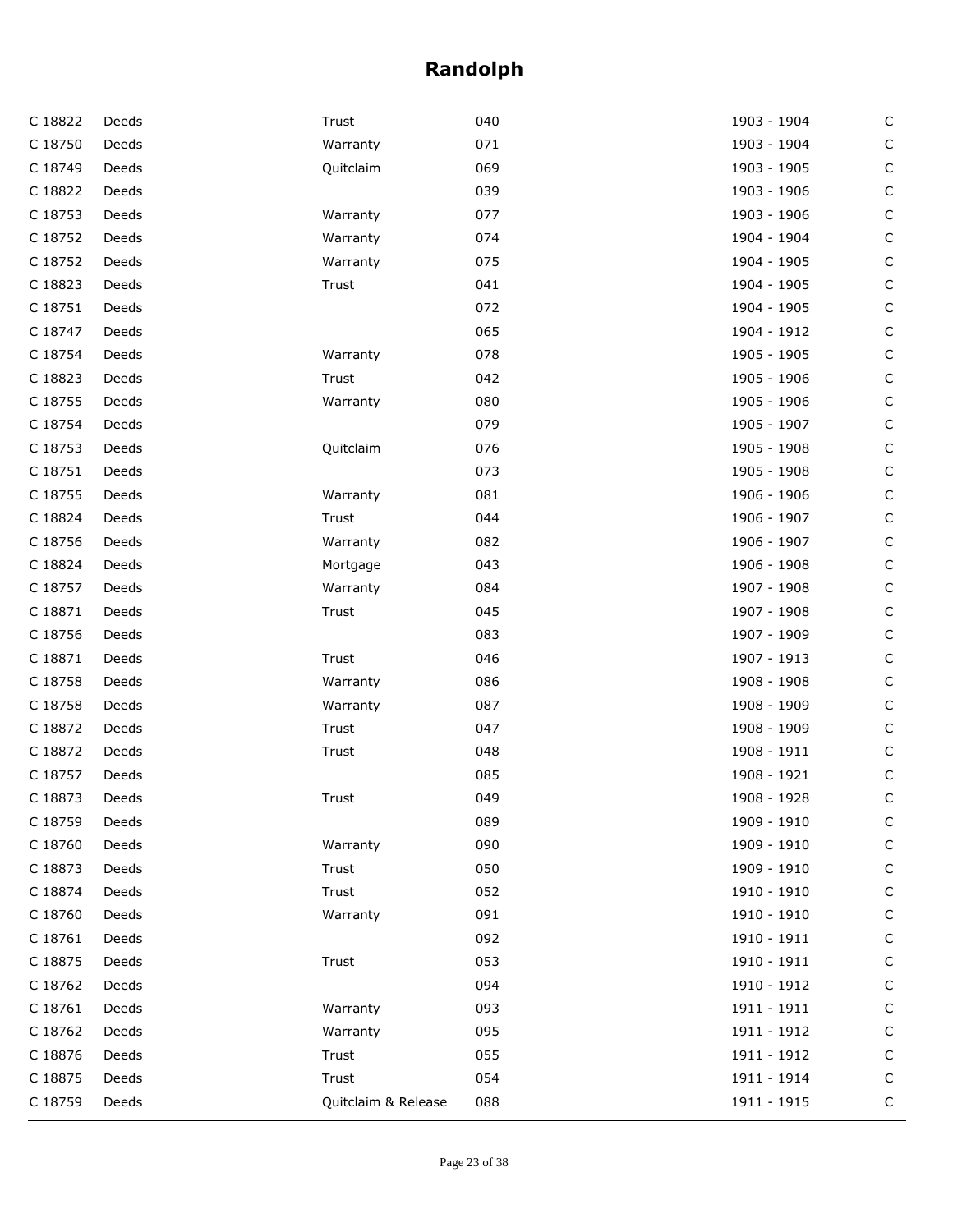| C 18822 | Deeds | Trust               | 040 | 1903 - 1904 | C           |
|---------|-------|---------------------|-----|-------------|-------------|
| C 18750 | Deeds | Warranty            | 071 | 1903 - 1904 | C           |
| C 18749 | Deeds | Quitclaim           | 069 | 1903 - 1905 | $\mathsf C$ |
| C 18822 | Deeds |                     | 039 | 1903 - 1906 | C           |
| C 18753 | Deeds | Warranty            | 077 | 1903 - 1906 | C           |
| C 18752 | Deeds | Warranty            | 074 | 1904 - 1904 | C           |
| C 18752 | Deeds | Warranty            | 075 | 1904 - 1905 | $\mathsf C$ |
| C 18823 | Deeds | Trust               | 041 | 1904 - 1905 | C           |
| C 18751 | Deeds |                     | 072 | 1904 - 1905 | C           |
| C 18747 | Deeds |                     | 065 | 1904 - 1912 | C           |
| C 18754 | Deeds | Warranty            | 078 | 1905 - 1905 | C           |
| C 18823 | Deeds | Trust               | 042 | 1905 - 1906 | C           |
| C 18755 | Deeds | Warranty            | 080 | 1905 - 1906 | C           |
| C 18754 | Deeds |                     | 079 | 1905 - 1907 | C           |
| C 18753 | Deeds | Quitclaim           | 076 | 1905 - 1908 | C           |
| C 18751 | Deeds |                     | 073 | 1905 - 1908 | C           |
| C 18755 | Deeds | Warranty            | 081 | 1906 - 1906 | C           |
| C 18824 | Deeds | Trust               | 044 | 1906 - 1907 | C           |
| C 18756 | Deeds | Warranty            | 082 | 1906 - 1907 | C           |
| C 18824 | Deeds | Mortgage            | 043 | 1906 - 1908 | C           |
| C 18757 | Deeds | Warranty            | 084 | 1907 - 1908 | C           |
| C 18871 | Deeds | Trust               | 045 | 1907 - 1908 | C           |
| C 18756 | Deeds |                     | 083 | 1907 - 1909 | $\mathsf C$ |
| C 18871 | Deeds | Trust               | 046 | 1907 - 1913 | C           |
| C 18758 | Deeds | Warranty            | 086 | 1908 - 1908 | C           |
| C 18758 | Deeds | Warranty            | 087 | 1908 - 1909 | C           |
| C 18872 | Deeds | Trust               | 047 | 1908 - 1909 | C           |
| C 18872 | Deeds | Trust               | 048 | 1908 - 1911 | C           |
| C 18757 | Deeds |                     | 085 | 1908 - 1921 | $\mathsf C$ |
| C 18873 | Deeds | Trust               | 049 | 1908 - 1928 | C           |
| C 18759 | Deeds |                     | 089 | 1909 - 1910 | C           |
| C 18760 | Deeds | Warranty            | 090 | 1909 - 1910 | C           |
| C 18873 | Deeds | Trust               | 050 | 1909 - 1910 | C           |
| C 18874 | Deeds | Trust               | 052 | 1910 - 1910 | C           |
| C 18760 | Deeds | Warranty            | 091 | 1910 - 1910 | C           |
| C 18761 | Deeds |                     | 092 | 1910 - 1911 | C           |
| C 18875 | Deeds | Trust               | 053 | 1910 - 1911 | C           |
| C 18762 | Deeds |                     | 094 | 1910 - 1912 | C           |
| C 18761 | Deeds | Warranty            | 093 | 1911 - 1911 | C           |
| C 18762 | Deeds | Warranty            | 095 | 1911 - 1912 | C           |
| C 18876 | Deeds | Trust               | 055 | 1911 - 1912 | C           |
| C 18875 | Deeds | Trust               | 054 | 1911 - 1914 | C           |
| C 18759 | Deeds | Quitclaim & Release | 088 | 1911 - 1915 | $\mathsf C$ |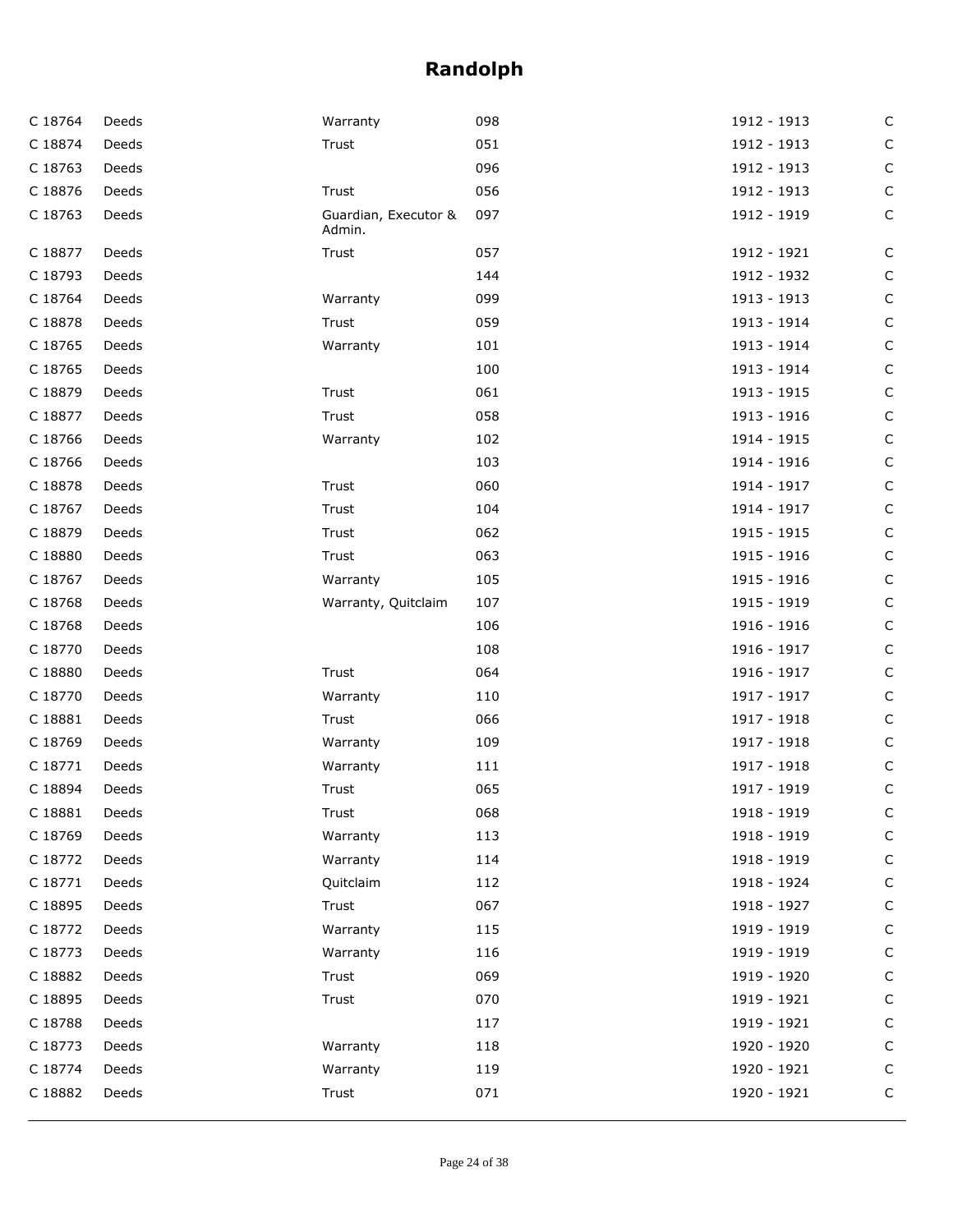| C 18764 | Deeds | Warranty                       | 098 | 1912 - 1913 | C           |
|---------|-------|--------------------------------|-----|-------------|-------------|
| C 18874 | Deeds | Trust                          | 051 | 1912 - 1913 | C           |
| C 18763 | Deeds |                                | 096 | 1912 - 1913 | $\mathsf C$ |
| C 18876 | Deeds | Trust                          | 056 | 1912 - 1913 | C           |
| C 18763 | Deeds | Guardian, Executor &<br>Admin. | 097 | 1912 - 1919 | $\mathsf C$ |
| C 18877 | Deeds | Trust                          | 057 | 1912 - 1921 | C           |
| C 18793 | Deeds |                                | 144 | 1912 - 1932 | C           |
| C 18764 | Deeds | Warranty                       | 099 | 1913 - 1913 | $\mathsf C$ |
| C 18878 | Deeds | Trust                          | 059 | 1913 - 1914 | C           |
| C 18765 | Deeds | Warranty                       | 101 | 1913 - 1914 | $\mathsf C$ |
| C 18765 | Deeds |                                | 100 | 1913 - 1914 | C           |
| C 18879 | Deeds | Trust                          | 061 | 1913 - 1915 | $\mathsf C$ |
| C 18877 | Deeds | Trust                          | 058 | 1913 - 1916 | C           |
| C 18766 | Deeds | Warranty                       | 102 | 1914 - 1915 | $\mathsf C$ |
| C 18766 | Deeds |                                | 103 | 1914 - 1916 | C           |
| C 18878 | Deeds | Trust                          | 060 | 1914 - 1917 | $\mathsf C$ |
| C 18767 | Deeds | Trust                          | 104 | 1914 - 1917 | C           |
| C 18879 | Deeds | Trust                          | 062 | 1915 - 1915 | C           |
| C 18880 | Deeds | Trust                          | 063 | 1915 - 1916 | C           |
| C 18767 | Deeds | Warranty                       | 105 | 1915 - 1916 | C           |
| C 18768 | Deeds | Warranty, Quitclaim            | 107 | 1915 - 1919 | C           |
| C 18768 | Deeds |                                | 106 | 1916 - 1916 | C           |
| C 18770 | Deeds |                                | 108 | 1916 - 1917 | C           |
| C 18880 | Deeds | Trust                          | 064 | 1916 - 1917 | C           |
| C 18770 | Deeds | Warranty                       | 110 | 1917 - 1917 | C           |
| C 18881 | Deeds | Trust                          | 066 | 1917 - 1918 | C           |
| C 18769 | Deeds | Warranty                       | 109 | 1917 - 1918 | C           |
| C 18771 | Deeds | Warranty                       | 111 | 1917 - 1918 | C           |
| C 18894 | Deeds | Trust                          | 065 | 1917 - 1919 | C           |
| C 18881 | Deeds | Trust                          | 068 | 1918 - 1919 | C           |
| C 18769 | Deeds | Warranty                       | 113 | 1918 - 1919 | C           |
| C 18772 | Deeds | Warranty                       | 114 | 1918 - 1919 | C           |
| C 18771 | Deeds | Quitclaim                      | 112 | 1918 - 1924 | C           |
| C 18895 | Deeds | Trust                          | 067 | 1918 - 1927 | C           |
| C 18772 | Deeds | Warranty                       | 115 | 1919 - 1919 | C           |
| C 18773 | Deeds | Warranty                       | 116 | 1919 - 1919 | C           |
| C 18882 | Deeds | Trust                          | 069 | 1919 - 1920 | C           |
| C 18895 | Deeds | Trust                          | 070 | 1919 - 1921 | C           |
| C 18788 | Deeds |                                | 117 | 1919 - 1921 | C           |
| C 18773 | Deeds | Warranty                       | 118 | 1920 - 1920 | C           |
| C 18774 | Deeds | Warranty                       | 119 | 1920 - 1921 | C           |
| C 18882 | Deeds | Trust                          | 071 | 1920 - 1921 | $\mathsf C$ |
|         |       |                                |     |             |             |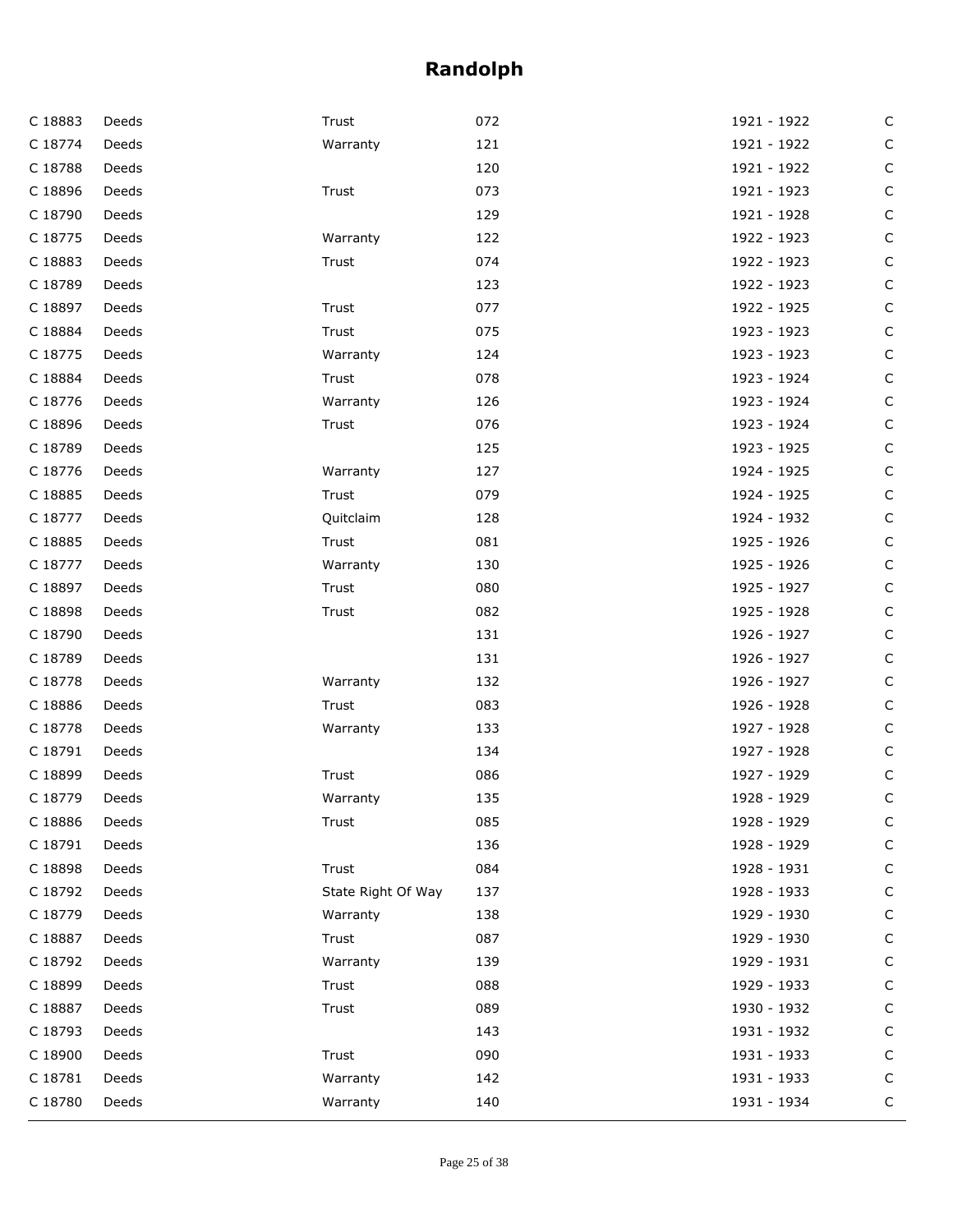| C 18883 | Deeds | Trust              | 072 | 1921 - 1922 | C           |
|---------|-------|--------------------|-----|-------------|-------------|
| C 18774 | Deeds | Warranty           | 121 | 1921 - 1922 | C           |
| C 18788 | Deeds |                    | 120 | 1921 - 1922 | C           |
| C 18896 | Deeds | Trust              | 073 | 1921 - 1923 | C           |
| C 18790 | Deeds |                    | 129 | 1921 - 1928 | C           |
| C 18775 | Deeds | Warranty           | 122 | 1922 - 1923 | С           |
| C 18883 | Deeds | Trust              | 074 | 1922 - 1923 | $\mathsf C$ |
| C 18789 | Deeds |                    | 123 | 1922 - 1923 | C           |
| C 18897 | Deeds | Trust              | 077 | 1922 - 1925 | C           |
| C 18884 | Deeds | Trust              | 075 | 1923 - 1923 | С           |
| C 18775 | Deeds | Warranty           | 124 | 1923 - 1923 | C           |
| C 18884 | Deeds | Trust              | 078 | 1923 - 1924 | С           |
| C 18776 | Deeds | Warranty           | 126 | 1923 - 1924 | C           |
| C 18896 | Deeds | Trust              | 076 | 1923 - 1924 | С           |
| C 18789 | Deeds |                    | 125 | 1923 - 1925 | C           |
| C 18776 | Deeds | Warranty           | 127 | 1924 - 1925 | С           |
| C 18885 | Deeds | Trust              | 079 | 1924 - 1925 | C           |
| C 18777 | Deeds | Quitclaim          | 128 | 1924 - 1932 | С           |
| C 18885 | Deeds | Trust              | 081 | 1925 - 1926 | C           |
| C 18777 | Deeds | Warranty           | 130 | 1925 - 1926 | С           |
| C 18897 | Deeds | Trust              | 080 | 1925 - 1927 | C           |
| C 18898 | Deeds | Trust              | 082 | 1925 - 1928 | С           |
| C 18790 | Deeds |                    | 131 | 1926 - 1927 | C           |
| C 18789 | Deeds |                    | 131 | 1926 - 1927 | C           |
| C 18778 | Deeds | Warranty           | 132 | 1926 - 1927 | C           |
| C 18886 | Deeds | Trust              | 083 | 1926 - 1928 | С           |
| C 18778 | Deeds | Warranty           | 133 | 1927 - 1928 | С           |
| C 18791 | Deeds |                    | 134 | 1927 - 1928 | C           |
| C 18899 | Deeds | Trust              | 086 | 1927 - 1929 | C           |
| C 18779 | Deeds | Warranty           | 135 | 1928 - 1929 | C           |
| C 18886 | Deeds | Trust              | 085 | 1928 - 1929 | C           |
| C 18791 | Deeds |                    | 136 | 1928 - 1929 | C           |
| C 18898 | Deeds | Trust              | 084 | 1928 - 1931 | C           |
| C 18792 | Deeds | State Right Of Way | 137 | 1928 - 1933 | C           |
| C 18779 | Deeds | Warranty           | 138 | 1929 - 1930 | C           |
| C 18887 | Deeds | Trust              | 087 | 1929 - 1930 | C           |
| C 18792 | Deeds | Warranty           | 139 | 1929 - 1931 | C           |
| C 18899 | Deeds | Trust              | 088 | 1929 - 1933 | C           |
| C 18887 | Deeds | Trust              | 089 | 1930 - 1932 | C           |
| C 18793 | Deeds |                    | 143 | 1931 - 1932 | C           |
| C 18900 | Deeds | Trust              | 090 | 1931 - 1933 | C           |
| C 18781 | Deeds | Warranty           | 142 | 1931 - 1933 | C           |
| C 18780 | Deeds | Warranty           | 140 | 1931 - 1934 | $\mathsf C$ |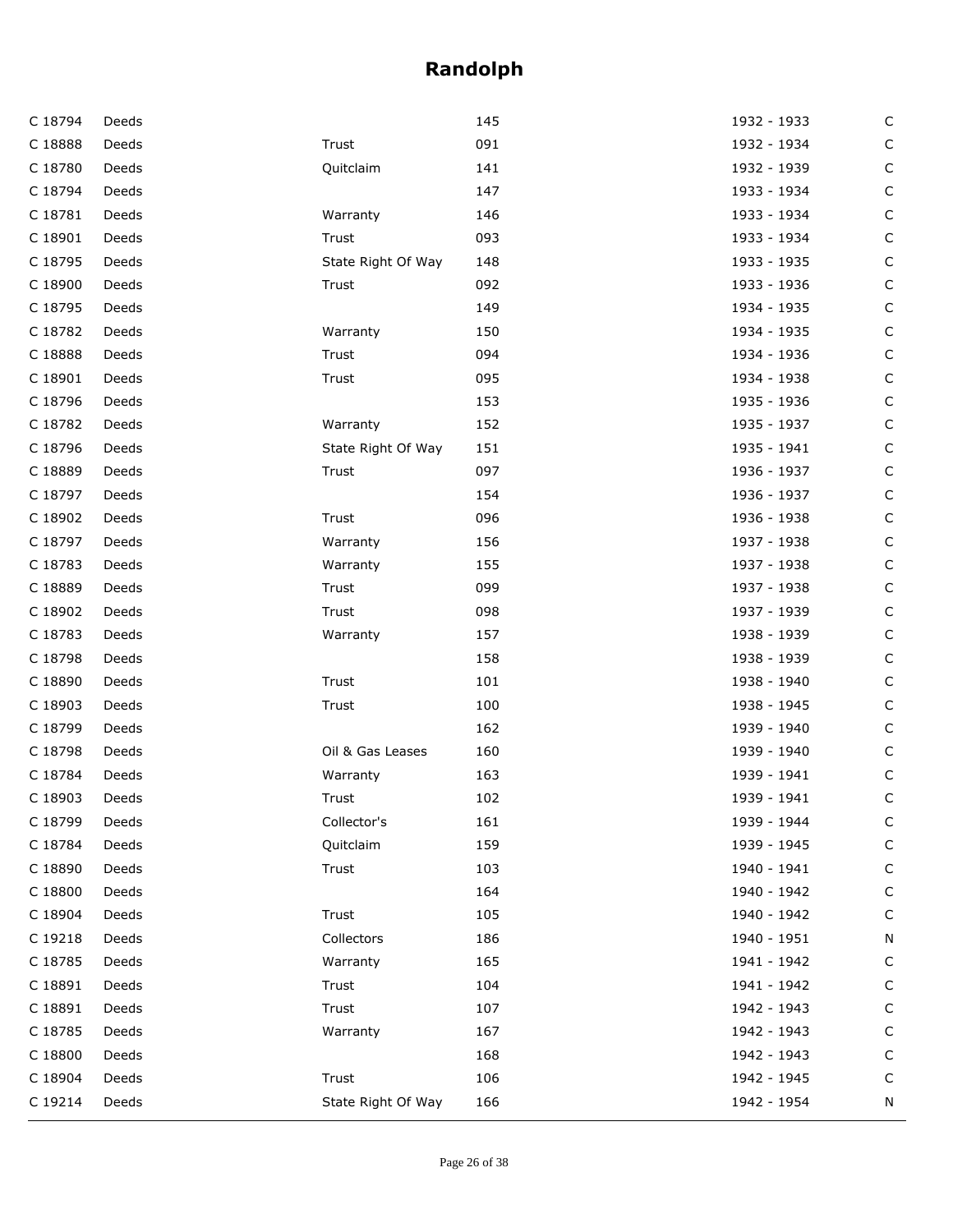| C 18794 | Deeds |                    | 145 | 1932 - 1933 | C           |
|---------|-------|--------------------|-----|-------------|-------------|
| C 18888 | Deeds | Trust              | 091 | 1932 - 1934 | C           |
| C 18780 | Deeds | Quitclaim          | 141 | 1932 - 1939 | C           |
| C 18794 | Deeds |                    | 147 | 1933 - 1934 | С           |
| C 18781 | Deeds | Warranty           | 146 | 1933 - 1934 | С           |
| C 18901 | Deeds | Trust              | 093 | 1933 - 1934 | С           |
| C 18795 | Deeds | State Right Of Way | 148 | 1933 - 1935 | C           |
| C 18900 | Deeds | Trust              | 092 | 1933 - 1936 | С           |
| C 18795 | Deeds |                    | 149 | 1934 - 1935 | С           |
| C 18782 | Deeds | Warranty           | 150 | 1934 - 1935 | $\mathsf C$ |
| C 18888 | Deeds | Trust              | 094 | 1934 - 1936 | С           |
| C 18901 | Deeds | Trust              | 095 | 1934 - 1938 | С           |
| C 18796 | Deeds |                    | 153 | 1935 - 1936 | С           |
| C 18782 | Deeds | Warranty           | 152 | 1935 - 1937 | $\mathsf C$ |
| C 18796 | Deeds | State Right Of Way | 151 | 1935 - 1941 | С           |
| C 18889 | Deeds | Trust              | 097 | 1936 - 1937 | С           |
| C 18797 | Deeds |                    | 154 | 1936 - 1937 | С           |
| C 18902 | Deeds | Trust              | 096 | 1936 - 1938 | $\mathsf C$ |
| C 18797 | Deeds | Warranty           | 156 | 1937 - 1938 | C           |
| C 18783 | Deeds | Warranty           | 155 | 1937 - 1938 | С           |
| C 18889 | Deeds | Trust              | 099 | 1937 - 1938 | С           |
| C 18902 | Deeds | Trust              | 098 | 1937 - 1939 | $\mathsf C$ |
| C 18783 | Deeds | Warranty           | 157 | 1938 - 1939 | C           |
| C 18798 | Deeds |                    | 158 | 1938 - 1939 | С           |
| C 18890 | Deeds | Trust              | 101 | 1938 - 1940 | С           |
| C 18903 | Deeds | Trust              | 100 | 1938 - 1945 | $\mathsf C$ |
| C 18799 | Deeds |                    | 162 | 1939 - 1940 | С           |
| C 18798 | Deeds | Oil & Gas Leases   | 160 | 1939 - 1940 | C           |
| C 18784 | Deeds | Warranty           | 163 | 1939 - 1941 | C           |
| C 18903 | Deeds | Trust              | 102 | 1939 - 1941 | C           |
| C 18799 | Deeds | Collector's        | 161 | 1939 - 1944 | С           |
| C 18784 | Deeds | Quitclaim          | 159 | 1939 - 1945 | C           |
| C 18890 | Deeds | Trust              | 103 | 1940 - 1941 | C           |
| C 18800 | Deeds |                    | 164 | 1940 - 1942 | C           |
| C 18904 | Deeds | Trust              | 105 | 1940 - 1942 | C           |
| C 19218 | Deeds | Collectors         | 186 | 1940 - 1951 | N           |
| C 18785 | Deeds | Warranty           | 165 | 1941 - 1942 | C           |
| C 18891 | Deeds | Trust              | 104 | 1941 - 1942 | C           |
| C 18891 | Deeds | Trust              | 107 | 1942 - 1943 | C           |
| C 18785 | Deeds | Warranty           | 167 | 1942 - 1943 | C           |
| C 18800 | Deeds |                    | 168 | 1942 - 1943 | C           |
| C 18904 | Deeds | Trust              | 106 | 1942 - 1945 | C           |
| C 19214 | Deeds | State Right Of Way | 166 | 1942 - 1954 | N           |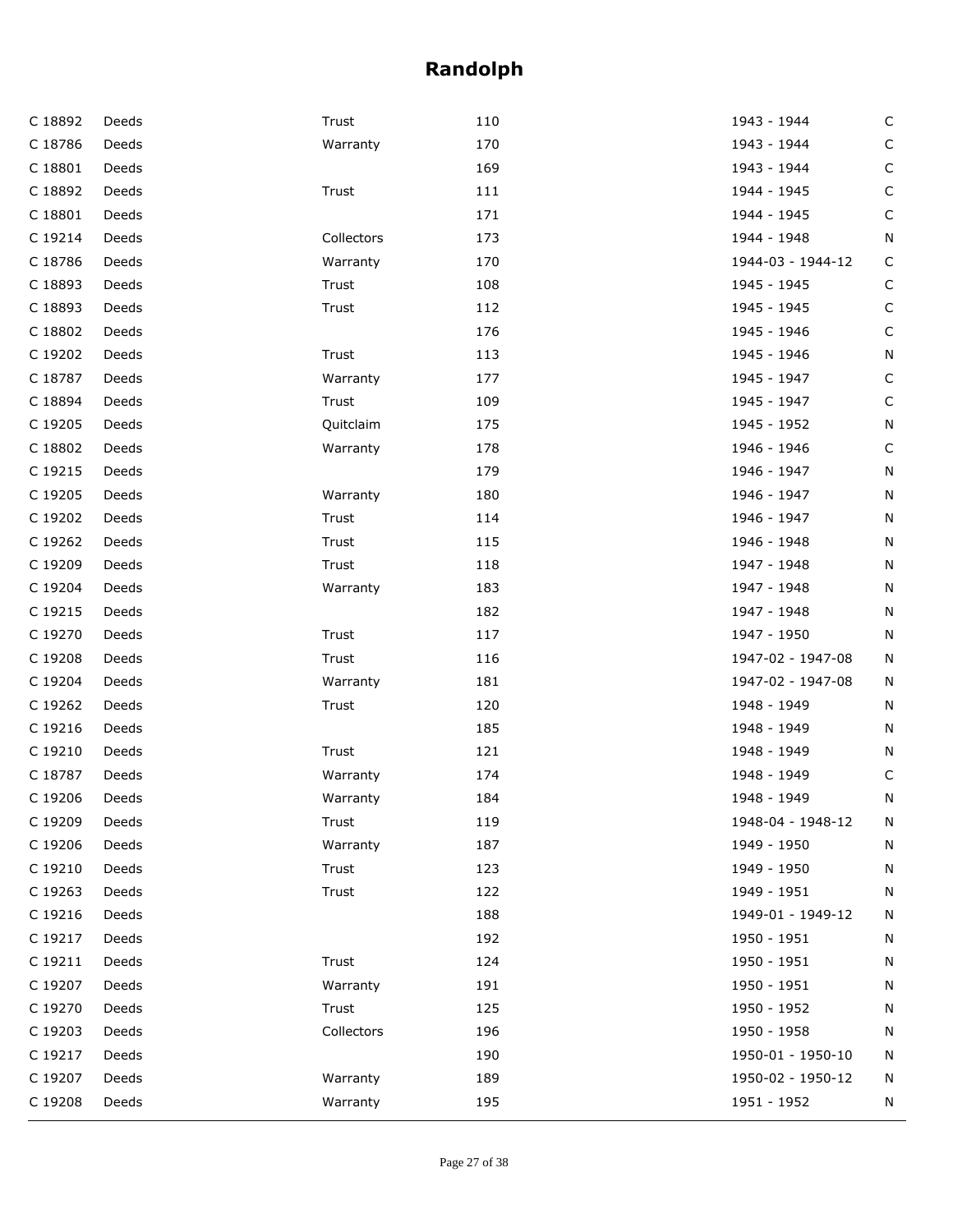| C 18892 | Deeds | Trust      | 110 | 1943 - 1944       | C           |
|---------|-------|------------|-----|-------------------|-------------|
| C 18786 | Deeds | Warranty   | 170 | 1943 - 1944       | C           |
| C 18801 | Deeds |            | 169 | 1943 - 1944       | C           |
| C 18892 | Deeds | Trust      | 111 | 1944 - 1945       | C           |
| C 18801 | Deeds |            | 171 | 1944 - 1945       | $\mathsf C$ |
| C 19214 | Deeds | Collectors | 173 | 1944 - 1948       | ${\sf N}$   |
| C 18786 | Deeds | Warranty   | 170 | 1944-03 - 1944-12 | $\mathsf C$ |
| C 18893 | Deeds | Trust      | 108 | 1945 - 1945       | $\mathsf C$ |
| C 18893 | Deeds | Trust      | 112 | 1945 - 1945       | C           |
| C 18802 | Deeds |            | 176 | 1945 - 1946       | $\mathsf C$ |
| C 19202 | Deeds | Trust      | 113 | 1945 - 1946       | ${\sf N}$   |
| C 18787 | Deeds | Warranty   | 177 | 1945 - 1947       | C           |
| C 18894 | Deeds | Trust      | 109 | 1945 - 1947       | $\mathsf C$ |
| C 19205 | Deeds | Quitclaim  | 175 | 1945 - 1952       | N           |
| C 18802 | Deeds | Warranty   | 178 | 1946 - 1946       | $\mathsf C$ |
| C 19215 | Deeds |            | 179 | 1946 - 1947       | N           |
| C 19205 | Deeds | Warranty   | 180 | 1946 - 1947       | N           |
| C 19202 | Deeds | Trust      | 114 | 1946 - 1947       | N           |
| C 19262 | Deeds | Trust      | 115 | 1946 - 1948       | N           |
| C 19209 | Deeds | Trust      | 118 | 1947 - 1948       | N           |
| C 19204 | Deeds | Warranty   | 183 | 1947 - 1948       | N           |
| C 19215 | Deeds |            | 182 | 1947 - 1948       | N           |
| C 19270 | Deeds | Trust      | 117 | 1947 - 1950       | N           |
| C 19208 | Deeds | Trust      | 116 | 1947-02 - 1947-08 | N           |
| C 19204 | Deeds | Warranty   | 181 | 1947-02 - 1947-08 | N           |
| C 19262 | Deeds | Trust      | 120 | 1948 - 1949       | N           |
| C 19216 | Deeds |            | 185 | 1948 - 1949       | N           |
| C 19210 | Deeds | Trust      | 121 | 1948 - 1949       | N           |
| C 18787 | Deeds | Warranty   | 174 | 1948 - 1949       | $\mathsf C$ |
| C 19206 | Deeds | Warranty   | 184 | 1948 - 1949       | N           |
| C 19209 | Deeds | Trust      | 119 | 1948-04 - 1948-12 | N           |
| C 19206 | Deeds | Warranty   | 187 | 1949 - 1950       | N           |
| C 19210 | Deeds | Trust      | 123 | 1949 - 1950       | N           |
| C 19263 | Deeds | Trust      | 122 | 1949 - 1951       | N           |
| C 19216 | Deeds |            | 188 | 1949-01 - 1949-12 | N           |
| C 19217 | Deeds |            | 192 | 1950 - 1951       | N           |
| C 19211 | Deeds | Trust      | 124 | 1950 - 1951       | N           |
| C 19207 | Deeds | Warranty   | 191 | 1950 - 1951       | N           |
| C 19270 | Deeds | Trust      | 125 | 1950 - 1952       | N           |
| C 19203 | Deeds | Collectors | 196 | 1950 - 1958       | N           |
| C 19217 | Deeds |            | 190 | 1950-01 - 1950-10 | N           |
| C 19207 | Deeds | Warranty   | 189 | 1950-02 - 1950-12 | N           |
| C 19208 | Deeds | Warranty   | 195 | 1951 - 1952       | N           |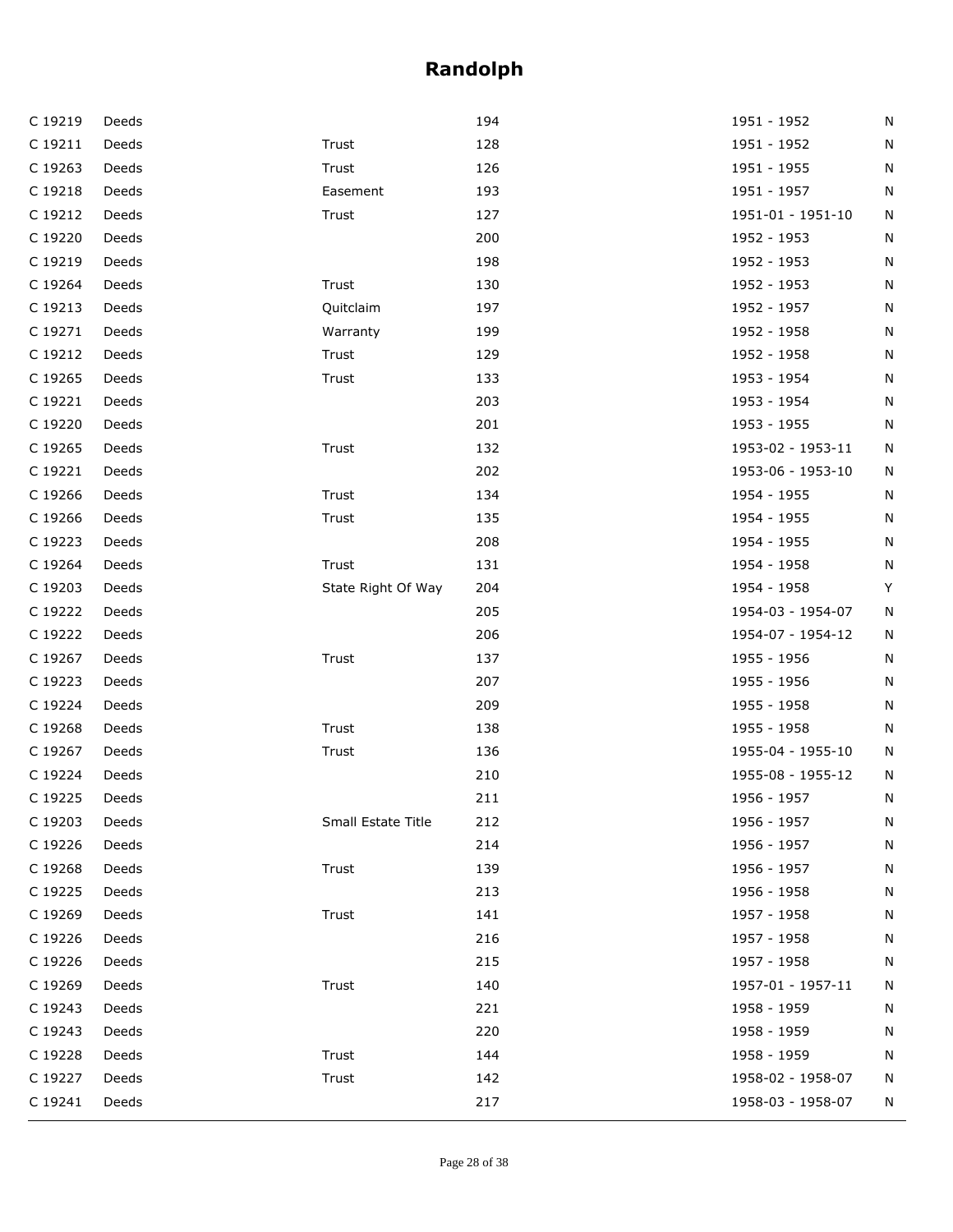| C 19219 | Deeds |                    | 194 | 1951 - 1952       | N         |
|---------|-------|--------------------|-----|-------------------|-----------|
| C 19211 | Deeds | Trust              | 128 | 1951 - 1952       | N         |
| C 19263 | Deeds | Trust              | 126 | 1951 - 1955       | N         |
| C 19218 | Deeds | Easement           | 193 | 1951 - 1957       | N         |
| C 19212 | Deeds | Trust              | 127 | 1951-01 - 1951-10 | N         |
| C 19220 | Deeds |                    | 200 | 1952 - 1953       | N         |
| C 19219 | Deeds |                    | 198 | 1952 - 1953       | N         |
| C 19264 | Deeds | Trust              | 130 | 1952 - 1953       | N         |
| C 19213 | Deeds | Quitclaim          | 197 | 1952 - 1957       | N         |
| C 19271 | Deeds | Warranty           | 199 | 1952 - 1958       | N         |
| C 19212 | Deeds | Trust              | 129 | 1952 - 1958       | N         |
| C 19265 | Deeds | Trust              | 133 | 1953 - 1954       | N         |
| C 19221 | Deeds |                    | 203 | 1953 - 1954       | N         |
| C 19220 | Deeds |                    | 201 | 1953 - 1955       | N         |
| C 19265 | Deeds | Trust              | 132 | 1953-02 - 1953-11 | ${\sf N}$ |
| C 19221 | Deeds |                    | 202 | 1953-06 - 1953-10 | N         |
| C 19266 | Deeds | Trust              | 134 | 1954 - 1955       | N         |
| C 19266 | Deeds | Trust              | 135 | 1954 - 1955       | N         |
| C 19223 | Deeds |                    | 208 | 1954 - 1955       | N         |
| C 19264 | Deeds | Trust              | 131 | 1954 - 1958       | N         |
| C 19203 | Deeds | State Right Of Way | 204 | 1954 - 1958       | Y         |
| C 19222 | Deeds |                    | 205 | 1954-03 - 1954-07 | N         |
| C 19222 | Deeds |                    | 206 | 1954-07 - 1954-12 | N         |
| C 19267 | Deeds | Trust              | 137 | 1955 - 1956       | N         |
| C 19223 | Deeds |                    | 207 | 1955 - 1956       | N         |
| C 19224 | Deeds |                    | 209 | 1955 - 1958       | N         |
| C 19268 | Deeds | Trust              | 138 | 1955 - 1958       | N         |
| C 19267 | Deeds | Trust              | 136 | 1955-04 - 1955-10 | N         |
| C 19224 | Deeds |                    | 210 | 1955-08 - 1955-12 | N         |
| C 19225 | Deeds |                    | 211 | 1956 - 1957       | N         |
| C 19203 | Deeds | Small Estate Title | 212 | 1956 - 1957       | Ν         |
| C 19226 | Deeds |                    | 214 | 1956 - 1957       | N         |
| C 19268 | Deeds | Trust              | 139 | 1956 - 1957       | N         |
| C 19225 | Deeds |                    | 213 | 1956 - 1958       | N         |
| C 19269 | Deeds | Trust              | 141 | 1957 - 1958       | N         |
| C 19226 | Deeds |                    | 216 | 1957 - 1958       | N         |
| C 19226 | Deeds |                    | 215 | 1957 - 1958       | N         |
| C 19269 | Deeds | Trust              | 140 | 1957-01 - 1957-11 | N         |
| C 19243 | Deeds |                    | 221 | 1958 - 1959       | N         |
| C 19243 | Deeds |                    | 220 | 1958 - 1959       | N         |
| C 19228 | Deeds | Trust              | 144 | 1958 - 1959       | N         |
| C 19227 | Deeds | Trust              | 142 | 1958-02 - 1958-07 | N         |
| C 19241 | Deeds |                    | 217 | 1958-03 - 1958-07 | N         |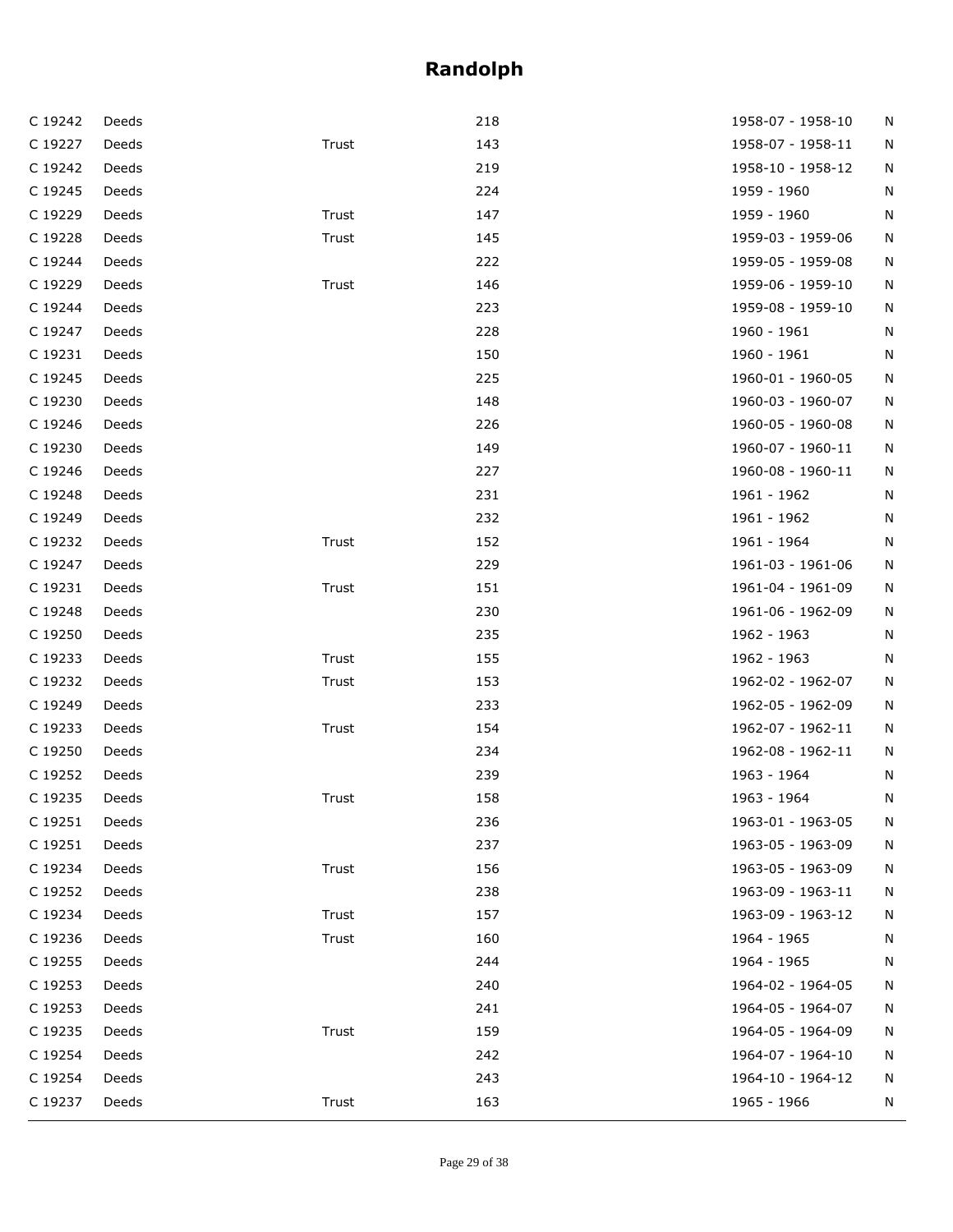| C 19242 | Deeds |       | 218 | 1958-07 - 1958-10 | N |
|---------|-------|-------|-----|-------------------|---|
| C 19227 | Deeds | Trust | 143 | 1958-07 - 1958-11 | N |
| C 19242 | Deeds |       | 219 | 1958-10 - 1958-12 | N |
| C 19245 | Deeds |       | 224 | 1959 - 1960       | N |
| C 19229 | Deeds | Trust | 147 | 1959 - 1960       | N |
| C 19228 | Deeds | Trust | 145 | 1959-03 - 1959-06 | N |
| C 19244 | Deeds |       | 222 | 1959-05 - 1959-08 | N |
| C 19229 | Deeds | Trust | 146 | 1959-06 - 1959-10 | N |
| C 19244 | Deeds |       | 223 | 1959-08 - 1959-10 | N |
| C 19247 | Deeds |       | 228 | 1960 - 1961       | N |
| C 19231 | Deeds |       | 150 | 1960 - 1961       | N |
| C 19245 | Deeds |       | 225 | 1960-01 - 1960-05 | N |
| C 19230 | Deeds |       | 148 | 1960-03 - 1960-07 | N |
| C 19246 | Deeds |       | 226 | 1960-05 - 1960-08 | N |
| C 19230 | Deeds |       | 149 | 1960-07 - 1960-11 | N |
| C 19246 | Deeds |       | 227 | 1960-08 - 1960-11 | N |
| C 19248 | Deeds |       | 231 | 1961 - 1962       | N |
| C 19249 | Deeds |       | 232 | 1961 - 1962       | N |
| C 19232 | Deeds | Trust | 152 | 1961 - 1964       | N |
| C 19247 | Deeds |       | 229 | 1961-03 - 1961-06 | N |
| C 19231 | Deeds | Trust | 151 | 1961-04 - 1961-09 | N |
| C 19248 | Deeds |       | 230 | 1961-06 - 1962-09 | N |
| C 19250 | Deeds |       | 235 | 1962 - 1963       | N |
| C 19233 | Deeds | Trust | 155 | 1962 - 1963       | N |
| C 19232 | Deeds | Trust | 153 | 1962-02 - 1962-07 | N |
| C 19249 | Deeds |       | 233 | 1962-05 - 1962-09 | N |
| C 19233 | Deeds | Trust | 154 | 1962-07 - 1962-11 | N |
| C 19250 | Deeds |       | 234 | 1962-08 - 1962-11 | N |
| C 19252 | Deeds |       | 239 | 1963 - 1964       | N |
| C 19235 | Deeds | Trust | 158 | 1963 - 1964       | N |
| C 19251 | Deeds |       | 236 | 1963-01 - 1963-05 | N |
| C 19251 | Deeds |       | 237 | 1963-05 - 1963-09 | N |
| C 19234 | Deeds | Trust | 156 | 1963-05 - 1963-09 | N |
| C 19252 | Deeds |       | 238 | 1963-09 - 1963-11 | N |
| C 19234 | Deeds | Trust | 157 | 1963-09 - 1963-12 | N |
| C 19236 | Deeds | Trust | 160 | 1964 - 1965       | N |
| C 19255 | Deeds |       | 244 | 1964 - 1965       | N |
| C 19253 | Deeds |       | 240 | 1964-02 - 1964-05 | N |
| C 19253 | Deeds |       | 241 | 1964-05 - 1964-07 | N |
| C 19235 | Deeds | Trust | 159 | 1964-05 - 1964-09 | N |
| C 19254 | Deeds |       | 242 | 1964-07 - 1964-10 | N |
| C 19254 | Deeds |       | 243 | 1964-10 - 1964-12 | N |
| C 19237 | Deeds | Trust | 163 | 1965 - 1966       | N |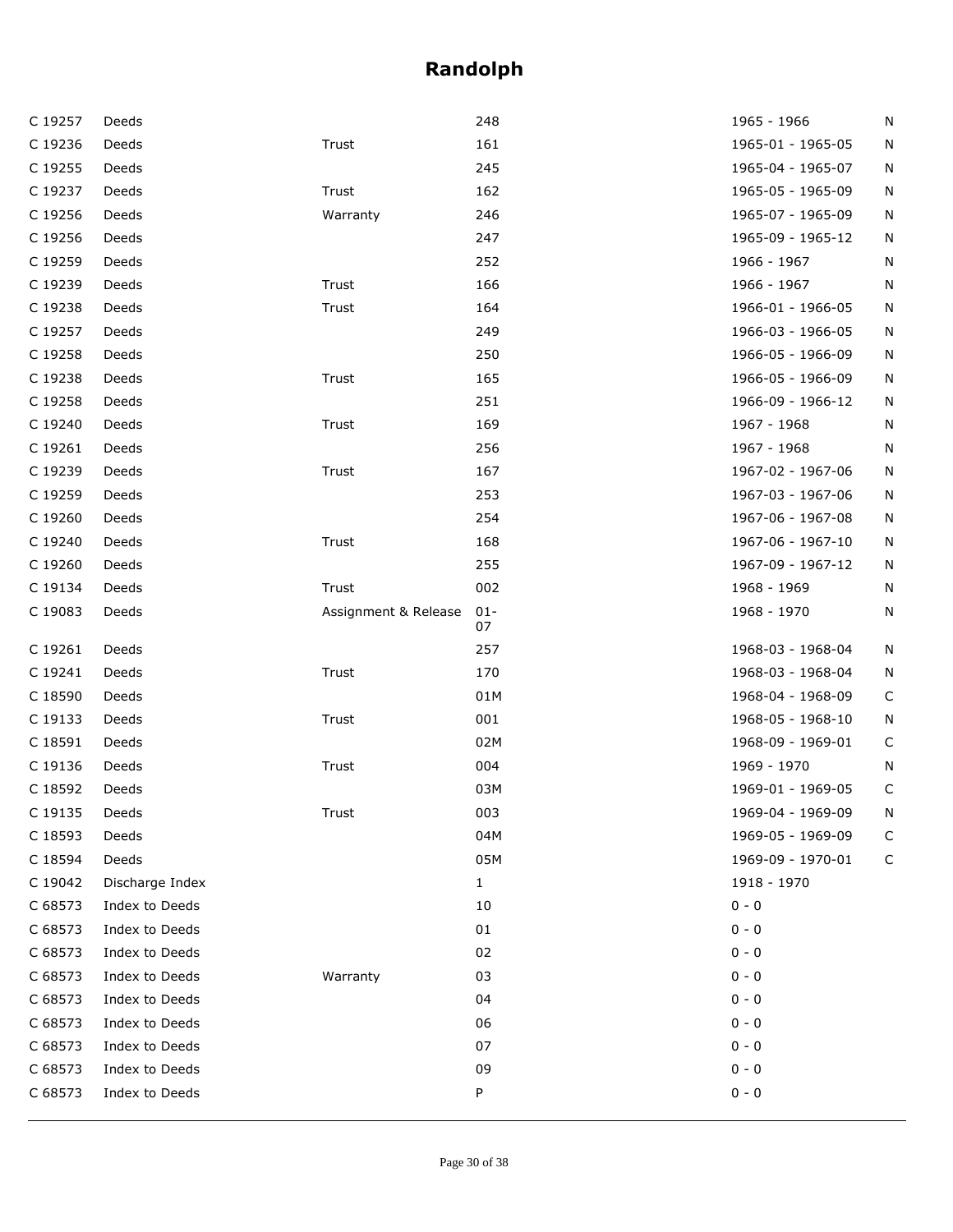| C 19257 | Deeds           |                      | 248          | 1965 - 1966       | N           |
|---------|-----------------|----------------------|--------------|-------------------|-------------|
| C 19236 | Deeds           | Trust                | 161          | 1965-01 - 1965-05 | N           |
| C 19255 | Deeds           |                      | 245          | 1965-04 - 1965-07 | N           |
| C 19237 | Deeds           | Trust                | 162          | 1965-05 - 1965-09 | N           |
| C 19256 | Deeds           | Warranty             | 246          | 1965-07 - 1965-09 | N           |
| C 19256 | Deeds           |                      | 247          | 1965-09 - 1965-12 | N           |
| C 19259 | Deeds           |                      | 252          | 1966 - 1967       | N           |
| C 19239 | Deeds           | Trust                | 166          | 1966 - 1967       | N           |
| C 19238 | Deeds           | Trust                | 164          | 1966-01 - 1966-05 | ${\sf N}$   |
| C 19257 | Deeds           |                      | 249          | 1966-03 - 1966-05 | N           |
| C 19258 | Deeds           |                      | 250          | 1966-05 - 1966-09 | N           |
| C 19238 | Deeds           | Trust                | 165          | 1966-05 - 1966-09 | N           |
| C 19258 | Deeds           |                      | 251          | 1966-09 - 1966-12 | N           |
| C 19240 | Deeds           | Trust                | 169          | 1967 - 1968       | N           |
| C 19261 | Deeds           |                      | 256          | 1967 - 1968       | N           |
| C 19239 | Deeds           | Trust                | 167          | 1967-02 - 1967-06 | N           |
| C 19259 | Deeds           |                      | 253          | 1967-03 - 1967-06 | N           |
| C 19260 | Deeds           |                      | 254          | 1967-06 - 1967-08 | N           |
| C 19240 | Deeds           | Trust                | 168          | 1967-06 - 1967-10 | N           |
| C 19260 | Deeds           |                      | 255          | 1967-09 - 1967-12 | N           |
| C 19134 | Deeds           | Trust                | 002          | 1968 - 1969       | N           |
| C 19083 | Deeds           | Assignment & Release | $01 -$<br>07 | 1968 - 1970       | N           |
| C 19261 | Deeds           |                      | 257          | 1968-03 - 1968-04 | N           |
| C 19241 | Deeds           | Trust                | 170          | 1968-03 - 1968-04 | N           |
| C 18590 | Deeds           |                      | 01M          | 1968-04 - 1968-09 | $\mathsf C$ |
| C 19133 | Deeds           | Trust                | 001          | 1968-05 - 1968-10 | N           |
| C 18591 | Deeds           |                      | 02M          | 1968-09 - 1969-01 | $\mathsf C$ |
| C 19136 | Deeds           | Trust                | 004          | 1969 - 1970       | N           |
| C 18592 | Deeds           |                      | 03M          | 1969-01 - 1969-05 | $\mathsf C$ |
| C 19135 | Deeds           | Trust                | 003          | 1969-04 - 1969-09 | N           |
| C 18593 | Deeds           |                      | 04M          | 1969-05 - 1969-09 | C           |
| C 18594 | Deeds           |                      | 05M          | 1969-09 - 1970-01 | C           |
| C 19042 | Discharge Index |                      | $\mathbf{1}$ | 1918 - 1970       |             |
| C 68573 | Index to Deeds  |                      | 10           | $0 - 0$           |             |
| C 68573 | Index to Deeds  |                      | 01           | $0 - 0$           |             |
| C 68573 | Index to Deeds  |                      | 02           | $0 - 0$           |             |
| C 68573 | Index to Deeds  | Warranty             | 03           | $0 - 0$           |             |
| C 68573 | Index to Deeds  |                      | 04           | $0 - 0$           |             |
| C 68573 | Index to Deeds  |                      | 06           | $0 - 0$           |             |
| C 68573 | Index to Deeds  |                      | 07           | $0 - 0$           |             |
| C 68573 | Index to Deeds  |                      | 09           | $0 - 0$           |             |
| C 68573 | Index to Deeds  |                      | P            | $0 - 0$           |             |
|         |                 |                      |              |                   |             |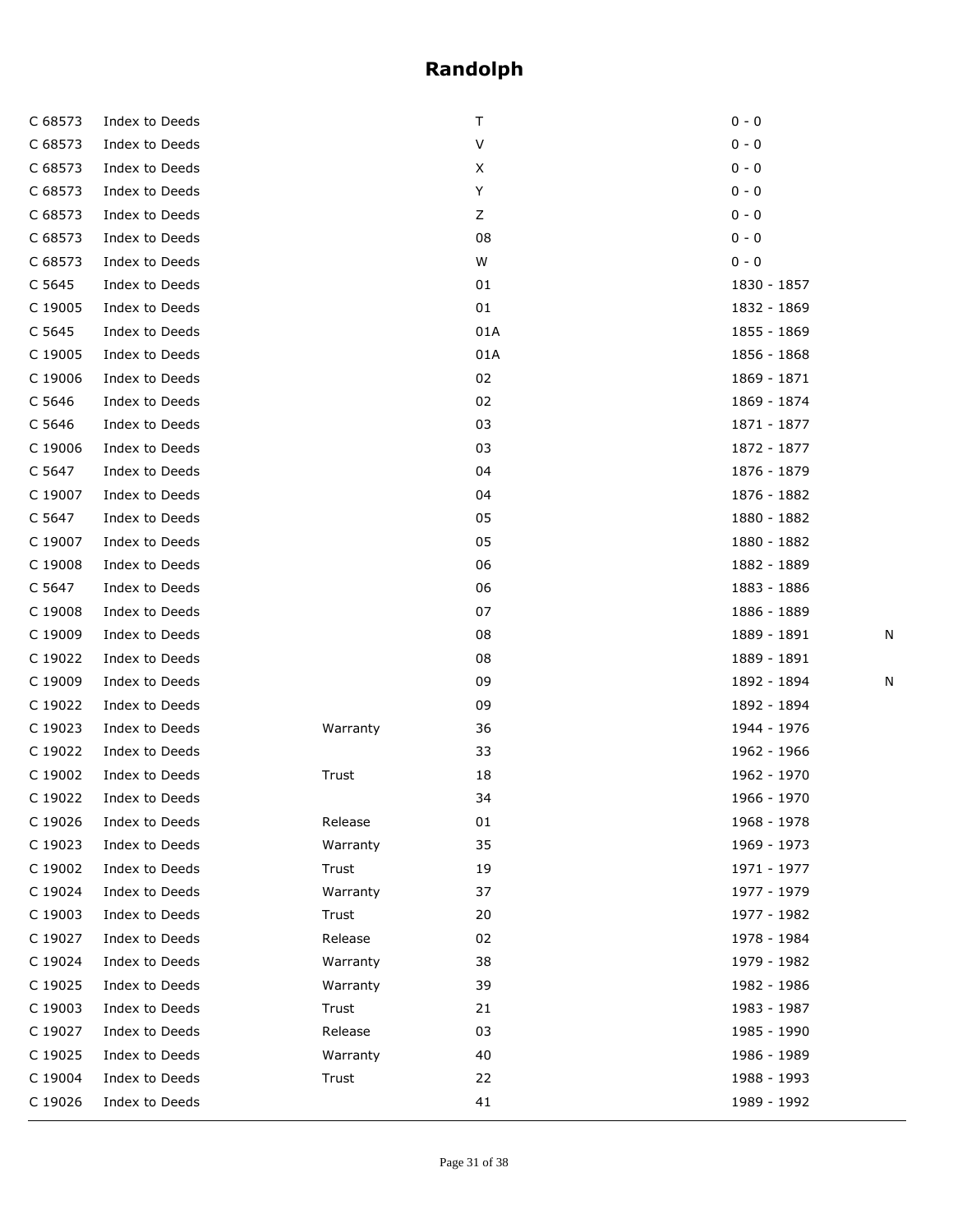| C 68573 | Index to Deeds |          | T   | $0 - 0$     |   |
|---------|----------------|----------|-----|-------------|---|
| C 68573 | Index to Deeds |          | V   | $0 - 0$     |   |
| C 68573 | Index to Deeds |          | X   | 0 - 0       |   |
| C 68573 | Index to Deeds |          | Υ   | $0 - 0$     |   |
| C 68573 | Index to Deeds |          | Ζ   | $0 - 0$     |   |
| C 68573 | Index to Deeds |          | 08  | $0 - 0$     |   |
| C 68573 | Index to Deeds |          | W   | $0 - 0$     |   |
| C 5645  | Index to Deeds |          | 01  | 1830 - 1857 |   |
| C 19005 | Index to Deeds |          | 01  | 1832 - 1869 |   |
| C 5645  | Index to Deeds |          | 01A | 1855 - 1869 |   |
| C 19005 | Index to Deeds |          | 01A | 1856 - 1868 |   |
| C 19006 | Index to Deeds |          | 02  | 1869 - 1871 |   |
| C 5646  | Index to Deeds |          | 02  | 1869 - 1874 |   |
| C 5646  | Index to Deeds |          | 03  | 1871 - 1877 |   |
| C 19006 | Index to Deeds |          | 03  | 1872 - 1877 |   |
| C 5647  | Index to Deeds |          | 04  | 1876 - 1879 |   |
| C 19007 | Index to Deeds |          | 04  | 1876 - 1882 |   |
| C 5647  | Index to Deeds |          | 05  | 1880 - 1882 |   |
| C 19007 | Index to Deeds |          | 05  | 1880 - 1882 |   |
| C 19008 | Index to Deeds |          | 06  | 1882 - 1889 |   |
| C 5647  | Index to Deeds |          | 06  | 1883 - 1886 |   |
| C 19008 | Index to Deeds |          | 07  | 1886 - 1889 |   |
| C 19009 | Index to Deeds |          | 08  | 1889 - 1891 | N |
| C 19022 | Index to Deeds |          | 08  | 1889 - 1891 |   |
| C 19009 | Index to Deeds |          | 09  | 1892 - 1894 | N |
| C 19022 | Index to Deeds |          | 09  | 1892 - 1894 |   |
| C 19023 | Index to Deeds | Warranty | 36  | 1944 - 1976 |   |
| C 19022 | Index to Deeds |          | 33  | 1962 - 1966 |   |
| C 19002 | Index to Deeds | Trust    | 18  | 1962 - 1970 |   |
| C 19022 | Index to Deeds |          | 34  | 1966 - 1970 |   |
| C 19026 | Index to Deeds | Release  | 01  | 1968 - 1978 |   |
| C 19023 | Index to Deeds | Warranty | 35  | 1969 - 1973 |   |
| C 19002 | Index to Deeds | Trust    | 19  | 1971 - 1977 |   |
| C 19024 | Index to Deeds | Warranty | 37  | 1977 - 1979 |   |
| C 19003 | Index to Deeds | Trust    | 20  | 1977 - 1982 |   |
| C 19027 | Index to Deeds | Release  | 02  | 1978 - 1984 |   |
| C 19024 | Index to Deeds | Warranty | 38  | 1979 - 1982 |   |
| C 19025 | Index to Deeds | Warranty | 39  | 1982 - 1986 |   |
| C 19003 | Index to Deeds | Trust    | 21  | 1983 - 1987 |   |
| C 19027 | Index to Deeds | Release  | 03  | 1985 - 1990 |   |
| C 19025 | Index to Deeds | Warranty | 40  | 1986 - 1989 |   |
| C 19004 | Index to Deeds | Trust    | 22  | 1988 - 1993 |   |
| C 19026 | Index to Deeds |          | 41  | 1989 - 1992 |   |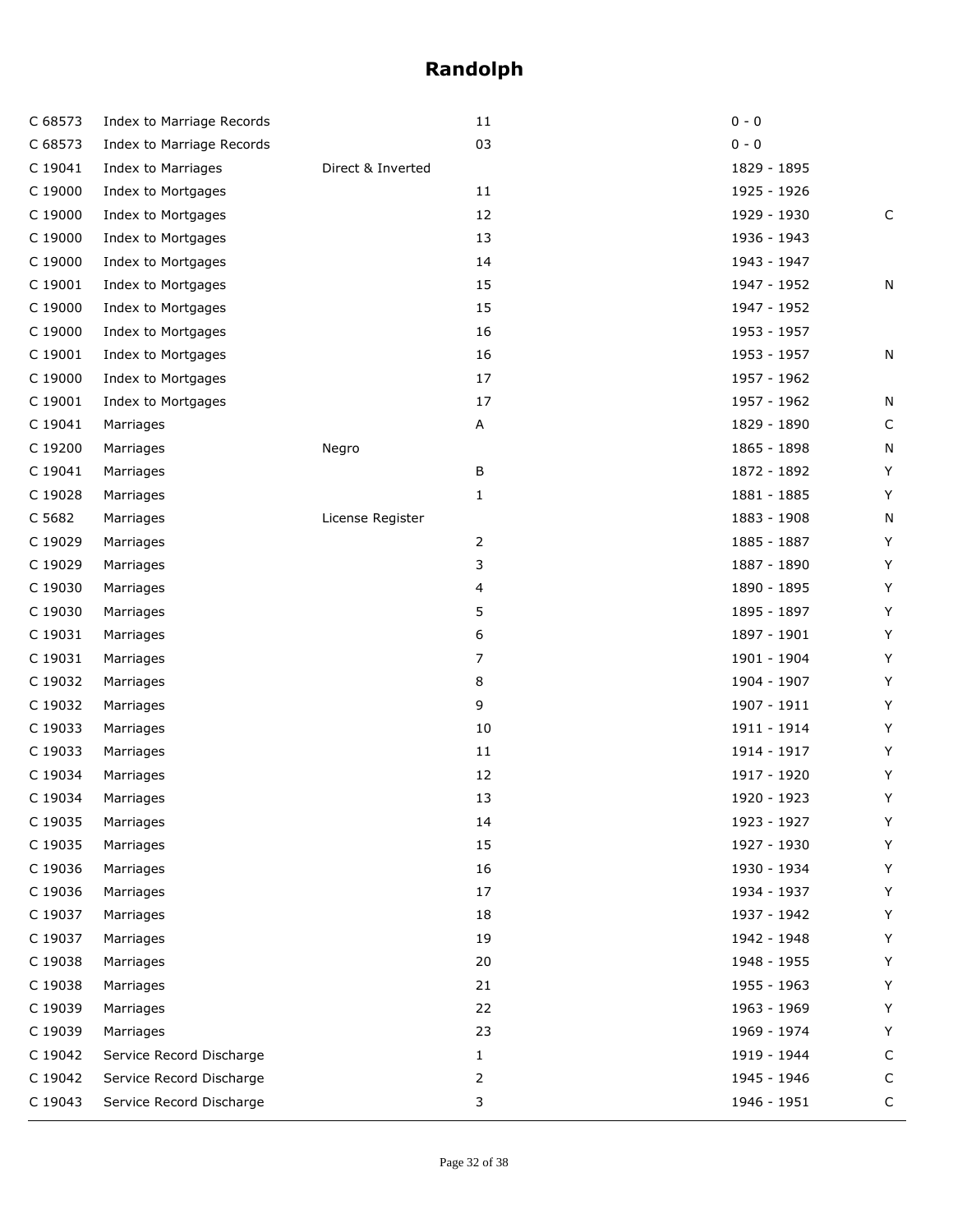| C 68573 | Index to Marriage Records |                   | 11             | $0 - 0$     |             |
|---------|---------------------------|-------------------|----------------|-------------|-------------|
| C 68573 | Index to Marriage Records |                   | 03             | $0 - 0$     |             |
| C 19041 | Index to Marriages        | Direct & Inverted |                | 1829 - 1895 |             |
| C 19000 | Index to Mortgages        |                   | 11             | 1925 - 1926 |             |
| C 19000 | Index to Mortgages        |                   | 12             | 1929 - 1930 | C           |
| C 19000 | Index to Mortgages        |                   | 13             | 1936 - 1943 |             |
| C 19000 | Index to Mortgages        |                   | 14             | 1943 - 1947 |             |
| C 19001 | Index to Mortgages        |                   | 15             | 1947 - 1952 | N           |
| C 19000 | Index to Mortgages        |                   | 15             | 1947 - 1952 |             |
| C 19000 | Index to Mortgages        |                   | 16             | 1953 - 1957 |             |
| C 19001 | Index to Mortgages        |                   | 16             | 1953 - 1957 | N           |
| C 19000 | Index to Mortgages        |                   | 17             | 1957 - 1962 |             |
| C 19001 | Index to Mortgages        |                   | 17             | 1957 - 1962 | N           |
| C 19041 | Marriages                 |                   | Α              | 1829 - 1890 | $\mathsf C$ |
| C 19200 | Marriages                 | Negro             |                | 1865 - 1898 | N           |
| C 19041 | Marriages                 |                   | В              | 1872 - 1892 | Υ           |
| C 19028 | Marriages                 |                   | 1              | 1881 - 1885 | Y           |
| C 5682  | Marriages                 | License Register  |                | 1883 - 1908 | N           |
| C 19029 | Marriages                 |                   | 2              | 1885 - 1887 | Y           |
| C 19029 | Marriages                 |                   | 3              | 1887 - 1890 | Υ           |
| C 19030 | Marriages                 |                   | 4              | 1890 - 1895 | Y           |
| C 19030 | Marriages                 |                   | 5              | 1895 - 1897 | Υ           |
| C 19031 | Marriages                 |                   | 6              | 1897 - 1901 | Y           |
| C 19031 | Marriages                 |                   | $\overline{7}$ | 1901 - 1904 | Υ           |
| C 19032 | Marriages                 |                   | 8              | 1904 - 1907 | Υ           |
| C 19032 | Marriages                 |                   | 9              | 1907 - 1911 | Υ           |
| C 19033 | Marriages                 |                   | 10             | 1911 - 1914 | Υ           |
| C 19033 | Marriages                 |                   | 11             | 1914 - 1917 | Y           |
| C 19034 | Marriages                 |                   | 12             | 1917 - 1920 | Y           |
| C 19034 | Marriages                 |                   | 13             | 1920 - 1923 | Υ           |
| C 19035 | Marriages                 |                   | 14             | 1923 - 1927 | Υ           |
| C 19035 | Marriages                 |                   | 15             | 1927 - 1930 | Y           |
| C 19036 | Marriages                 |                   | 16             | 1930 - 1934 | Υ           |
| C 19036 | Marriages                 |                   | 17             | 1934 - 1937 | Y           |
| C 19037 | Marriages                 |                   | 18             | 1937 - 1942 | Y           |
| C 19037 | Marriages                 |                   | 19             | 1942 - 1948 | Y           |
| C 19038 | Marriages                 |                   | 20             | 1948 - 1955 | Y           |
| C 19038 | Marriages                 |                   | 21             | 1955 - 1963 | Y           |
| C 19039 | Marriages                 |                   | 22             | 1963 - 1969 | Y           |
| C 19039 | Marriages                 |                   | 23             | 1969 - 1974 | Y           |
| C 19042 | Service Record Discharge  |                   | $\mathbf{1}$   | 1919 - 1944 | C           |
| C 19042 | Service Record Discharge  |                   | 2              | 1945 - 1946 | C           |
| C 19043 | Service Record Discharge  |                   | 3              | 1946 - 1951 | С           |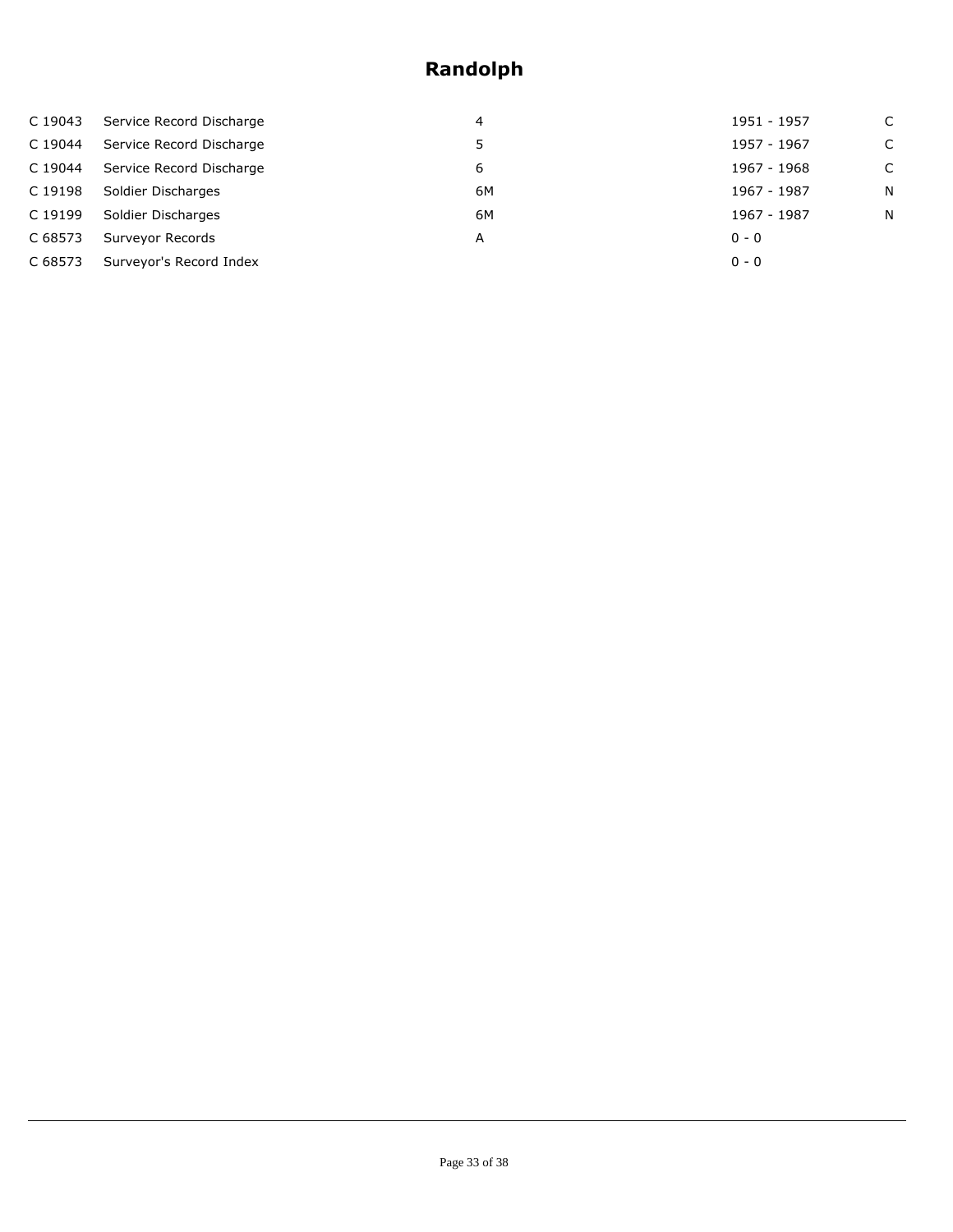| Service Record Discharge | 4  | 1951 - 1957 | C |
|--------------------------|----|-------------|---|
| Service Record Discharge | 5. | 1957 - 1967 | C |
| Service Record Discharge | 6  | 1967 - 1968 | C |
| Soldier Discharges       | 6M | 1967 - 1987 | N |
| Soldier Discharges       | 6M | 1967 - 1987 | N |
| Surveyor Records         | A  | $0 - 0$     |   |
| Surveyor's Record Index  |    | $0 - 0$     |   |
|                          |    |             |   |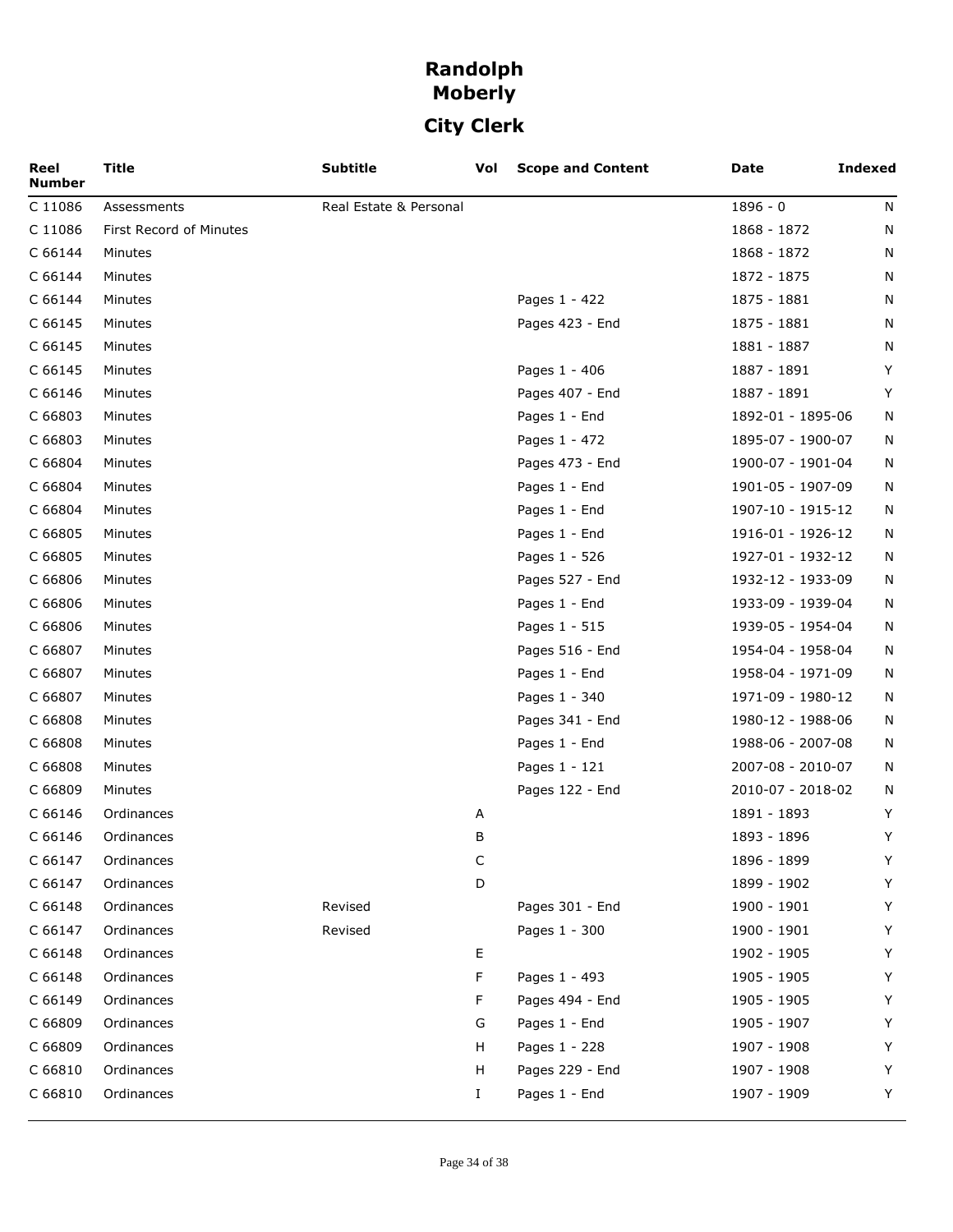# **Randolph Moberly City Clerk**

| Reel<br><b>Number</b> | <b>Title</b>            | <b>Subtitle</b>        | Vol | <b>Scope and Content</b> | Date              | <b>Indexed</b> |
|-----------------------|-------------------------|------------------------|-----|--------------------------|-------------------|----------------|
| C 11086               | Assessments             | Real Estate & Personal |     |                          | $1896 - 0$        | N              |
| C 11086               | First Record of Minutes |                        |     |                          | 1868 - 1872       | N              |
| C 66144               | Minutes                 |                        |     |                          | 1868 - 1872       | N              |
| C 66144               | Minutes                 |                        |     |                          | 1872 - 1875       | N              |
| C 66144               | Minutes                 |                        |     | Pages 1 - 422            | 1875 - 1881       | N              |
| C 66145               | Minutes                 |                        |     | Pages 423 - End          | 1875 - 1881       | N              |
| C 66145               | Minutes                 |                        |     |                          | 1881 - 1887       | N              |
| C 66145               | Minutes                 |                        |     | Pages 1 - 406            | 1887 - 1891       | Y              |
| C 66146               | Minutes                 |                        |     | Pages 407 - End          | 1887 - 1891       | Y              |
| C 66803               | Minutes                 |                        |     | Pages 1 - End            | 1892-01 - 1895-06 | N              |
| C 66803               | Minutes                 |                        |     | Pages 1 - 472            | 1895-07 - 1900-07 | N              |
| C 66804               | Minutes                 |                        |     | Pages 473 - End          | 1900-07 - 1901-04 | N              |
| C 66804               | Minutes                 |                        |     | Pages 1 - End            | 1901-05 - 1907-09 | N              |
| C 66804               | Minutes                 |                        |     | Pages 1 - End            | 1907-10 - 1915-12 | N              |
| C 66805               | Minutes                 |                        |     | Pages 1 - End            | 1916-01 - 1926-12 | N              |
| C 66805               | Minutes                 |                        |     | Pages 1 - 526            | 1927-01 - 1932-12 | N              |
| C 66806               | Minutes                 |                        |     | Pages 527 - End          | 1932-12 - 1933-09 | N              |
| C 66806               | Minutes                 |                        |     | Pages 1 - End            | 1933-09 - 1939-04 | N              |
| C 66806               | Minutes                 |                        |     | Pages 1 - 515            | 1939-05 - 1954-04 | N              |
| C 66807               | Minutes                 |                        |     | Pages 516 - End          | 1954-04 - 1958-04 | N              |
| C 66807               | Minutes                 |                        |     | Pages 1 - End            | 1958-04 - 1971-09 | N              |
| C 66807               | Minutes                 |                        |     | Pages 1 - 340            | 1971-09 - 1980-12 | N              |
| C 66808               | Minutes                 |                        |     | Pages 341 - End          | 1980-12 - 1988-06 | N              |
| C 66808               | Minutes                 |                        |     | Pages 1 - End            | 1988-06 - 2007-08 | N              |
| C 66808               | Minutes                 |                        |     | Pages 1 - 121            | 2007-08 - 2010-07 | N              |
| C 66809               | Minutes                 |                        |     | Pages 122 - End          | 2010-07 - 2018-02 | N              |
| C 66146               | Ordinances              |                        | A   |                          | 1891 - 1893       | Y              |
| C 66146               | Ordinances              |                        | В   |                          | 1893 - 1896       | Y              |
| C 66147               | Ordinances              |                        | C   |                          | 1896 - 1899       | Y              |
| C 66147               | Ordinances              |                        | D   |                          | 1899 - 1902       | Y              |
| C 66148               | Ordinances              | Revised                |     | Pages 301 - End          | 1900 - 1901       | Y              |
| C 66147               | Ordinances              | Revised                |     | Pages 1 - 300            | 1900 - 1901       | Y              |
| C 66148               | Ordinances              |                        | Ε   |                          | 1902 - 1905       | Y              |
| C 66148               | Ordinances              |                        | F   | Pages 1 - 493            | 1905 - 1905       | Y              |
| C 66149               | Ordinances              |                        | F   | Pages 494 - End          | 1905 - 1905       | Y              |
| C 66809               | Ordinances              |                        | G   | Pages 1 - End            | 1905 - 1907       | Y              |
| C 66809               | Ordinances              |                        | H   | Pages 1 - 228            | 1907 - 1908       | Y              |
| C 66810               | Ordinances              |                        | H   | Pages 229 - End          | 1907 - 1908       | Y              |
| C 66810               | Ordinances              |                        | Ι.  | Pages 1 - End            | 1907 - 1909       | Y              |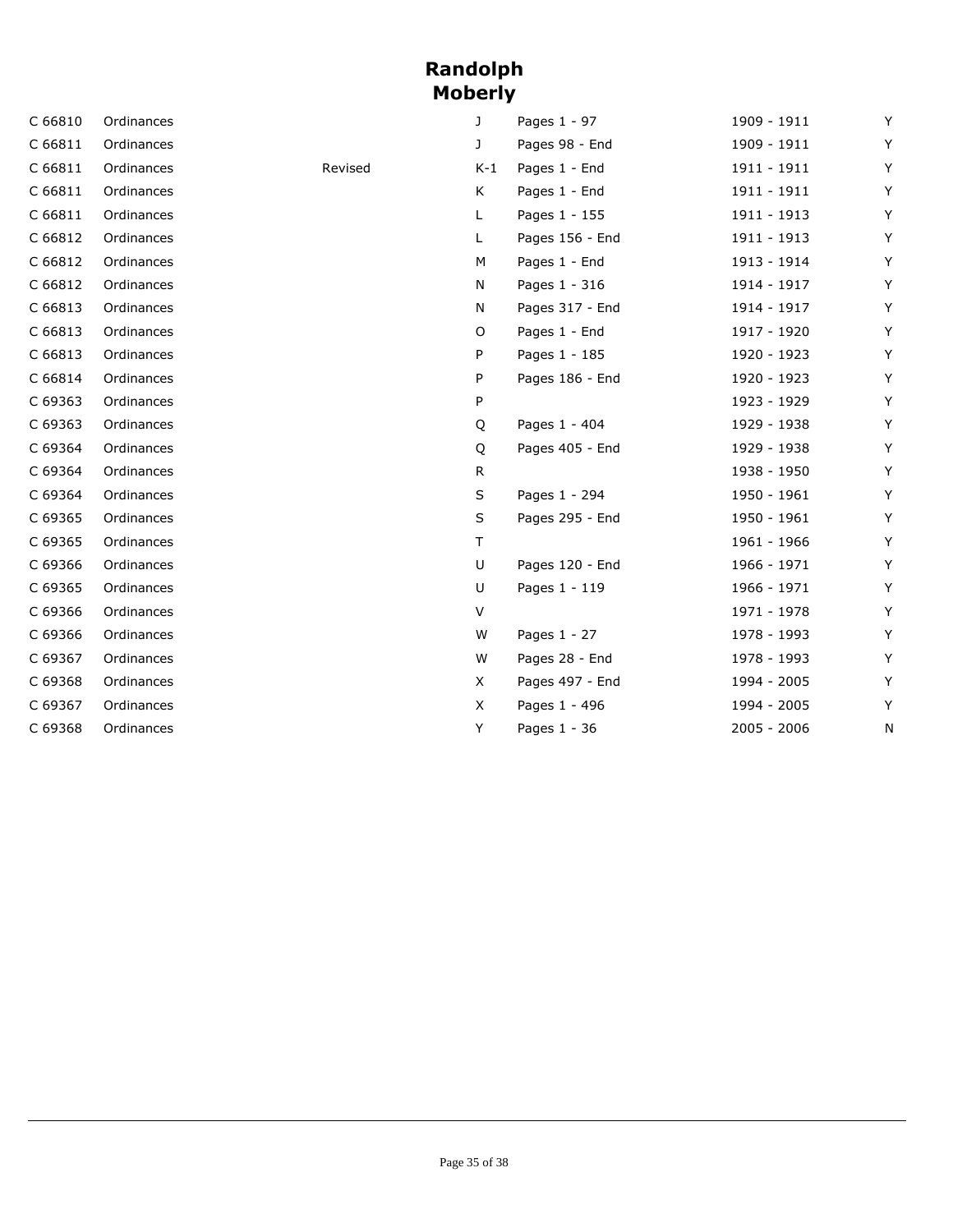#### **Randolph Moberly**

| C 66810 | Ordinances |         | J.           | Pages 1 - 97    | 1909 - 1911 | Y |
|---------|------------|---------|--------------|-----------------|-------------|---|
| C 66811 | Ordinances |         | J            | Pages 98 - End  | 1909 - 1911 | Υ |
| C 66811 | Ordinances | Revised | $K-1$        | Pages 1 - End   | 1911 - 1911 | Y |
| C 66811 | Ordinances |         | K            | Pages 1 - End   | 1911 - 1911 | Y |
| C 66811 | Ordinances |         | L.           | Pages 1 - 155   | 1911 - 1913 | Υ |
| C 66812 | Ordinances |         | L.           | Pages 156 - End | 1911 - 1913 | Υ |
| C 66812 | Ordinances |         | M            | Pages 1 - End   | 1913 - 1914 | Υ |
| C 66812 | Ordinances |         | N            | Pages 1 - 316   | 1914 - 1917 | Υ |
| C 66813 | Ordinances |         | N            | Pages 317 - End | 1914 - 1917 | Y |
| C 66813 | Ordinances |         | O            | Pages 1 - End   | 1917 - 1920 | Υ |
| C 66813 | Ordinances |         | P            | Pages 1 - 185   | 1920 - 1923 | Υ |
| C 66814 | Ordinances |         | P            | Pages 186 - End | 1920 - 1923 | Y |
| C 69363 | Ordinances |         | P            |                 | 1923 - 1929 | Υ |
| C 69363 | Ordinances |         | Q            | Pages 1 - 404   | 1929 - 1938 | Y |
| C 69364 | Ordinances |         | Q            | Pages 405 - End | 1929 - 1938 | Υ |
| C 69364 | Ordinances |         | R            |                 | 1938 - 1950 | Y |
| C 69364 | Ordinances |         | S            | Pages 1 - 294   | 1950 - 1961 | Y |
| C 69365 | Ordinances |         | S            | Pages 295 - End | 1950 - 1961 | Υ |
| C 69365 | Ordinances |         | $\mathsf{T}$ |                 | 1961 - 1966 | Y |
| C 69366 | Ordinances |         | U            | Pages 120 - End | 1966 - 1971 | Υ |
| C 69365 | Ordinances |         | U            | Pages 1 - 119   | 1966 - 1971 | Y |
| C 69366 | Ordinances |         | $\vee$       |                 | 1971 - 1978 | Υ |
| C 69366 | Ordinances |         | W            | Pages 1 - 27    | 1978 - 1993 | Υ |
| C 69367 | Ordinances |         | W            | Pages 28 - End  | 1978 - 1993 | Υ |
| C 69368 | Ordinances |         | X            | Pages 497 - End | 1994 - 2005 | Y |
| C 69367 | Ordinances |         | X            | Pages 1 - 496   | 1994 - 2005 | Υ |
| C 69368 | Ordinances |         | Y            | Pages 1 - 36    | 2005 - 2006 | N |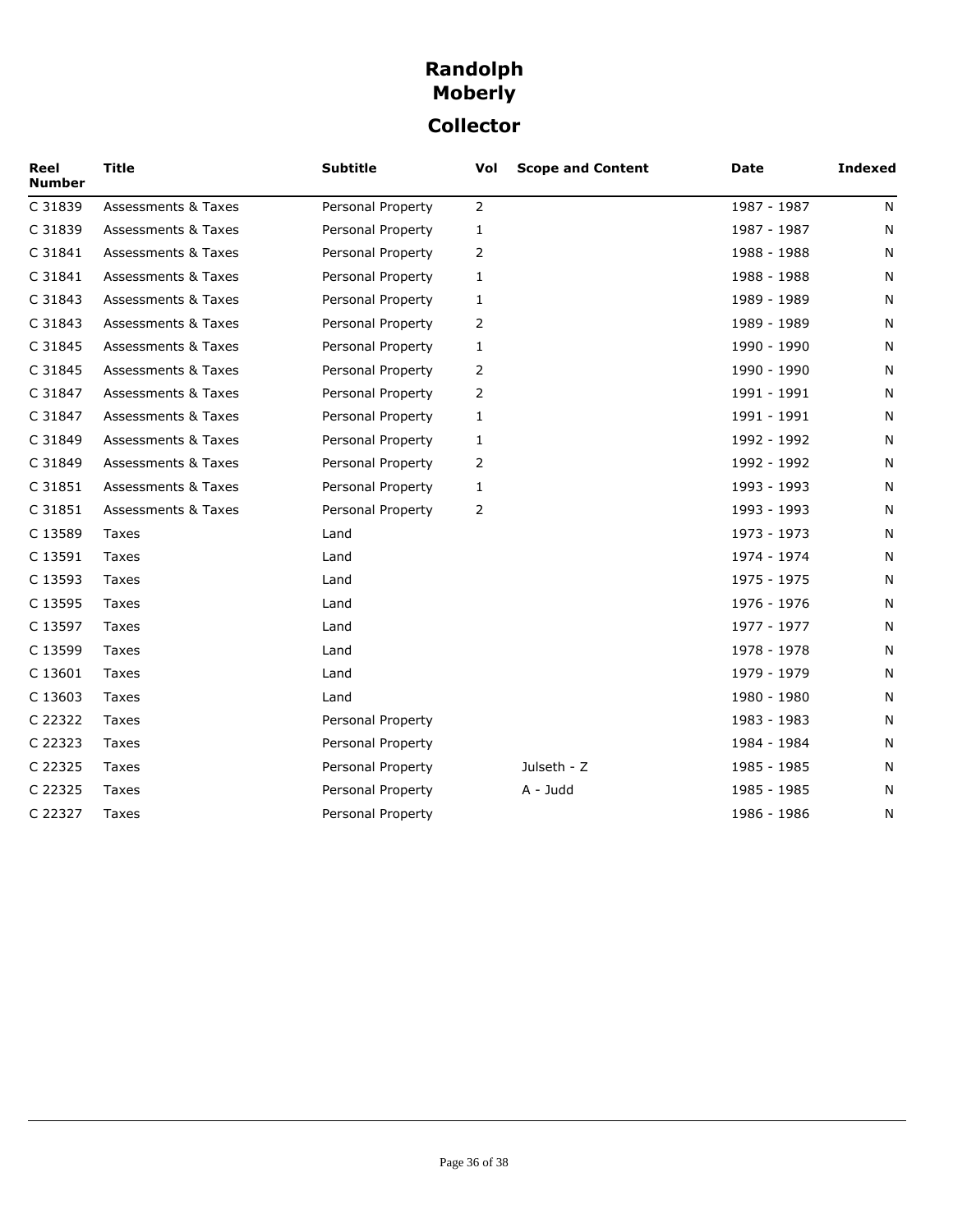## **Randolph Moberly Collector**

| Reel<br><b>Number</b> | <b>Title</b>                   | <b>Subtitle</b>   | Vol            | <b>Scope and Content</b> | <b>Date</b> | <b>Indexed</b> |
|-----------------------|--------------------------------|-------------------|----------------|--------------------------|-------------|----------------|
| C 31839               | <b>Assessments &amp; Taxes</b> | Personal Property | $\overline{2}$ |                          | 1987 - 1987 | N              |
| C 31839               | <b>Assessments &amp; Taxes</b> | Personal Property | $\mathbf{1}$   |                          | 1987 - 1987 | N              |
| C 31841               | <b>Assessments &amp; Taxes</b> | Personal Property | 2              |                          | 1988 - 1988 | N              |
| C 31841               | <b>Assessments &amp; Taxes</b> | Personal Property | 1              |                          | 1988 - 1988 | N              |
| C 31843               | <b>Assessments &amp; Taxes</b> | Personal Property | 1              |                          | 1989 - 1989 | N              |
| C 31843               | <b>Assessments &amp; Taxes</b> | Personal Property | 2              |                          | 1989 - 1989 | N              |
| C 31845               | <b>Assessments &amp; Taxes</b> | Personal Property | $\mathbf{1}$   |                          | 1990 - 1990 | N              |
| C 31845               | <b>Assessments &amp; Taxes</b> | Personal Property | 2              |                          | 1990 - 1990 | N              |
| C 31847               | <b>Assessments &amp; Taxes</b> | Personal Property | 2              |                          | 1991 - 1991 | N              |
| C 31847               | <b>Assessments &amp; Taxes</b> | Personal Property | 1              |                          | 1991 - 1991 | N              |
| C 31849               | <b>Assessments &amp; Taxes</b> | Personal Property | 1              |                          | 1992 - 1992 | N              |
| C 31849               | <b>Assessments &amp; Taxes</b> | Personal Property | 2              |                          | 1992 - 1992 | N              |
| C 31851               | <b>Assessments &amp; Taxes</b> | Personal Property | 1              |                          | 1993 - 1993 | N              |
| C 31851               | <b>Assessments &amp; Taxes</b> | Personal Property | 2              |                          | 1993 - 1993 | N              |
| C 13589               | Taxes                          | Land              |                |                          | 1973 - 1973 | N              |
| C 13591               | Taxes                          | Land              |                |                          | 1974 - 1974 | N              |
| C 13593               | Taxes                          | Land              |                |                          | 1975 - 1975 | N              |
| C 13595               | Taxes                          | Land              |                |                          | 1976 - 1976 | N              |
| C 13597               | Taxes                          | Land              |                |                          | 1977 - 1977 | N              |
| C 13599               | Taxes                          | Land              |                |                          | 1978 - 1978 | N              |
| C 13601               | Taxes                          | Land              |                |                          | 1979 - 1979 | N              |
| C 13603               | Taxes                          | Land              |                |                          | 1980 - 1980 | N              |
| C 22322               | Taxes                          | Personal Property |                |                          | 1983 - 1983 | N              |
| C 22323               | Taxes                          | Personal Property |                |                          | 1984 - 1984 | N              |
| C 22325               | Taxes                          | Personal Property |                | Julseth - Z              | 1985 - 1985 | N              |
| C 22325               | Taxes                          | Personal Property |                | A - Judd                 | 1985 - 1985 | N              |
| C 22327               | Taxes                          | Personal Property |                |                          | 1986 - 1986 | N              |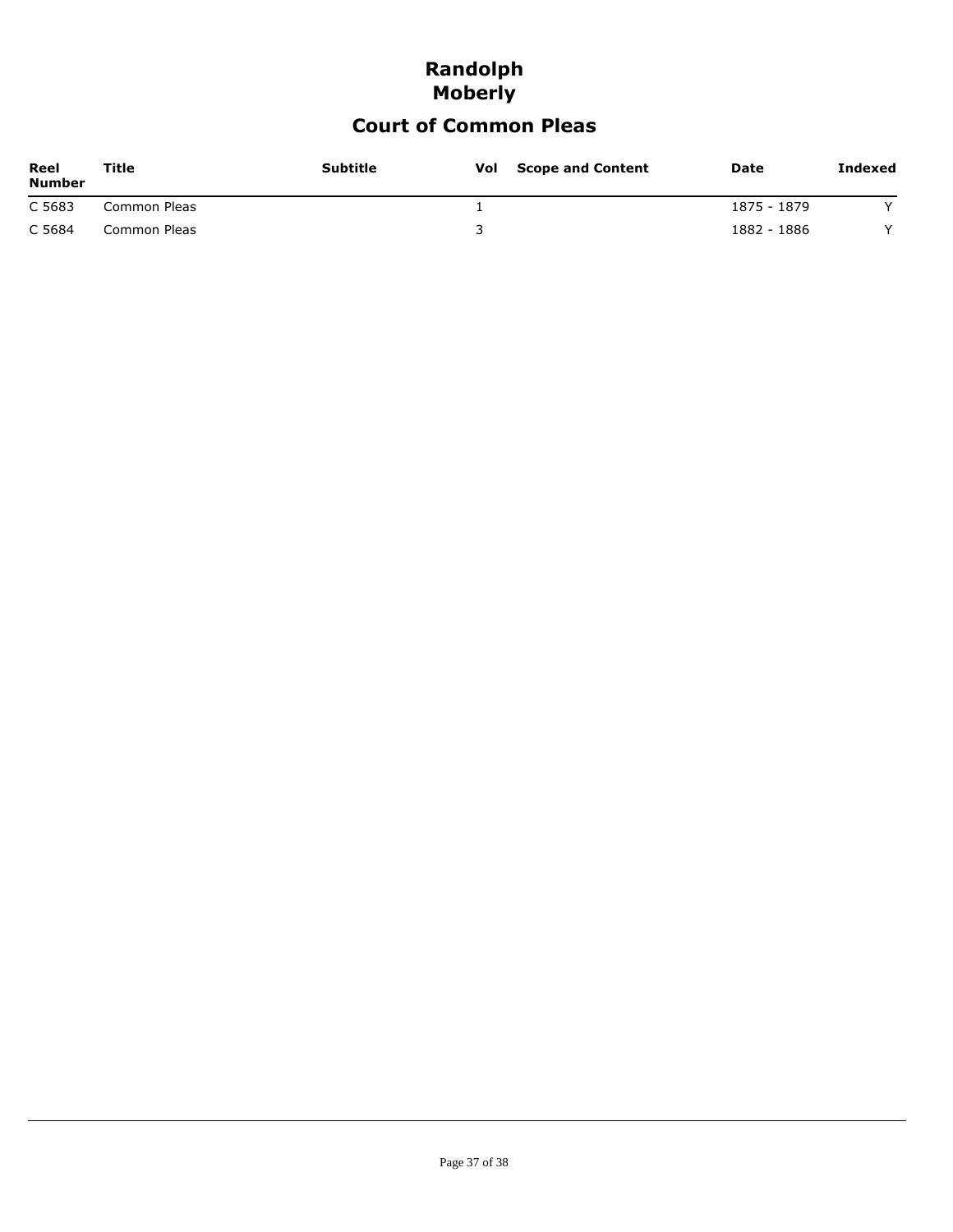#### **Randolph Moberly**

## **Court of Common Pleas**

| Reel<br><b>Number</b> | Title        | <b>Subtitle</b> | Vol | <b>Scope and Content</b> | Date        | Indexed    |
|-----------------------|--------------|-----------------|-----|--------------------------|-------------|------------|
| C 5683                | Common Pleas |                 |     |                          | 1875 - 1879 | $\sqrt{}$  |
| C 5684                | Common Pleas |                 |     |                          | 1882 - 1886 | $\sqrt{ }$ |